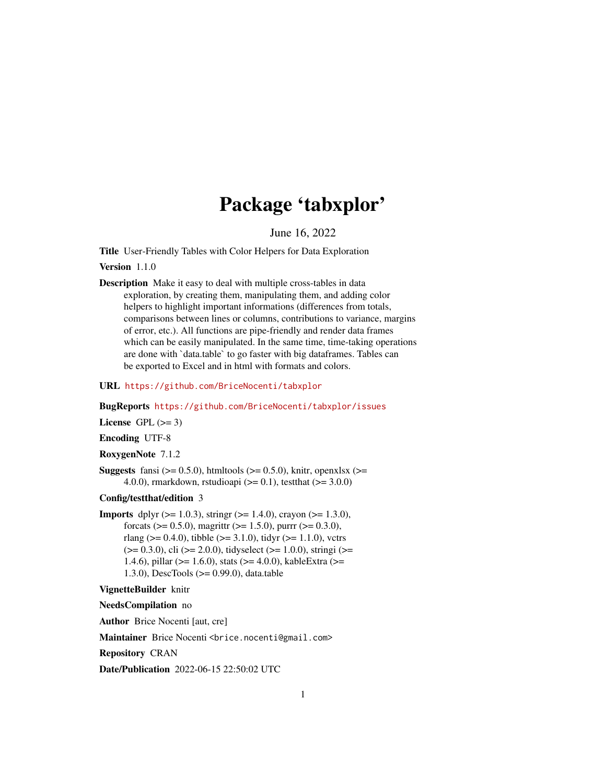# Package 'tabxplor'

June 16, 2022

<span id="page-0-0"></span>Title User-Friendly Tables with Color Helpers for Data Exploration

Version 1.1.0

Description Make it easy to deal with multiple cross-tables in data exploration, by creating them, manipulating them, and adding color helpers to highlight important informations (differences from totals, comparisons between lines or columns, contributions to variance, margins of error, etc.). All functions are pipe-friendly and render data frames which can be easily manipulated. In the same time, time-taking operations are done with `data.table` to go faster with big dataframes. Tables can be exported to Excel and in html with formats and colors.

URL <https://github.com/BriceNocenti/tabxplor>

BugReports <https://github.com/BriceNocenti/tabxplor/issues>

License GPL  $(>= 3)$ 

Encoding UTF-8

```
RoxygenNote 7.1.2
```
**Suggests** fansi ( $> = 0.5.0$ ), htmltools ( $> = 0.5.0$ ), knitr, openxlsx ( $> =$ 4.0.0), rmarkdown, rstudioapi ( $> = 0.1$ ), testthat ( $> = 3.0.0$ )

#### Config/testthat/edition 3

**Imports** dplyr ( $> = 1.0.3$ ), stringr ( $> = 1.4.0$ ), crayon ( $> = 1.3.0$ ), forcats ( $> = 0.5.0$ ), magrittr ( $> = 1.5.0$ ), purrr ( $> = 0.3.0$ ), rlang ( $> = 0.4.0$ ), tibble ( $> = 3.1.0$ ), tidyr ( $> = 1.1.0$ ), vctrs  $(>= 0.3.0)$ , cli  $(>= 2.0.0)$ , tidyselect  $(>= 1.0.0)$ , stringi  $(>= 1.0.0)$ 1.4.6), pillar (>= 1.6.0), stats (>= 4.0.0), kableExtra (>= 1.3.0), DescTools (>= 0.99.0), data.table

VignetteBuilder knitr

NeedsCompilation no

Author Brice Nocenti [aut, cre]

Maintainer Brice Nocenti <br />brice.nocenti@gmail.com>

Repository CRAN

Date/Publication 2022-06-15 22:50:02 UTC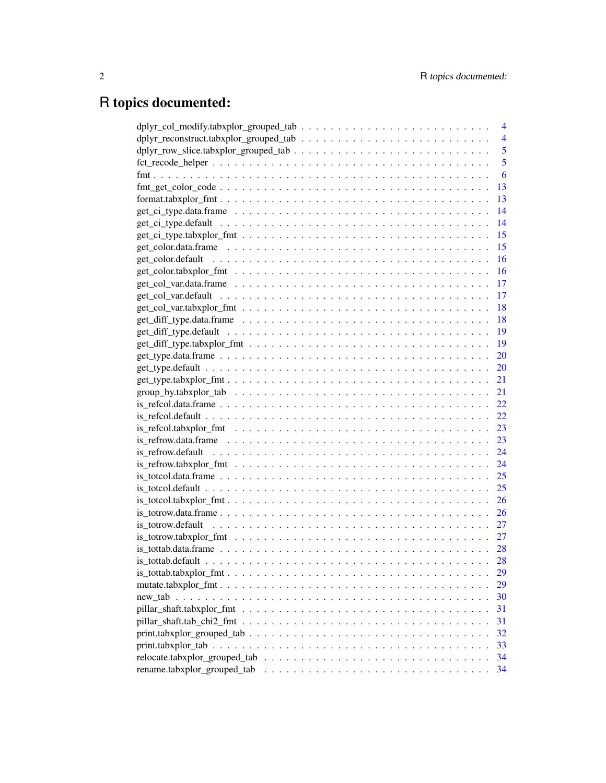# R topics documented:

|                                                                                                                     |  |  | 4              |
|---------------------------------------------------------------------------------------------------------------------|--|--|----------------|
|                                                                                                                     |  |  | $\overline{4}$ |
|                                                                                                                     |  |  | 5              |
|                                                                                                                     |  |  | 5              |
|                                                                                                                     |  |  | 6              |
|                                                                                                                     |  |  | 13             |
|                                                                                                                     |  |  | 13             |
|                                                                                                                     |  |  | 14             |
|                                                                                                                     |  |  | 14             |
|                                                                                                                     |  |  | 15             |
|                                                                                                                     |  |  | 15             |
|                                                                                                                     |  |  | 16             |
|                                                                                                                     |  |  | 16             |
|                                                                                                                     |  |  |                |
|                                                                                                                     |  |  |                |
|                                                                                                                     |  |  | - 18           |
|                                                                                                                     |  |  |                |
|                                                                                                                     |  |  |                |
| $get\_diff\_type. tabxplor\_fmt \dots \dots \dots \dots \dots \dots \dots \dots \dots \dots \dots \dots$            |  |  | - 19           |
|                                                                                                                     |  |  | 20             |
|                                                                                                                     |  |  | 20             |
|                                                                                                                     |  |  | 21             |
|                                                                                                                     |  |  | 21             |
| $is\_refcol.data-frame \dots \dots \dots \dots \dots \dots \dots \dots \dots \dots \dots \dots \dots \dots \dots$   |  |  | 22             |
| $is_refcol.default \dots \dots \dots \dots \dots \dots \dots \dots \dots \dots \dots \dots \dots \dots \dots \dots$ |  |  | 22             |
| $is\_refcol. tabxplor_fmt \ldots \ldots \ldots \ldots \ldots \ldots \ldots \ldots \ldots \ldots \ldots \ldots$      |  |  | 23             |
|                                                                                                                     |  |  | 23             |
|                                                                                                                     |  |  | 24             |
|                                                                                                                     |  |  | 24             |
| $is\_totcol.data-frame \dots \dots \dots \dots \dots \dots \dots \dots \dots \dots \dots \dots \dots \dots \dots$   |  |  | 25             |
|                                                                                                                     |  |  | 25             |
|                                                                                                                     |  |  | 26             |
| $is\_totrow.dataframe \ldots \ldots \ldots \ldots \ldots \ldots \ldots \ldots \ldots \ldots \ldots$                 |  |  | 26             |
|                                                                                                                     |  |  | 27             |
|                                                                                                                     |  |  | 27             |
|                                                                                                                     |  |  | 28             |
|                                                                                                                     |  |  | 28             |
|                                                                                                                     |  |  | 29             |
|                                                                                                                     |  |  | 29             |
|                                                                                                                     |  |  | 30             |
|                                                                                                                     |  |  | 31             |
|                                                                                                                     |  |  | 31             |
|                                                                                                                     |  |  | 32             |
|                                                                                                                     |  |  | 33             |
| $relocated. tabsplor\_grouped\_tab \dots \dots \dots \dots \dots \dots \dots \dots \dots \dots \dots \dots$         |  |  | 34             |
|                                                                                                                     |  |  | 34             |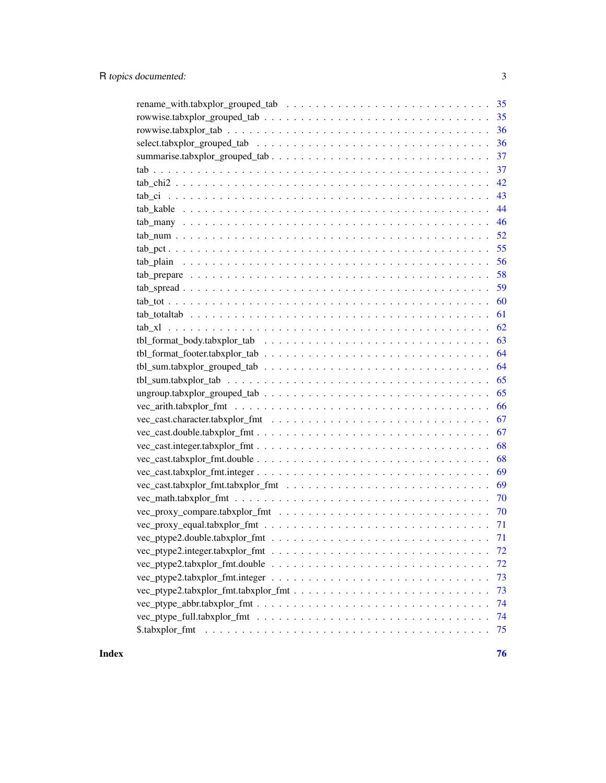| 35                                                                                                                  |
|---------------------------------------------------------------------------------------------------------------------|
| 36                                                                                                                  |
| 36                                                                                                                  |
| 37                                                                                                                  |
| 37                                                                                                                  |
| 42                                                                                                                  |
| 43                                                                                                                  |
| 44                                                                                                                  |
| 46                                                                                                                  |
| 52                                                                                                                  |
| 55                                                                                                                  |
| 56                                                                                                                  |
| 58                                                                                                                  |
| 59                                                                                                                  |
| 60                                                                                                                  |
| 61                                                                                                                  |
| 62                                                                                                                  |
| 63                                                                                                                  |
| 64                                                                                                                  |
| 64                                                                                                                  |
| 65                                                                                                                  |
| 65                                                                                                                  |
| 66                                                                                                                  |
| 67<br>$vec\_cast. character. tabxplor\_fmt \dots \dots \dots \dots \dots \dots \dots \dots \dots \dots \dots \dots$ |
| 67                                                                                                                  |
| 68                                                                                                                  |
| 68                                                                                                                  |
| 69                                                                                                                  |
| 69                                                                                                                  |
| 70                                                                                                                  |
|                                                                                                                     |
|                                                                                                                     |
|                                                                                                                     |
| 72                                                                                                                  |
| 72                                                                                                                  |
| 73                                                                                                                  |
| 73                                                                                                                  |
| 74                                                                                                                  |
| 74                                                                                                                  |
| 75                                                                                                                  |
|                                                                                                                     |

**Index** [76](#page-75-0)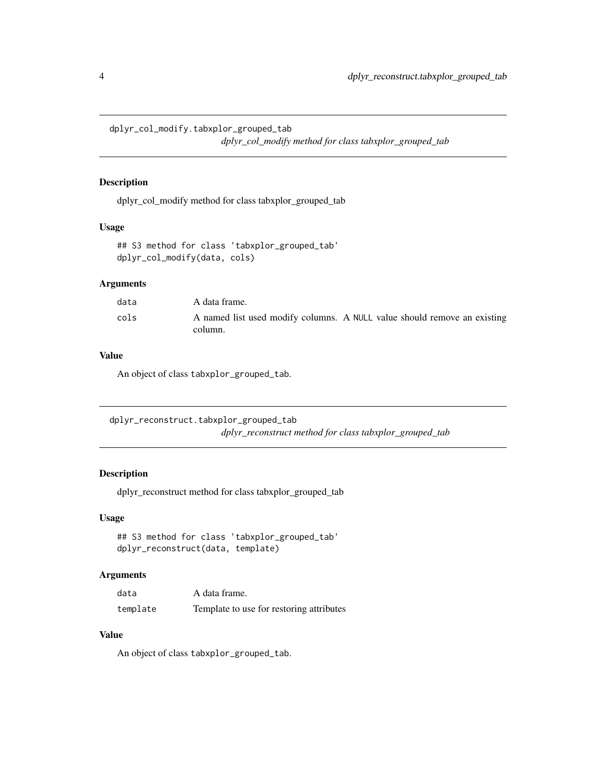<span id="page-3-0"></span>dplyr\_col\_modify.tabxplor\_grouped\_tab

*dplyr\_col\_modify method for class tabxplor\_grouped\_tab*

#### Description

dplyr\_col\_modify method for class tabxplor\_grouped\_tab

# Usage

```
## S3 method for class 'tabxplor_grouped_tab'
dplyr_col_modify(data, cols)
```
# Arguments

| data | A data frame.                                                                       |
|------|-------------------------------------------------------------------------------------|
| cols | A named list used modify columns. A NULL value should remove an existing<br>column. |

#### Value

An object of class tabxplor\_grouped\_tab.

dplyr\_reconstruct.tabxplor\_grouped\_tab *dplyr\_reconstruct method for class tabxplor\_grouped\_tab*

# Description

dplyr\_reconstruct method for class tabxplor\_grouped\_tab

## Usage

```
## S3 method for class 'tabxplor_grouped_tab'
dplyr_reconstruct(data, template)
```
#### Arguments

| data     | A data frame.                            |
|----------|------------------------------------------|
| template | Template to use for restoring attributes |

#### Value

An object of class tabxplor\_grouped\_tab.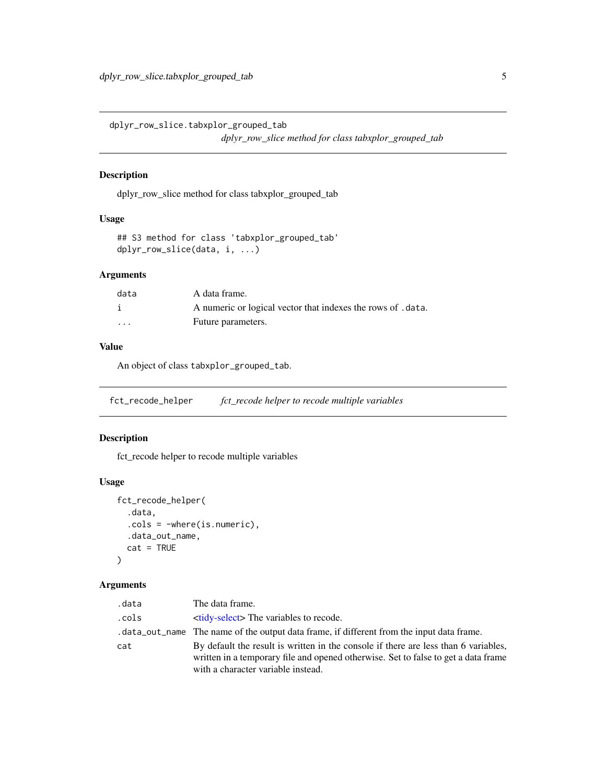<span id="page-4-0"></span>dplyr\_row\_slice.tabxplor\_grouped\_tab

*dplyr\_row\_slice method for class tabxplor\_grouped\_tab*

#### Description

dplyr\_row\_slice method for class tabxplor\_grouped\_tab

# Usage

```
## S3 method for class 'tabxplor_grouped_tab'
dplyr_row_slice(data, i, ...)
```
# Arguments

| data     | A data frame.                                               |
|----------|-------------------------------------------------------------|
|          | A numeric or logical vector that indexes the rows of .data. |
| $\cdots$ | Future parameters.                                          |

#### Value

An object of class tabxplor\_grouped\_tab.

fct\_recode\_helper *fct\_recode helper to recode multiple variables*

#### Description

fct\_recode helper to recode multiple variables

## Usage

```
fct_recode_helper(
  .data,
  .cols = -where(is.numeric),
  .data_out_name,
  cat = TRUE\mathcal{E}
```
# Arguments

| .data | The data frame.                                                                                                                                                                                                 |
|-------|-----------------------------------------------------------------------------------------------------------------------------------------------------------------------------------------------------------------|
| .cols | <b><i><u>stidy-select</u></i>&gt;</b> The variables to recode.                                                                                                                                                  |
|       | . data_out_name The name of the output data frame, if different from the input data frame.                                                                                                                      |
| cat   | By default the result is written in the console if there are less than 6 variables,<br>written in a temporary file and opened otherwise. Set to false to get a data frame<br>with a character variable instead. |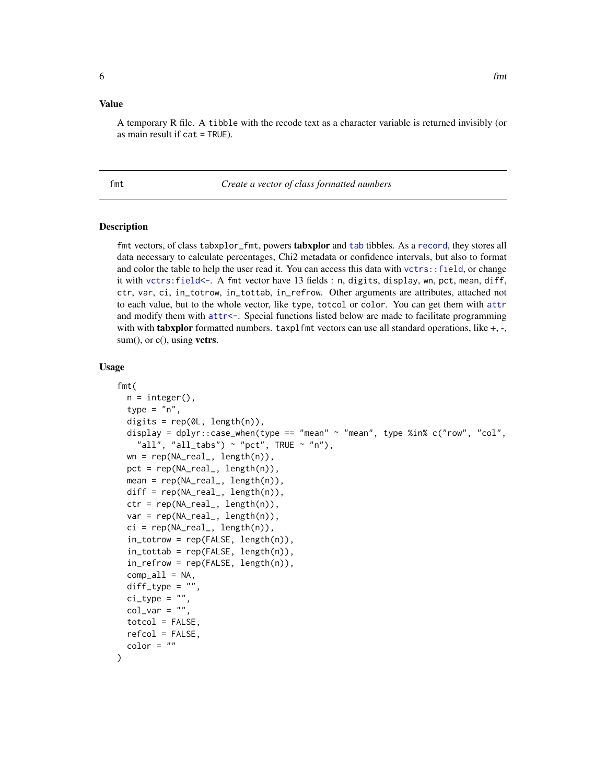#### <span id="page-5-0"></span>Value

A temporary R file. A tibble with the recode text as a character variable is returned invisibly (or as main result if cat = TRUE).

<span id="page-5-1"></span>fmt *Create a vector of class formatted numbers*

#### <span id="page-5-2"></span>Description

fmt vectors, of class [tab](#page-36-1)xplor\_fmt, powers tabxplor and tab tibbles. As a [record](#page-0-0), they stores all data necessary to calculate percentages, Chi2 metadata or confidence intervals, but also to format and color the table to help the user read it. You can access this data with vctrs: : field, or change it with [vctrs:field<-](#page-0-0). A fmt vector have 13 fields : n, digits, display, wn, pct, mean, diff, ctr, var, ci, in\_totrow, in\_tottab, in\_refrow. Other arguments are attributes, attached not to each value, but to the whole vector, like type, totcol or color. You can get them with [attr](#page-0-0) and modify them with [attr<-](#page-0-0). Special functions listed below are made to facilitate programming with with **tabxplor** formatted numbers.  $\text{taxplfmt vectors}$  can use all standard operations, like  $+$ ,  $-$ ,  $sum(),$  or  $c(),$  using vetrs.

#### Usage

```
fmt(
  n = integer(),
  type = "n".
  digits = rep(\mathcal{O}L, length(n)),display = dplyr::case_when(type == "mean" ~ "mean", type %in% c("row", "col",
    "all", "all_tabs") ~ "pct", TRUE ~ "n"),
  wn = rep(NA_real_, length(n)),
  pct = rep(NA_{real_-,} length(n)),mean = rep(NA_{real_1}, length(n)),diff = rep(NA_{real_1}, length(n)),ctr = rep(NA_{real_-, length(n)),var = rep(NA_{real_1}, length(n)),ci = rep(NA_{real_1}, length(n)),in\_totrow = rep(FALSE, length(n)),in\_tottab = rep(FALSE, length(n)),in_refrow = rep(FALSE, length(n)),
  comp_a11 = NA,
  diff\_type = "",ci_type = "".col\_var = "".totcol = FALSE,
  refcol = FALSE,
  color = ")
```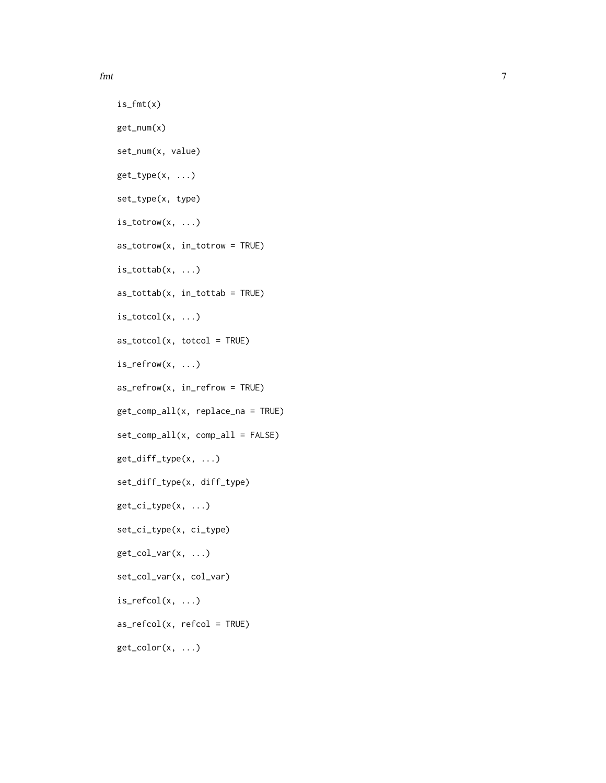fmt 7

```
is_fmt(x)get_num(x)
set_num(x, value)
get_type(x, ...)
set_type(x, type)
is_totrow(x, ...)
as_totrow(x, in_totrow = TRUE)
is\_tottab(x, \ldots)as_tottab(x, in_tottab = TRUE)
is\_totcol(x, \ldots)as\_totcol(x, totcol = TRUE)is_refrow(x, ...)
as_refrow(x, in_refrow = TRUE)
get_comp_all(x, replace_na = TRUE)
set_comp_all(x, comp_all = FALSE)
get_diff_type(x, ...)
set_diff_type(x, diff_type)
get\_ci\_type(x, \ldots)set_ci_type(x, ci_type)
get_col_var(x, ...)
set_col_var(x, col_var)
is\_refcol(x, \ldots)as\_refcol(x, refcol = TRUE)get_color(x, ...)
```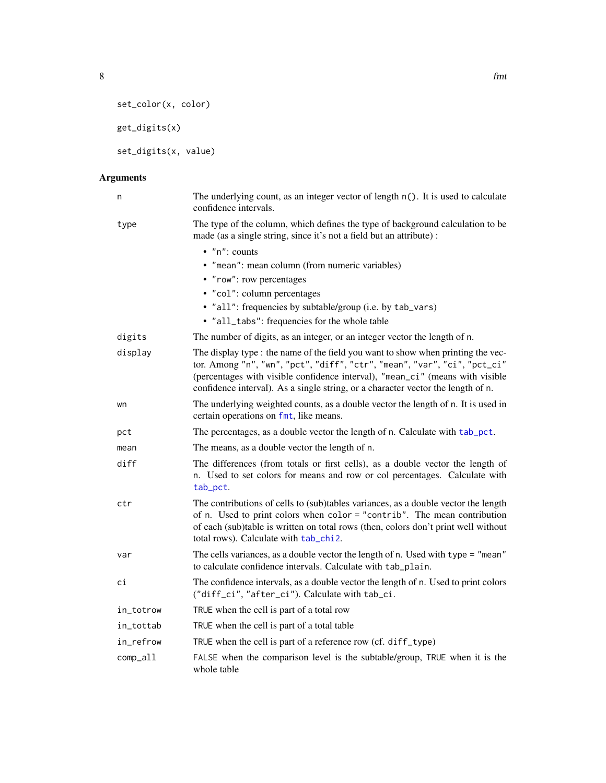8 fmt

```
set_color(x, color)
```
get\_digits(x)

set\_digits(x, value)

# Arguments

| n         | The underlying count, as an integer vector of length n(). It is used to calculate<br>confidence intervals.                                                                                                                                                                                                                         |
|-----------|------------------------------------------------------------------------------------------------------------------------------------------------------------------------------------------------------------------------------------------------------------------------------------------------------------------------------------|
| type      | The type of the column, which defines the type of background calculation to be<br>made (as a single string, since it's not a field but an attribute) :                                                                                                                                                                             |
|           | $\bullet$ "n": counts                                                                                                                                                                                                                                                                                                              |
|           | • "mean": mean column (from numeric variables)                                                                                                                                                                                                                                                                                     |
|           | • "row": row percentages                                                                                                                                                                                                                                                                                                           |
|           | • "col": column percentages                                                                                                                                                                                                                                                                                                        |
|           | • "all": frequencies by subtable/group (i.e. by tab_vars)                                                                                                                                                                                                                                                                          |
|           | • "all_tabs": frequencies for the whole table                                                                                                                                                                                                                                                                                      |
| digits    | The number of digits, as an integer, or an integer vector the length of n.                                                                                                                                                                                                                                                         |
| display   | The display type : the name of the field you want to show when printing the vec-<br>tor. Among "n", "wn", "pct", "diff", "ctr", "mean", "var", "ci", "pct_ci"<br>(percentages with visible confidence interval), "mean_ci" (means with visible<br>confidence interval). As a single string, or a character vector the length of n. |
| wn        | The underlying weighted counts, as a double vector the length of n. It is used in<br>certain operations on fmt, like means.                                                                                                                                                                                                        |
| pct       | The percentages, as a double vector the length of n. Calculate with tab_pct.                                                                                                                                                                                                                                                       |
| mean      | The means, as a double vector the length of n.                                                                                                                                                                                                                                                                                     |
| diff      | The differences (from totals or first cells), as a double vector the length of<br>n. Used to set colors for means and row or col percentages. Calculate with<br>tab_pct.                                                                                                                                                           |
| ctr       | The contributions of cells to (sub)tables variances, as a double vector the length<br>of n. Used to print colors when color = "contrib". The mean contribution<br>of each (sub)table is written on total rows (then, colors don't print well without<br>total rows). Calculate with tab_chi2.                                      |
| var       | The cells variances, as a double vector the length of n. Used with type = "mean"<br>to calculate confidence intervals. Calculate with tab_plain.                                                                                                                                                                                   |
| сi        | The confidence intervals, as a double vector the length of n. Used to print colors<br>("diff_ci", "after_ci"). Calculate with tab_ci.                                                                                                                                                                                              |
| in_totrow | TRUE when the cell is part of a total row                                                                                                                                                                                                                                                                                          |
| in_tottab | TRUE when the cell is part of a total table                                                                                                                                                                                                                                                                                        |
| in_refrow | TRUE when the cell is part of a reference row (cf. diff_type)                                                                                                                                                                                                                                                                      |
| comp_all  | FALSE when the comparison level is the subtable/group, TRUE when it is the<br>whole table                                                                                                                                                                                                                                          |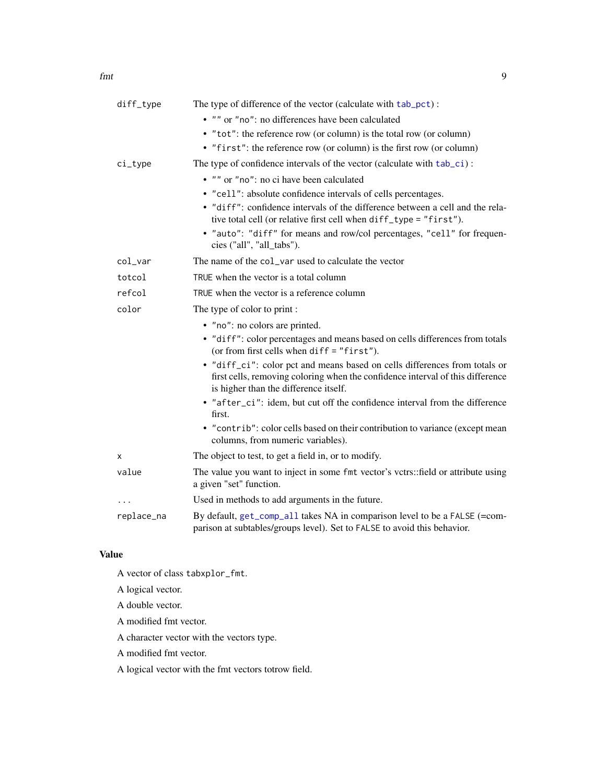| diff_type  | The type of difference of the vector (calculate with tab_pct):                                                                                                                                        |
|------------|-------------------------------------------------------------------------------------------------------------------------------------------------------------------------------------------------------|
|            | • "" or "no": no differences have been calculated                                                                                                                                                     |
|            | • "tot": the reference row (or column) is the total row (or column)                                                                                                                                   |
|            | • "first": the reference row (or column) is the first row (or column)                                                                                                                                 |
| $ci_type$  | The type of confidence intervals of the vector (calculate with tab_ci):                                                                                                                               |
|            | • "" or "no": no ci have been calculated                                                                                                                                                              |
|            | • "cell": absolute confidence intervals of cells percentages.                                                                                                                                         |
|            | • "diff": confidence intervals of the difference between a cell and the rela-<br>tive total cell (or relative first cell when diff_type = "first").                                                   |
|            | • "auto": "diff" for means and row/col percentages, "cell" for frequen-<br>cies ("all", "all_tabs").                                                                                                  |
| col_var    | The name of the col_var used to calculate the vector                                                                                                                                                  |
| totcol     | TRUE when the vector is a total column                                                                                                                                                                |
| refcol     | TRUE when the vector is a reference column                                                                                                                                                            |
| color      | The type of color to print:                                                                                                                                                                           |
|            | • "no": no colors are printed.                                                                                                                                                                        |
|            | • "diff": color percentages and means based on cells differences from totals<br>(or from first cells when $diff = "first").$                                                                          |
|            | • "diff_ci": color pct and means based on cells differences from totals or<br>first cells, removing coloring when the confidence interval of this difference<br>is higher than the difference itself. |
|            | • "after_ci": idem, but cut off the confidence interval from the difference<br>first.                                                                                                                 |
|            | • "contrib": color cells based on their contribution to variance (except mean<br>columns, from numeric variables).                                                                                    |
| x          | The object to test, to get a field in, or to modify.                                                                                                                                                  |
| value      | The value you want to inject in some fmt vector's vetrs: field or attribute using<br>a given "set" function.                                                                                          |
| .          | Used in methods to add arguments in the future.                                                                                                                                                       |
| replace_na | By default, get_comp_all takes NA in comparison level to be a FALSE (=com-<br>parison at subtables/groups level). Set to FALSE to avoid this behavior.                                                |

# Value

A vector of class tabxplor\_fmt.

A logical vector.

A double vector.

A modified fmt vector.

A character vector with the vectors type.

A modified fmt vector.

A logical vector with the fmt vectors totrow field.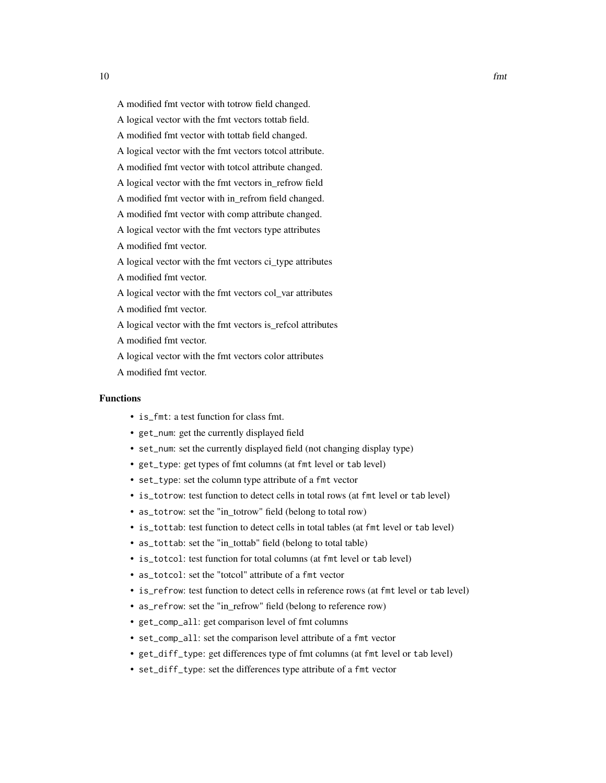- A modified fmt vector with totrow field changed.
- A logical vector with the fmt vectors tottab field.
- A modified fmt vector with tottab field changed.
- A logical vector with the fmt vectors totcol attribute.
- A modified fmt vector with totcol attribute changed.
- A logical vector with the fmt vectors in\_refrow field
- A modified fmt vector with in\_refrom field changed.
- A modified fmt vector with comp attribute changed.
- A logical vector with the fmt vectors type attributes
- A modified fmt vector.
- A logical vector with the fmt vectors ci\_type attributes
- A modified fmt vector.
- A logical vector with the fmt vectors col\_var attributes
- A modified fmt vector.
- A logical vector with the fmt vectors is\_refcol attributes
- A modified fmt vector.
- A logical vector with the fmt vectors color attributes
- A modified fmt vector.

#### Functions

- is\_fmt: a test function for class fmt.
- get\_num: get the currently displayed field
- set\_num: set the currently displayed field (not changing display type)
- get\_type: get types of fmt columns (at fmt level or tab level)
- set\_type: set the column type attribute of a fmt vector
- is\_totrow: test function to detect cells in total rows (at fmt level or tab level)
- as\_totrow: set the "in\_totrow" field (belong to total row)
- is\_tottab: test function to detect cells in total tables (at fmt level or tab level)
- as\_tottab: set the "in\_tottab" field (belong to total table)
- is\_totcol: test function for total columns (at fmt level or tab level)
- as\_totcol: set the "totcol" attribute of a fmt vector
- is\_refrow: test function to detect cells in reference rows (at fmt level or tab level)
- as\_refrow: set the "in\_refrow" field (belong to reference row)
- get\_comp\_all: get comparison level of fmt columns
- set\_comp\_all: set the comparison level attribute of a fmt vector
- get\_diff\_type: get differences type of fmt columns (at fmt level or tab level)
- set\_diff\_type: set the differences type attribute of a fmt vector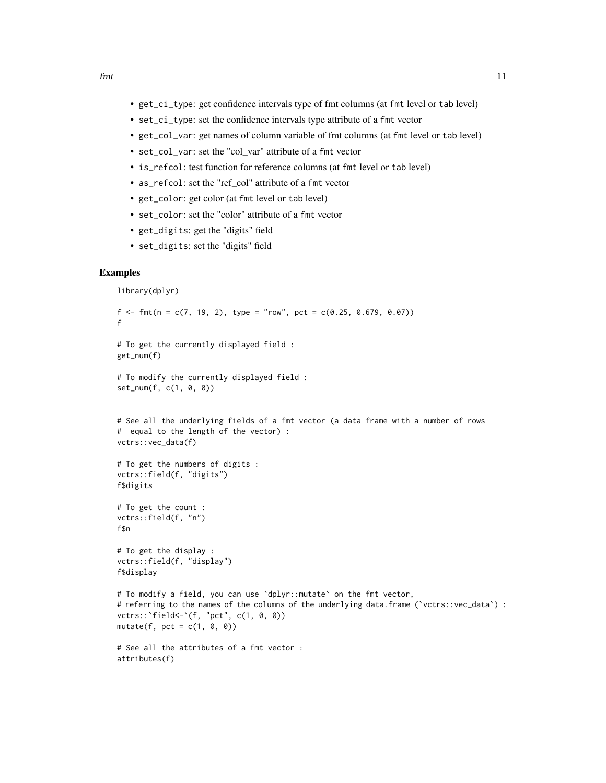- get\_ci\_type: get confidence intervals type of fmt columns (at fmt level or tab level)
- set\_ci\_type: set the confidence intervals type attribute of a fmt vector
- get\_col\_var: get names of column variable of fmt columns (at fmt level or tab level)
- set\_col\_var: set the "col\_var" attribute of a fmt vector
- is\_refcol: test function for reference columns (at fmt level or tab level)
- as\_refcol: set the "ref\_col" attribute of a fmt vector
- get\_color: get color (at fmt level or tab level)
- set\_color: set the "color" attribute of a fmt vector
- get\_digits: get the "digits" field
- set\_digits: set the "digits" field

#### Examples

```
library(dplyr)
f <- fmt(n = c(7, 19, 2), type = "row", pct = c(0.25, 0.679, 0.07))
f
# To get the currently displayed field :
get_num(f)
# To modify the currently displayed field :
set_num(f, c(1, 0, 0))
# See all the underlying fields of a fmt vector (a data frame with a number of rows
# equal to the length of the vector) :
vctrs::vec_data(f)
# To get the numbers of digits :
vctrs::field(f, "digits")
f$digits
# To get the count :
vctrs::field(f, "n")
f$n
# To get the display :
vctrs::field(f, "display")
f$display
# To modify a field, you can use `dplyr::mutate` on the fmt vector,
# referring to the names of the columns of the underlying data.frame (`vctrs::vec_data`) :
vctrs::`field<-`(f, "pct", c(1, 0, 0))
mutate(f, pct = c(1, 0, 0))
# See all the attributes of a fmt vector :
attributes(f)
```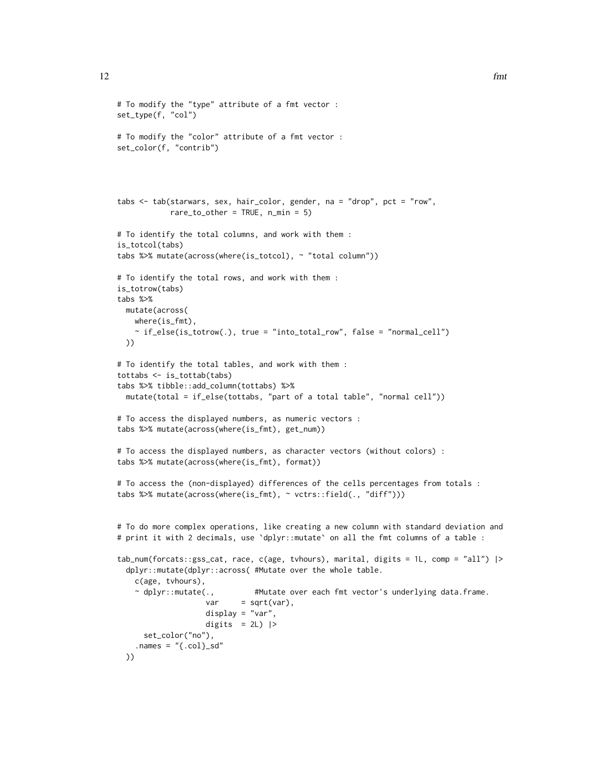```
# To modify the "type" attribute of a fmt vector :
set_type(f, "col")
# To modify the "color" attribute of a fmt vector :
set_color(f, "contrib")
tabs <- tab(starwars, sex, hair_color, gender, na = "drop", pct = "row",
            rare_to_other = TRUE, n.min = 5)# To identify the total columns, and work with them :
is_totcol(tabs)
tabs %>% mutate(across(where(is_totcol), ~ "total column"))
# To identify the total rows, and work with them :
is_totrow(tabs)
tabs %>%
  mutate(across(
   where(is_fmt),
    ~\sim if_else(is_totrow(.), true = "into_total_row", false = "normal_cell")
  ))
# To identify the total tables, and work with them :
tottabs <- is_tottab(tabs)
tabs %>% tibble::add_column(tottabs) %>%
  mutate(total = if_else(tottabs, "part of a total table", "normal cell"))
# To access the displayed numbers, as numeric vectors :
tabs %>% mutate(across(where(is_fmt), get_num))
# To access the displayed numbers, as character vectors (without colors) :
tabs %>% mutate(across(where(is_fmt), format))
# To access the (non-displayed) differences of the cells percentages from totals :
tabs %>% mutate(across(where(is_fmt), ~ vctrs::field(., "diff")))
# To do more complex operations, like creating a new column with standard deviation and
# print it with 2 decimals, use `dplyr::mutate` on all the fmt columns of a table :
tab_num(forcats::gss_cat, race, c(age, tvhours), marital, digits = 1L, comp = "all") |>
  dplyr::mutate(dplyr::across( #Mutate over the whole table.
    c(age, tvhours),
    ~ dplyr::mutate(., #Mutate over each fmt vector's underlying data.frame.
                    var = sqrt(var),display = "var",
                    digits = 2L) |>
      set_color("no"),
    .names = "(.col)_sd"
  ))
```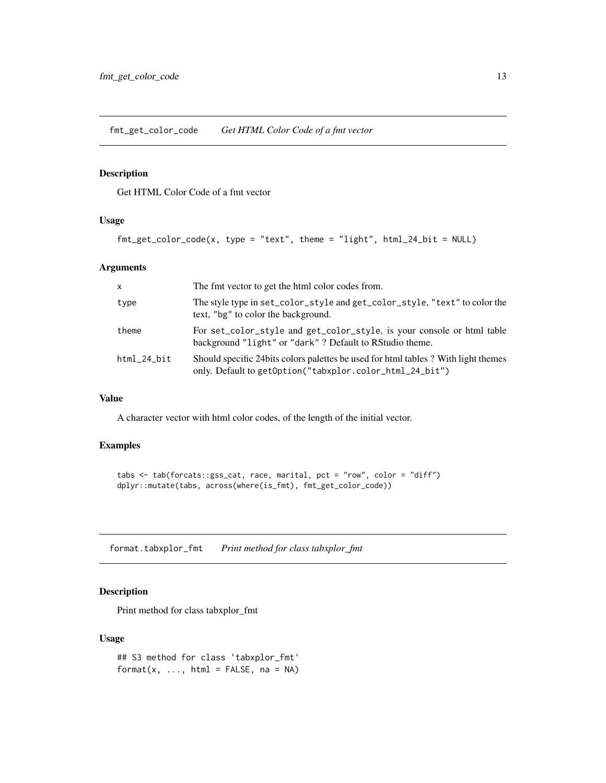<span id="page-12-0"></span>fmt\_get\_color\_code *Get HTML Color Code of a fmt vector*

# Description

Get HTML Color Code of a fmt vector

#### Usage

```
fmt_get_color_code(x, type = "text", theme = "light", html_24_bit = NULL)
```
#### Arguments

| X           | The fmt vector to get the html color codes from.                                                                                               |
|-------------|------------------------------------------------------------------------------------------------------------------------------------------------|
| type        | The style type in set_color_style and get_color_style, "text" to color the<br>text, "bg" to color the background.                              |
| theme       | For set_color_style and get_color_style, is your console or html table<br>background "light" or "dark" ? Default to RStudio theme.             |
| html 24 bit | Should specific 24 bits colors palettes be used for html tables? With light themes<br>only. Default to getOption("tabxplor.color_html_24_bit") |

#### Value

A character vector with html color codes, of the length of the initial vector.

# Examples

```
tabs <- tab(forcats::gss_cat, race, marital, pct = "row", color = "diff")
dplyr::mutate(tabs, across(where(is_fmt), fmt_get_color_code))
```
format.tabxplor\_fmt *Print method for class tabxplor\_fmt*

# Description

Print method for class tabxplor\_fmt

#### Usage

```
## S3 method for class 'tabxplor_fmt'
format(x, \dots, html = FALSE, na = NA)
```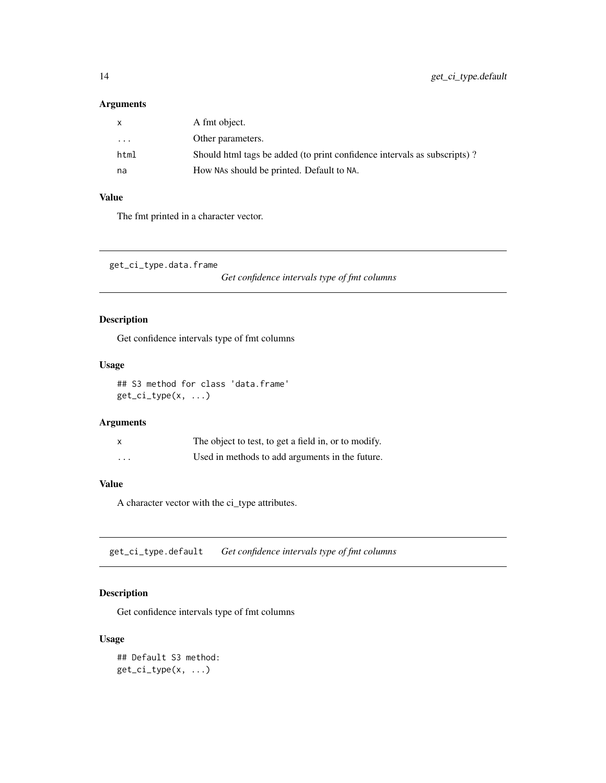#### <span id="page-13-0"></span>Arguments

| X    | A fmt object.                                                            |
|------|--------------------------------------------------------------------------|
| .    | Other parameters.                                                        |
| html | Should html tags be added (to print confidence intervals as subscripts)? |
| na   | How NAs should be printed. Default to NA.                                |

# Value

The fmt printed in a character vector.

get\_ci\_type.data.frame

*Get confidence intervals type of fmt columns*

# Description

Get confidence intervals type of fmt columns

#### Usage

```
## S3 method for class 'data.frame'
get_ci_type(x, ...)
```
#### Arguments

|          | The object to test, to get a field in, or to modify. |
|----------|------------------------------------------------------|
| $\cdots$ | Used in methods to add arguments in the future.      |

# Value

A character vector with the ci\_type attributes.

get\_ci\_type.default *Get confidence intervals type of fmt columns*

# Description

Get confidence intervals type of fmt columns

#### Usage

## Default S3 method:  $get\_ci\_type(x, \ldots)$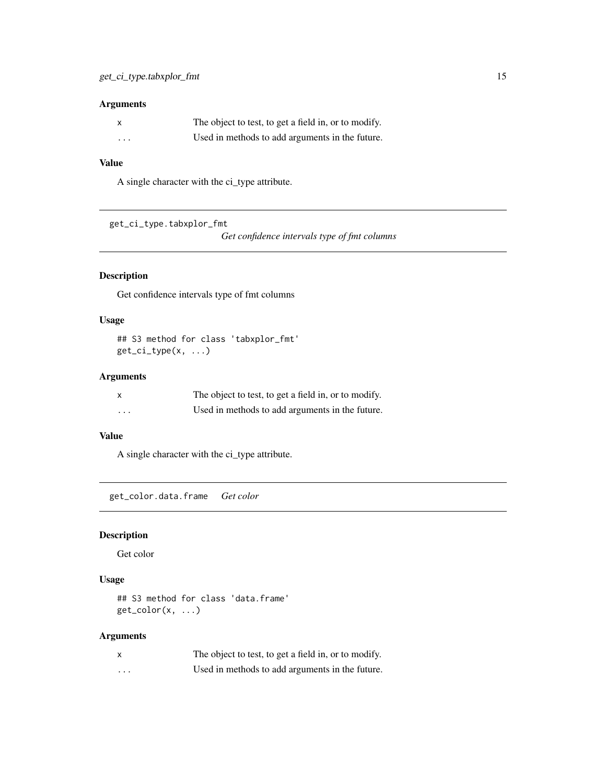# <span id="page-14-0"></span>Arguments

| $\boldsymbol{\mathsf{x}}$ | The object to test, to get a field in, or to modify. |
|---------------------------|------------------------------------------------------|
| $\cdots$                  | Used in methods to add arguments in the future.      |

# Value

A single character with the ci\_type attribute.

get\_ci\_type.tabxplor\_fmt

*Get confidence intervals type of fmt columns*

# Description

Get confidence intervals type of fmt columns

#### Usage

## S3 method for class 'tabxplor\_fmt' get\_ci\_type(x, ...)

#### Arguments

|         | The object to test, to get a field in, or to modify. |
|---------|------------------------------------------------------|
| $\cdot$ | Used in methods to add arguments in the future.      |

# Value

A single character with the ci\_type attribute.

get\_color.data.frame *Get color*

#### Description

Get color

#### Usage

## S3 method for class 'data.frame'  $get\_color(x, ...)$ 

# Arguments

|   | The object to test, to get a field in, or to modify. |
|---|------------------------------------------------------|
| . | Used in methods to add arguments in the future.      |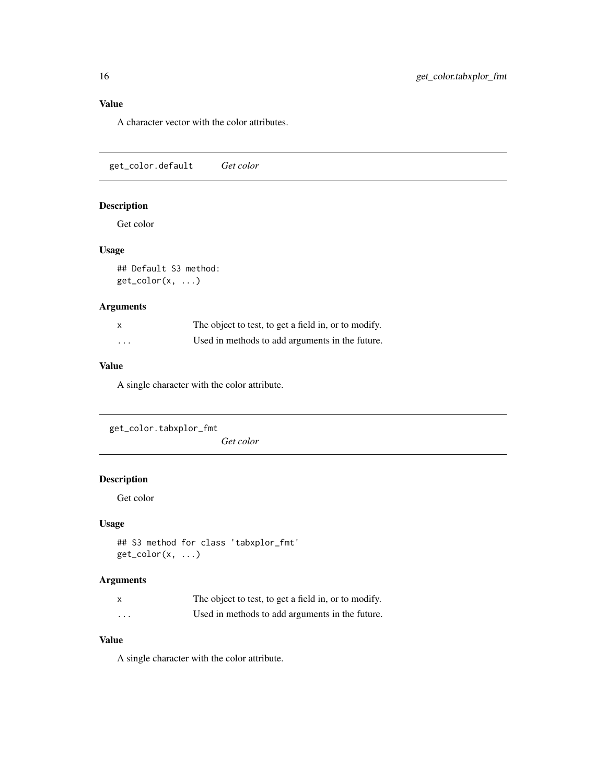# <span id="page-15-0"></span>Value

A character vector with the color attributes.

get\_color.default *Get color*

# Description

Get color

# Usage

## Default S3 method: get\_color(x, ...)

# Arguments

| X        | The object to test, to get a field in, or to modify. |
|----------|------------------------------------------------------|
| $\cdots$ | Used in methods to add arguments in the future.      |

# Value

A single character with the color attribute.

```
get_color.tabxplor_fmt
                       Get color
```
# Description

Get color

#### Usage

```
## S3 method for class 'tabxplor_fmt'
get\_color(x, ...)
```
# Arguments

|                         | The object to test, to get a field in, or to modify. |
|-------------------------|------------------------------------------------------|
| $\cdot$ $\cdot$ $\cdot$ | Used in methods to add arguments in the future.      |

## Value

A single character with the color attribute.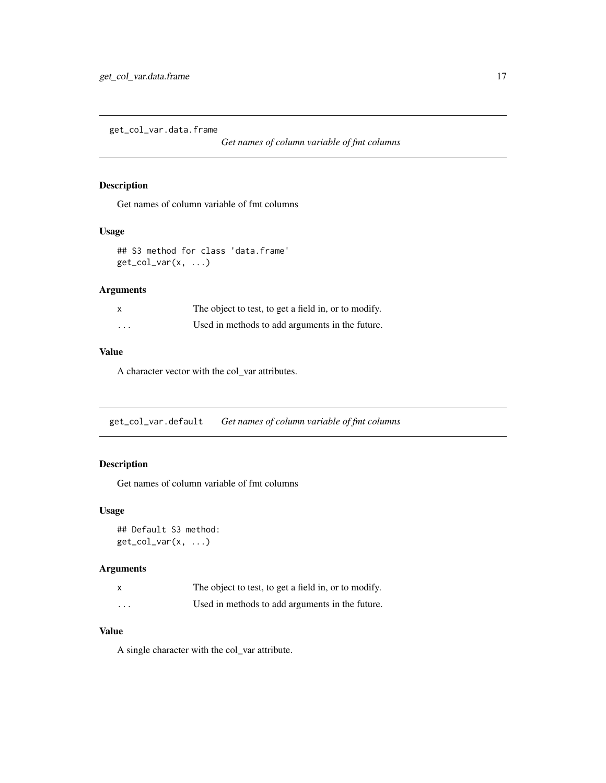<span id="page-16-0"></span>get\_col\_var.data.frame

*Get names of column variable of fmt columns*

#### Description

Get names of column variable of fmt columns

#### Usage

## S3 method for class 'data.frame'  $get\_col\_var(x, \ldots)$ 

# Arguments

|         | The object to test, to get a field in, or to modify. |
|---------|------------------------------------------------------|
| $\cdot$ | Used in methods to add arguments in the future.      |

#### Value

A character vector with the col\_var attributes.

get\_col\_var.default *Get names of column variable of fmt columns*

# Description

Get names of column variable of fmt columns

#### Usage

## Default S3 method:  $get\_col\_var(x, \ldots)$ 

#### Arguments

|         | The object to test, to get a field in, or to modify. |
|---------|------------------------------------------------------|
| $\cdot$ | Used in methods to add arguments in the future.      |

# Value

A single character with the col\_var attribute.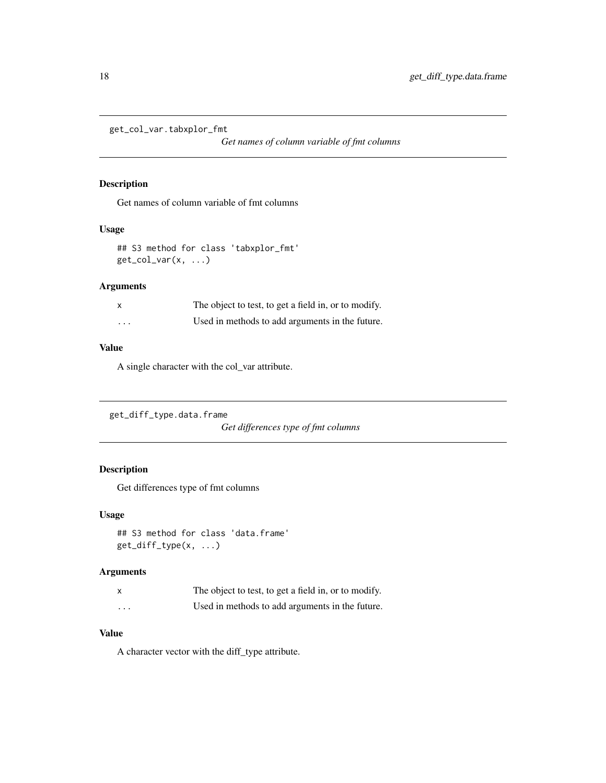<span id="page-17-0"></span>get\_col\_var.tabxplor\_fmt

*Get names of column variable of fmt columns*

# Description

Get names of column variable of fmt columns

#### Usage

## S3 method for class 'tabxplor\_fmt' get\_col\_var(x, ...)

#### Arguments

|          | The object to test, to get a field in, or to modify. |
|----------|------------------------------------------------------|
| $\cdots$ | Used in methods to add arguments in the future.      |

#### Value

A single character with the col\_var attribute.

```
get_diff_type.data.frame
```
*Get differences type of fmt columns*

# Description

Get differences type of fmt columns

#### Usage

```
## S3 method for class 'data.frame'
get_diff_type(x, ...)
```
# Arguments

|          | The object to test, to get a field in, or to modify. |
|----------|------------------------------------------------------|
| $\cdots$ | Used in methods to add arguments in the future.      |

# Value

A character vector with the diff\_type attribute.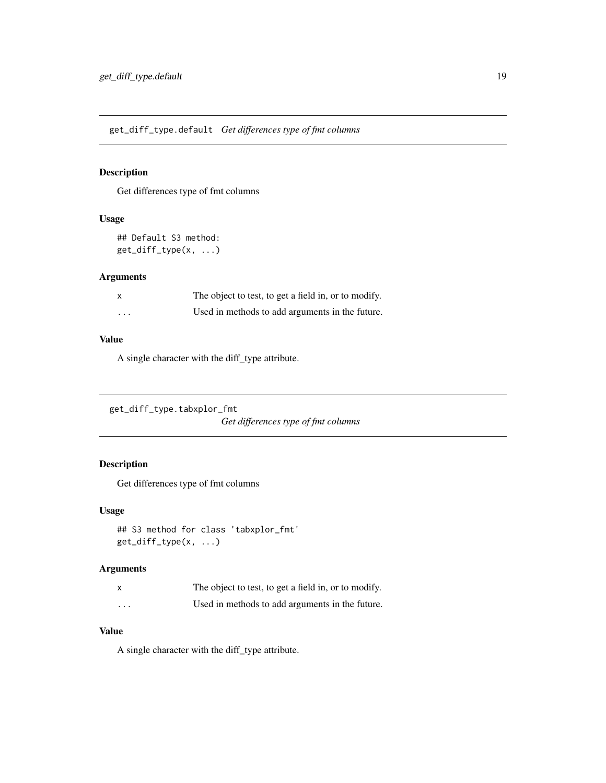<span id="page-18-0"></span>get\_diff\_type.default *Get differences type of fmt columns*

# Description

Get differences type of fmt columns

# Usage

## Default S3 method: get\_diff\_type(x, ...)

# Arguments

| $\times$ | The object to test, to get a field in, or to modify. |
|----------|------------------------------------------------------|
| $\cdots$ | Used in methods to add arguments in the future.      |

#### Value

A single character with the diff\_type attribute.

```
get_diff_type.tabxplor_fmt
```
*Get differences type of fmt columns*

# Description

Get differences type of fmt columns

# Usage

```
## S3 method for class 'tabxplor_fmt'
get_diff_type(x, ...)
```
# Arguments

|          | The object to test, to get a field in, or to modify. |
|----------|------------------------------------------------------|
| $\cdots$ | Used in methods to add arguments in the future.      |

# Value

A single character with the diff\_type attribute.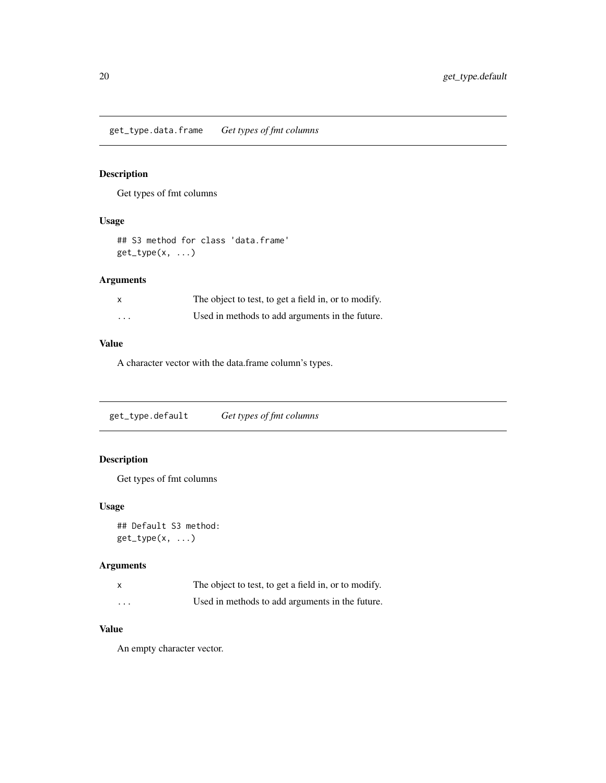<span id="page-19-0"></span>get\_type.data.frame *Get types of fmt columns*

# Description

Get types of fmt columns

#### Usage

```
## S3 method for class 'data.frame'
get_type(x, ...)
```
# Arguments

| $\boldsymbol{\mathsf{x}}$ | The object to test, to get a field in, or to modify. |
|---------------------------|------------------------------------------------------|
| $\cdots$                  | Used in methods to add arguments in the future.      |

# Value

A character vector with the data.frame column's types.

get\_type.default *Get types of fmt columns*

# Description

Get types of fmt columns

#### Usage

## Default S3 method: get\_type(x, ...)

# Arguments

| $\boldsymbol{\mathsf{x}}$ | The object to test, to get a field in, or to modify. |
|---------------------------|------------------------------------------------------|
| $\cdots$                  | Used in methods to add arguments in the future.      |

#### Value

An empty character vector.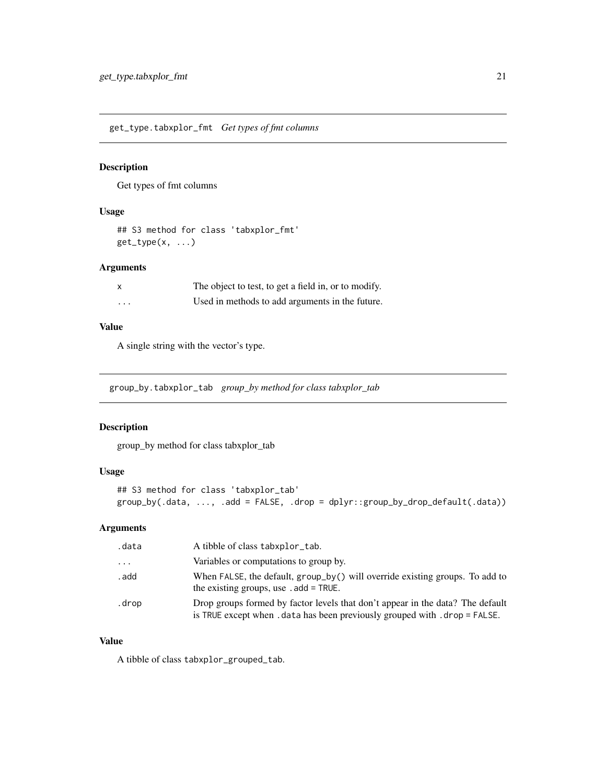<span id="page-20-0"></span>get\_type.tabxplor\_fmt *Get types of fmt columns*

# Description

Get types of fmt columns

#### Usage

## S3 method for class 'tabxplor\_fmt'  $get_type(x, \ldots)$ 

#### Arguments

|          | The object to test, to get a field in, or to modify. |
|----------|------------------------------------------------------|
| $\cdots$ | Used in methods to add arguments in the future.      |

#### Value

A single string with the vector's type.

group\_by.tabxplor\_tab *group\_by method for class tabxplor\_tab*

#### Description

group\_by method for class tabxplor\_tab

# Usage

```
## S3 method for class 'tabxplor_tab'
group_by(.data, ..., .add = FALSE, .drop = dplyr::group_by_drop_default(.data))
```
# Arguments

| .data   | A tibble of class tabxplor_tab.                                                                                                                               |
|---------|---------------------------------------------------------------------------------------------------------------------------------------------------------------|
| $\cdot$ | Variables or computations to group by.                                                                                                                        |
| . add   | When FALSE, the default, group_by() will override existing groups. To add to<br>the existing groups, use $ad = \text{TRUE}$ .                                 |
| .drop   | Drop groups formed by factor levels that don't appear in the data? The default<br>is TRUE except when . data has been previously grouped with . drop = FALSE. |

#### Value

A tibble of class tabxplor\_grouped\_tab.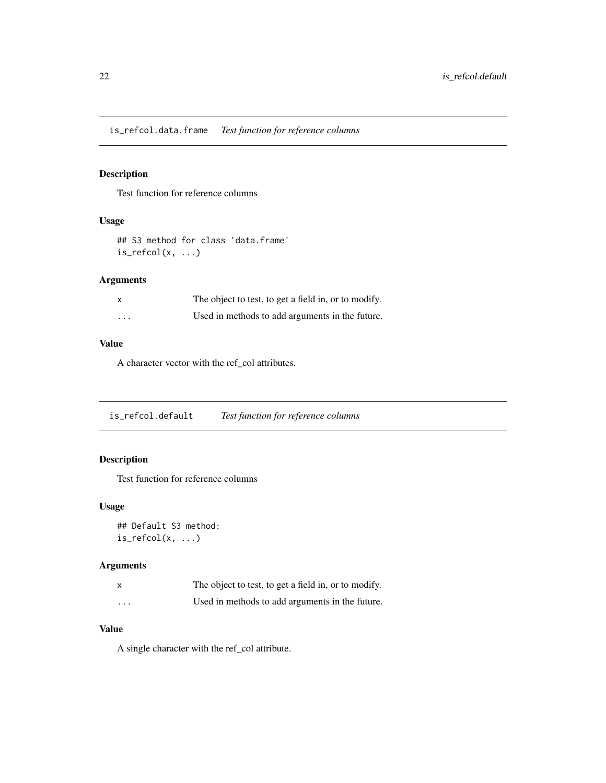<span id="page-21-0"></span>is\_refcol.data.frame *Test function for reference columns*

# Description

Test function for reference columns

#### Usage

## S3 method for class 'data.frame'  $is\_refcol(x, \ldots)$ 

# Arguments

| $\boldsymbol{\mathsf{x}}$ | The object to test, to get a field in, or to modify. |
|---------------------------|------------------------------------------------------|
| $\cdots$                  | Used in methods to add arguments in the future.      |

# Value

A character vector with the ref\_col attributes.

is\_refcol.default *Test function for reference columns*

# Description

Test function for reference columns

#### Usage

## Default S3 method:  $is\_refcol(x, ...)$ 

# Arguments

|   | The object to test, to get a field in, or to modify. |
|---|------------------------------------------------------|
| . | Used in methods to add arguments in the future.      |

#### Value

A single character with the ref\_col attribute.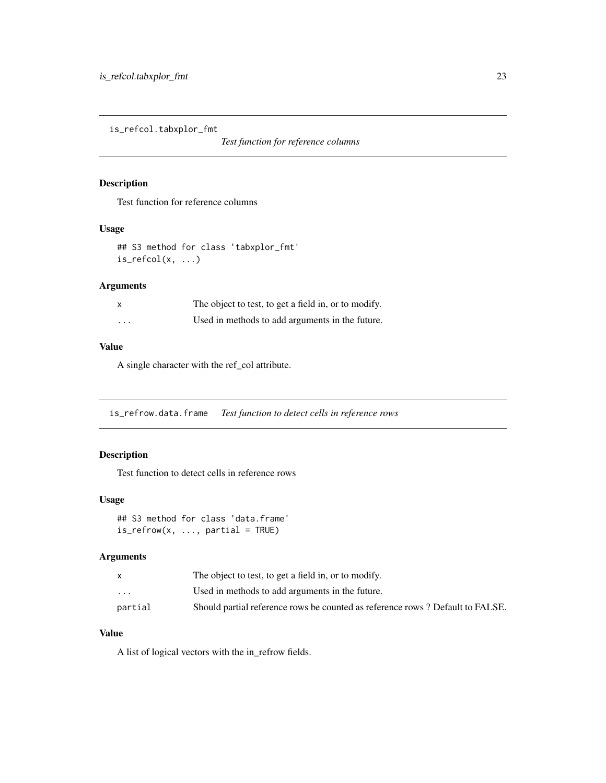<span id="page-22-0"></span>is\_refcol.tabxplor\_fmt

*Test function for reference columns*

# Description

Test function for reference columns

#### Usage

## S3 method for class 'tabxplor\_fmt' is\_refcol(x, ...)

# Arguments

|         | The object to test, to get a field in, or to modify. |
|---------|------------------------------------------------------|
| $\cdot$ | Used in methods to add arguments in the future.      |

#### Value

A single character with the ref\_col attribute.

is\_refrow.data.frame *Test function to detect cells in reference rows*

# Description

Test function to detect cells in reference rows

# Usage

```
## S3 method for class 'data.frame'
is_refrom(x, ..., partial = TRUE)
```
#### Arguments

|                         | The object to test, to get a field in, or to modify.                          |
|-------------------------|-------------------------------------------------------------------------------|
| $\cdot$ $\cdot$ $\cdot$ | Used in methods to add arguments in the future.                               |
| partial                 | Should partial reference rows be counted as reference rows? Default to FALSE. |

# Value

A list of logical vectors with the in\_refrow fields.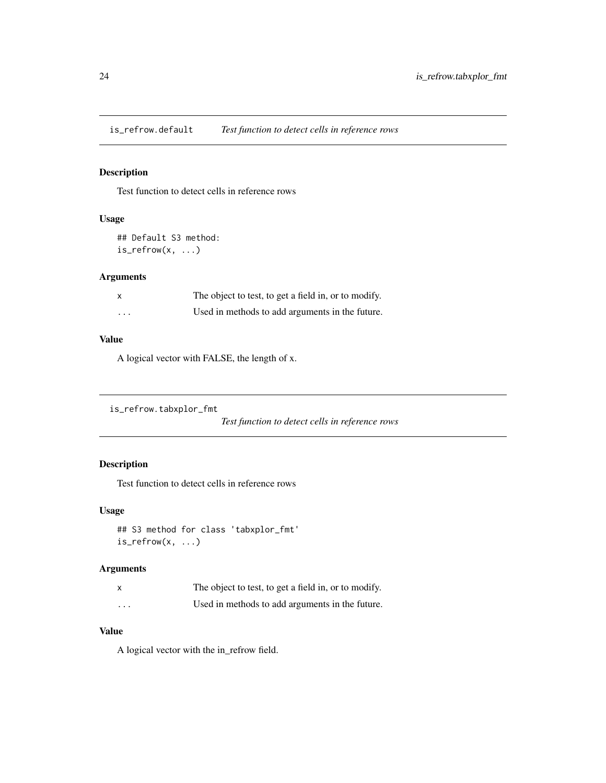<span id="page-23-0"></span>is\_refrow.default *Test function to detect cells in reference rows*

# Description

Test function to detect cells in reference rows

# Usage

```
## Default S3 method:
is_refrow(x, ...)
```
# Arguments

| $\boldsymbol{\mathsf{x}}$ | The object to test, to get a field in, or to modify. |
|---------------------------|------------------------------------------------------|
| $\cdots$                  | Used in methods to add arguments in the future.      |

#### Value

A logical vector with FALSE, the length of x.

```
is_refrow.tabxplor_fmt
```
*Test function to detect cells in reference rows*

# Description

Test function to detect cells in reference rows

# Usage

```
## S3 method for class 'tabxplor_fmt'
is\_refrow(x, ...)
```
# Arguments

|                         | The object to test, to get a field in, or to modify. |
|-------------------------|------------------------------------------------------|
| $\cdot$ $\cdot$ $\cdot$ | Used in methods to add arguments in the future.      |

# Value

A logical vector with the in\_refrow field.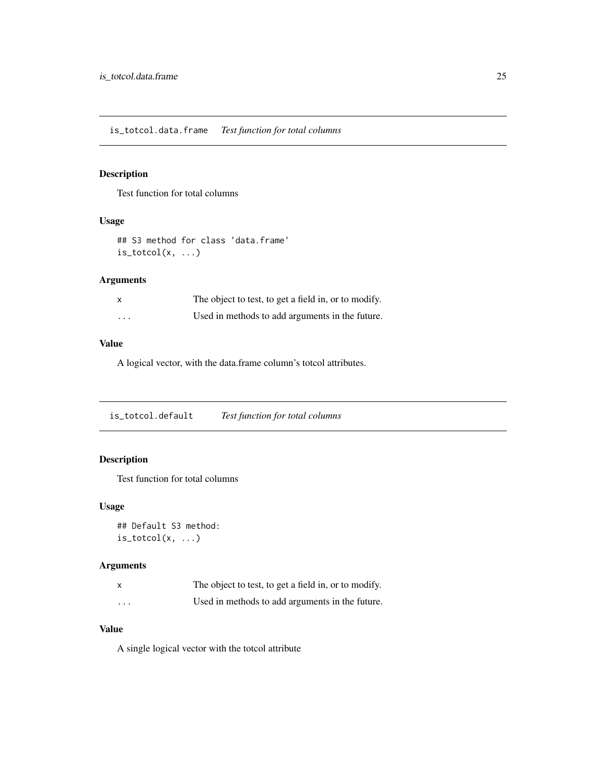<span id="page-24-0"></span>is\_totcol.data.frame *Test function for total columns*

# Description

Test function for total columns

#### Usage

## S3 method for class 'data.frame'  $is\_totcol(x, \ldots)$ 

# Arguments

| $\boldsymbol{\mathsf{x}}$ | The object to test, to get a field in, or to modify. |
|---------------------------|------------------------------------------------------|
| $\cdots$                  | Used in methods to add arguments in the future.      |

# Value

A logical vector, with the data.frame column's totcol attributes.

is\_totcol.default *Test function for total columns*

# Description

Test function for total columns

#### Usage

## Default S3 method:  $is\_totcol(x, \ldots)$ 

# Arguments

|   | The object to test, to get a field in, or to modify. |
|---|------------------------------------------------------|
| . | Used in methods to add arguments in the future.      |

#### Value

A single logical vector with the totcol attribute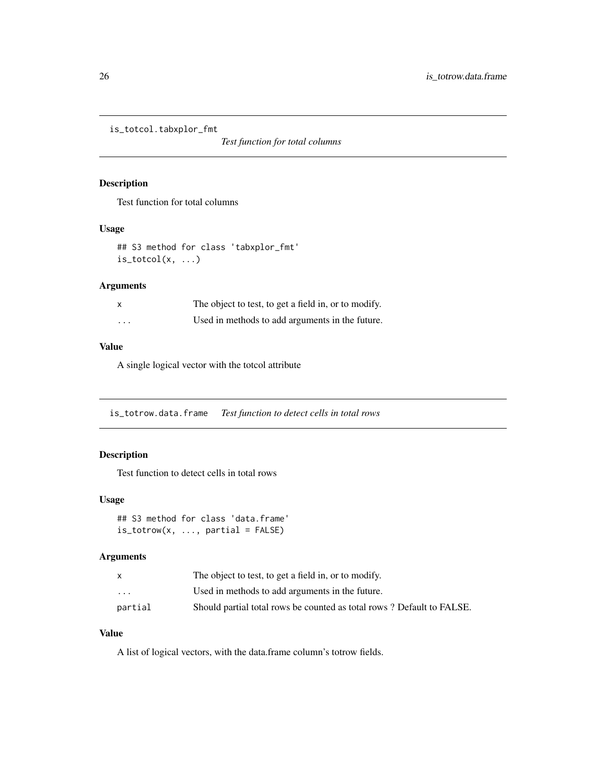<span id="page-25-0"></span>is\_totcol.tabxplor\_fmt

*Test function for total columns*

# Description

Test function for total columns

#### Usage

## S3 method for class 'tabxplor\_fmt'  $is\_totcol(x, \ldots)$ 

# Arguments

|         | The object to test, to get a field in, or to modify. |
|---------|------------------------------------------------------|
| $\cdot$ | Used in methods to add arguments in the future.      |

#### Value

A single logical vector with the totcol attribute

is\_totrow.data.frame *Test function to detect cells in total rows*

# Description

Test function to detect cells in total rows

# Usage

```
## S3 method for class 'data.frame'
is\_totrow(x, ..., partial = FALSE)
```
#### Arguments

|                         | The object to test, to get a field in, or to modify.                  |
|-------------------------|-----------------------------------------------------------------------|
| $\cdot$ $\cdot$ $\cdot$ | Used in methods to add arguments in the future.                       |
| partial                 | Should partial total rows be counted as total rows? Default to FALSE. |

# Value

A list of logical vectors, with the data.frame column's totrow fields.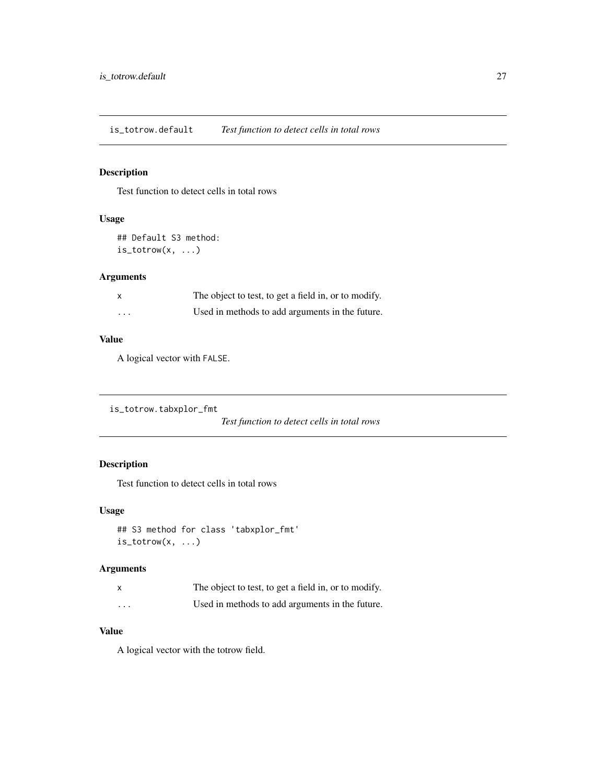<span id="page-26-0"></span>is\_totrow.default *Test function to detect cells in total rows*

# Description

Test function to detect cells in total rows

# Usage

```
## Default S3 method:
is_totrow(x, ...)
```
# Arguments

| $\boldsymbol{\mathsf{x}}$ | The object to test, to get a field in, or to modify. |
|---------------------------|------------------------------------------------------|
| $\cdots$                  | Used in methods to add arguments in the future.      |

#### Value

A logical vector with FALSE.

```
is_totrow.tabxplor_fmt
```
*Test function to detect cells in total rows*

# Description

Test function to detect cells in total rows

# Usage

```
## S3 method for class 'tabxplor_fmt'
is\_totrow(x, \ldots)
```
# Arguments

|                         | The object to test, to get a field in, or to modify. |
|-------------------------|------------------------------------------------------|
| $\cdot$ $\cdot$ $\cdot$ | Used in methods to add arguments in the future.      |

# Value

A logical vector with the totrow field.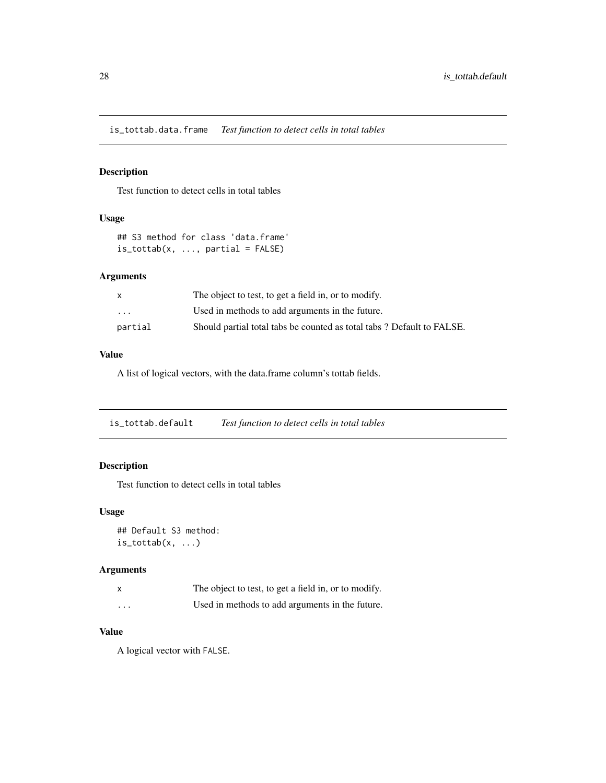<span id="page-27-0"></span>is\_tottab.data.frame *Test function to detect cells in total tables*

# Description

Test function to detect cells in total tables

# Usage

```
## S3 method for class 'data.frame'
is\_tottab(x, ..., partial = FALSE)
```
# Arguments

| $\mathsf{x}$            | The object to test, to get a field in, or to modify.                  |
|-------------------------|-----------------------------------------------------------------------|
| $\cdot$ $\cdot$ $\cdot$ | Used in methods to add arguments in the future.                       |
| partial                 | Should partial total tabs be counted as total tabs? Default to FALSE. |

# Value

A list of logical vectors, with the data.frame column's tottab fields.

is\_tottab.default *Test function to detect cells in total tables*

# Description

Test function to detect cells in total tables

#### Usage

```
## Default S3 method:
is\_tottab(x, \ldots)
```
# Arguments

|          | The object to test, to get a field in, or to modify. |
|----------|------------------------------------------------------|
| $\cdots$ | Used in methods to add arguments in the future.      |

# Value

A logical vector with FALSE.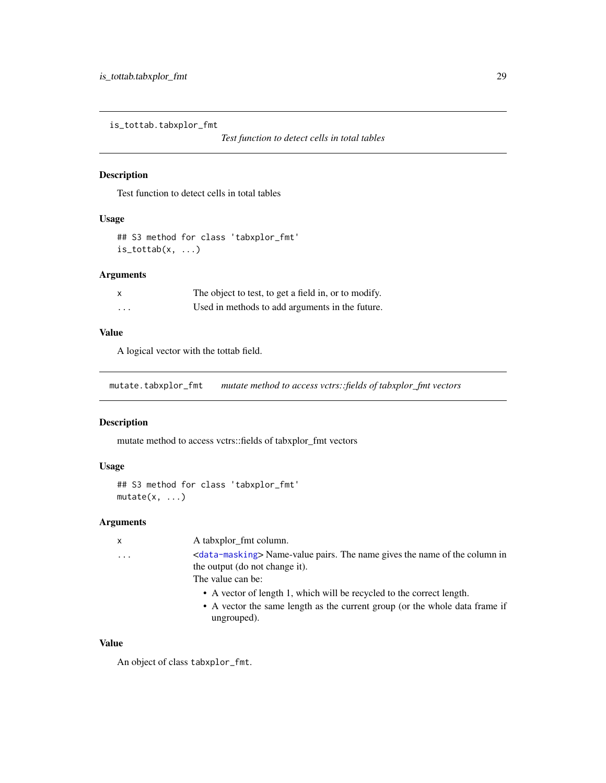<span id="page-28-0"></span>is\_tottab.tabxplor\_fmt

# Description

Test function to detect cells in total tables

# Usage

```
## S3 method for class 'tabxplor_fmt'
is\_tottab(x, \ldots)
```
# Arguments

| X | The object to test, to get a field in, or to modify. |
|---|------------------------------------------------------|
| . | Used in methods to add arguments in the future.      |

# Value

A logical vector with the tottab field.

mutate.tabxplor\_fmt *mutate method to access vctrs::fields of tabxplor\_fmt vectors*

#### Description

mutate method to access vctrs::fields of tabxplor\_fmt vectors

# Usage

```
## S3 method for class 'tabxplor_fmt'
mutate(x, ...)
```
# Arguments

| X                       | A tabxplor_fmt column.                                                                                                                                              |
|-------------------------|---------------------------------------------------------------------------------------------------------------------------------------------------------------------|
| $\cdot$ $\cdot$ $\cdot$ | <data-masking> Name-value pairs. The name gives the name of the column in<br/>the output (do not change it).</data-masking>                                         |
|                         | The value can be:                                                                                                                                                   |
|                         | • A vector of length 1, which will be recycled to the correct length.<br>• A vector the same length as the current group (or the whole data frame if<br>ungrouped). |

# Value

An object of class tabxplor\_fmt.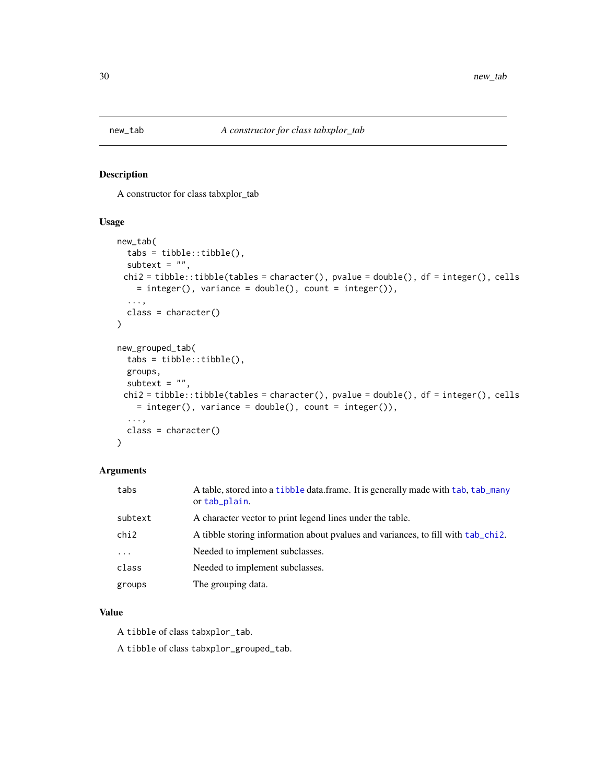<span id="page-29-0"></span>

#### Description

A constructor for class tabxplor\_tab

# Usage

```
new_tab(
  tabs = tibble::tibble(),
  subtext = ",
 chi2 = tibble::tibble(tables = character(), pvalue = double(), df = integer(), cells
    = integer(), variance = double(), count = integer(),...,
  class = character()
\lambdanew_grouped_tab(
  tabs = tibble::tibble(),
  groups,
  subtext = ",
 chi2 = tibble::tibble(tables = character(), pvalue = double(), df = integer(), cells
    = integer(), variance = double(), count = integer()),
  ...,
  class = character()
)
```
# Arguments

| tabs     | A table, stored into a tibble data.frame. It is generally made with tab, tab_many<br>or tab plain. |
|----------|----------------------------------------------------------------------------------------------------|
| subtext  | A character vector to print legend lines under the table.                                          |
| chi2     | A tibble storing information about pvalues and variances, to fill with tab chi2.                   |
| $\cdots$ | Needed to implement subclasses.                                                                    |
| class    | Needed to implement subclasses.                                                                    |
| groups   | The grouping data.                                                                                 |

#### Value

A tibble of class tabxplor\_tab.

A tibble of class tabxplor\_grouped\_tab.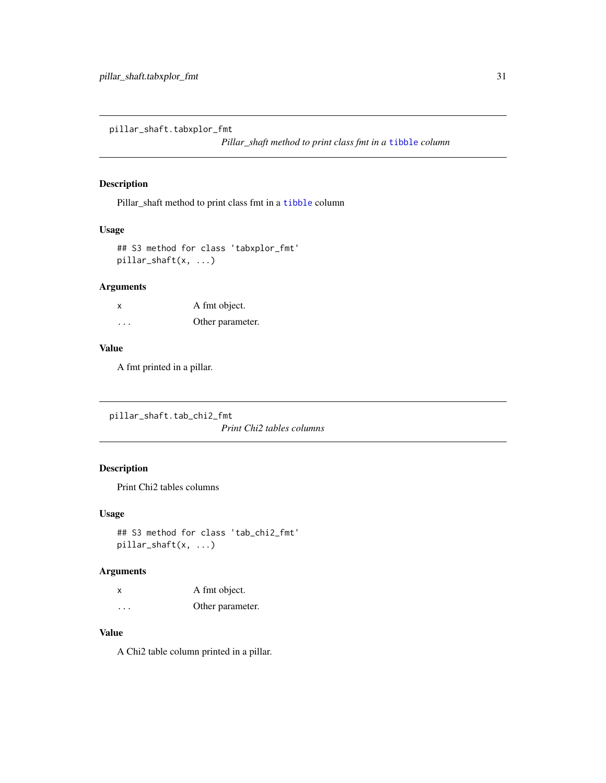<span id="page-30-0"></span>pillar\_shaft.tabxplor\_fmt

*Pillar\_shaft method to print class fmt in a* [tibble](#page-0-0) *column*

# Description

Pillar\_shaft method to print class fmt in a [tibble](#page-0-0) column

#### Usage

```
## S3 method for class 'tabxplor_fmt'
pillar_shaft(x, ...)
```
#### Arguments

| x | A fmt object.    |
|---|------------------|
| . | Other parameter. |

# Value

A fmt printed in a pillar.

pillar\_shaft.tab\_chi2\_fmt *Print Chi2 tables columns*

# Description

Print Chi2 tables columns

#### Usage

```
## S3 method for class 'tab_chi2_fmt'
pillar_shaft(x, ...)
```
# Arguments

| x        | A fmt object.    |
|----------|------------------|
| $\cdots$ | Other parameter. |

# Value

A Chi2 table column printed in a pillar.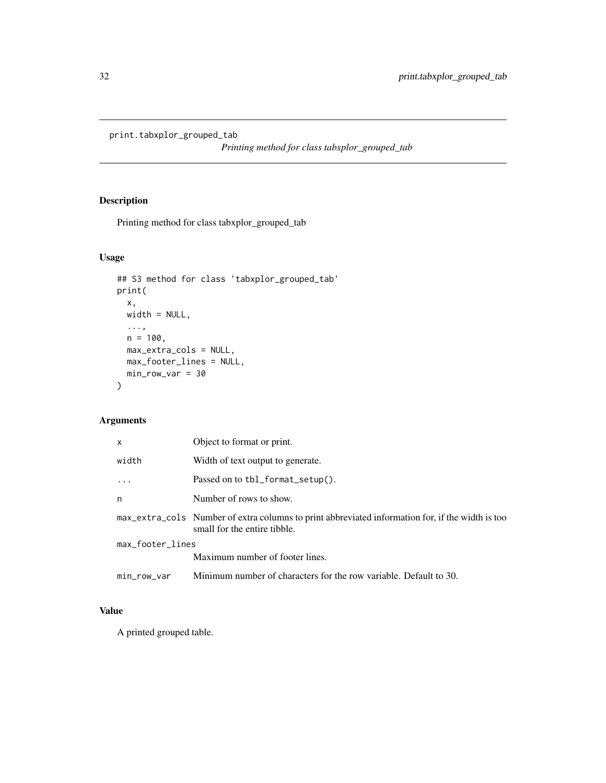<span id="page-31-0"></span>print.tabxplor\_grouped\_tab

*Printing method for class tabxplor\_grouped\_tab*

# Description

Printing method for class tabxplor\_grouped\_tab

# Usage

```
## S3 method for class 'tabxplor_grouped_tab'
print(
  x,
  width = NULL,
  ...,
  n = 100,max_extra_cols = NULL,
  max_footer_lines = NULL,
  min\_row\_var = 30\mathcal{E}
```
# Arguments

| X                | Object to format or print.                                                                                                       |
|------------------|----------------------------------------------------------------------------------------------------------------------------------|
| width            | Width of text output to generate.                                                                                                |
|                  | Passed on to tbl_format_setup().                                                                                                 |
| n                | Number of rows to show.                                                                                                          |
|                  | max_extra_cols Number of extra columns to print abbreviated information for, if the width is too<br>small for the entire tibble. |
| max_footer_lines |                                                                                                                                  |
|                  | Maximum number of footer lines.                                                                                                  |
| min_row_var      | Minimum number of characters for the row variable. Default to 30.                                                                |

# Value

A printed grouped table.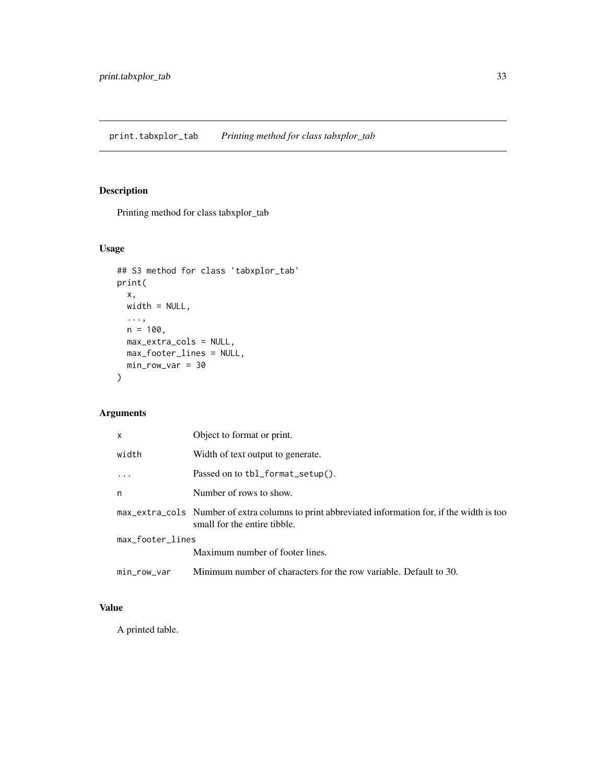# <span id="page-32-0"></span>Description

Printing method for class tabxplor\_tab

# Usage

```
## S3 method for class 'tabxplor_tab'
print(
  x,
 width = NULL,
  ...,
 n = 100,max_extra_cols = NULL,
 max_footer_lines = NULL,
 min_row_var = 30
)
```
# Arguments

| $\mathsf{x}$     | Object to format or print.                                                                                                       |
|------------------|----------------------------------------------------------------------------------------------------------------------------------|
| width            | Width of text output to generate.                                                                                                |
|                  | Passed on to tbl_format_setup().                                                                                                 |
| n                | Number of rows to show.                                                                                                          |
|                  | max_extra_cols Number of extra columns to print abbreviated information for, if the width is too<br>small for the entire tibble. |
| max_footer_lines |                                                                                                                                  |
|                  | Maximum number of footer lines.                                                                                                  |
| min_row_var      | Minimum number of characters for the row variable. Default to 30.                                                                |

# Value

A printed table.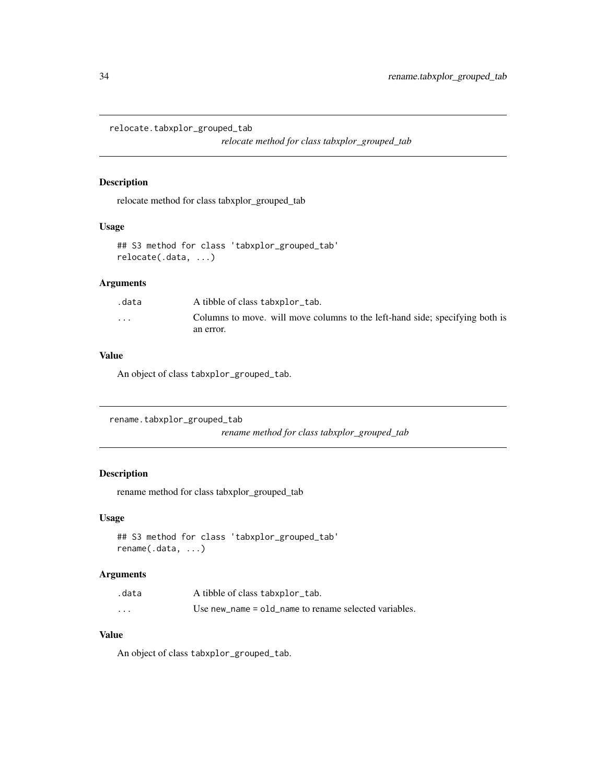<span id="page-33-0"></span>relocate.tabxplor\_grouped\_tab

*relocate method for class tabxplor\_grouped\_tab*

#### Description

relocate method for class tabxplor\_grouped\_tab

#### Usage

```
## S3 method for class 'tabxplor_grouped_tab'
relocate(.data, ...)
```
#### Arguments

| .data   | A tibble of class tabxplor_tab.                                              |
|---------|------------------------------------------------------------------------------|
| $\cdot$ | Columns to move, will move columns to the left-hand side; specifying both is |
|         | an error.                                                                    |

#### Value

An object of class tabxplor\_grouped\_tab.

```
rename.tabxplor_grouped_tab
```
*rename method for class tabxplor\_grouped\_tab*

#### Description

rename method for class tabxplor\_grouped\_tab

#### Usage

```
## S3 method for class 'tabxplor_grouped_tab'
rename(.data, ...)
```
#### Arguments

| .data    | A tibble of class tabxplor_tab.                       |
|----------|-------------------------------------------------------|
| $\cdots$ | Use new name = old name to rename selected variables. |

#### Value

An object of class tabxplor\_grouped\_tab.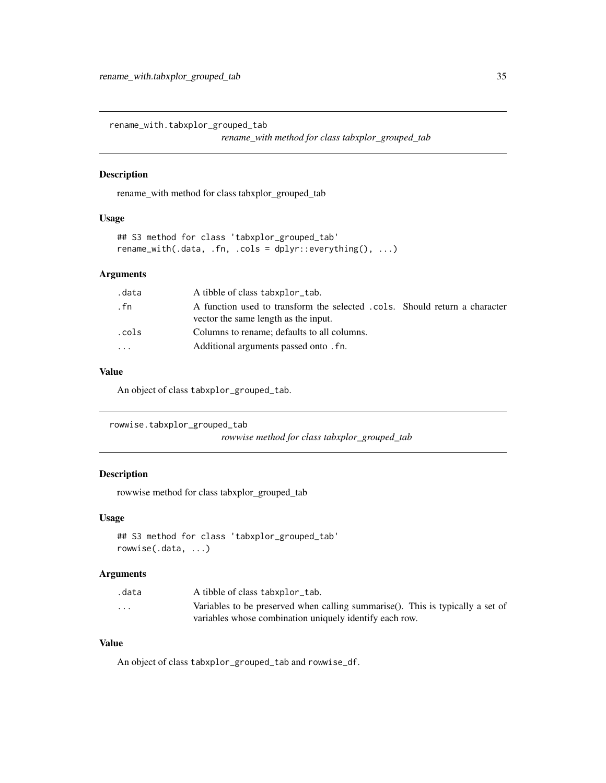<span id="page-34-0"></span>rename\_with.tabxplor\_grouped\_tab

*rename\_with method for class tabxplor\_grouped\_tab*

#### Description

rename\_with method for class tabxplor\_grouped\_tab

# Usage

```
## S3 method for class 'tabxplor_grouped_tab'
rename_with(.data, .fn, .cols = dplyr::everything(), ...)
```
#### Arguments

| .data | A tibble of class tabxplor_tab.                                                                                    |
|-------|--------------------------------------------------------------------------------------------------------------------|
| . fn  | A function used to transform the selected .cols. Should return a character<br>vector the same length as the input. |
| .cols | Columns to rename; defaults to all columns.                                                                        |
| .     | Additional arguments passed onto . fn.                                                                             |
|       |                                                                                                                    |

#### Value

An object of class tabxplor\_grouped\_tab.

```
rowwise.tabxplor_grouped_tab
                        rowwise method for class tabxplor_grouped_tab
```
#### Description

rowwise method for class tabxplor\_grouped\_tab

#### Usage

```
## S3 method for class 'tabxplor_grouped_tab'
rowwise(.data, ...)
```
#### Arguments

| .data                   | A tibble of class tabxplor_tab.                                                |
|-------------------------|--------------------------------------------------------------------------------|
| $\cdot$ $\cdot$ $\cdot$ | Variables to be preserved when calling summarise(). This is typically a set of |
|                         | variables whose combination uniquely identify each row.                        |

# Value

An object of class tabxplor\_grouped\_tab and rowwise\_df.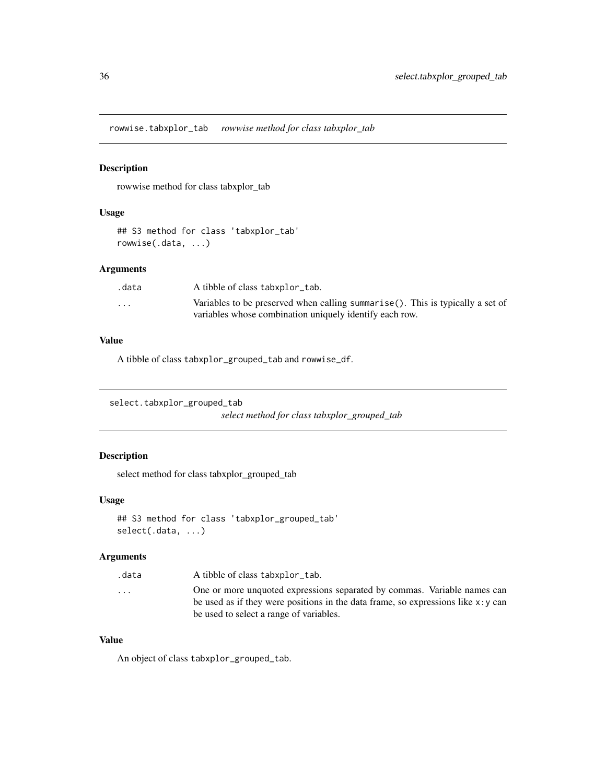<span id="page-35-0"></span>rowwise.tabxplor\_tab *rowwise method for class tabxplor\_tab*

# Description

rowwise method for class tabxplor\_tab

#### Usage

## S3 method for class 'tabxplor\_tab' rowwise(.data, ...)

# Arguments

| .data                   | A tibble of class tabxplor_tab.                                                |
|-------------------------|--------------------------------------------------------------------------------|
| $\cdot$ $\cdot$ $\cdot$ | Variables to be preserved when calling summarise(). This is typically a set of |
|                         | variables whose combination uniquely identify each row.                        |

## Value

A tibble of class tabxplor\_grouped\_tab and rowwise\_df.

```
select.tabxplor_grouped_tab
```
*select method for class tabxplor\_grouped\_tab*

# Description

select method for class tabxplor\_grouped\_tab

#### Usage

```
## S3 method for class 'tabxplor_grouped_tab'
select(.data, ...)
```
# Arguments

| .data                   | A tibble of class tabxplor_tab.                                                      |
|-------------------------|--------------------------------------------------------------------------------------|
| $\cdot$ $\cdot$ $\cdot$ | One or more unquoted expressions separated by commas. Variable names can             |
|                         | be used as if they were positions in the data frame, so expressions like $x : y$ can |
|                         | be used to select a range of variables.                                              |

#### Value

An object of class tabxplor\_grouped\_tab.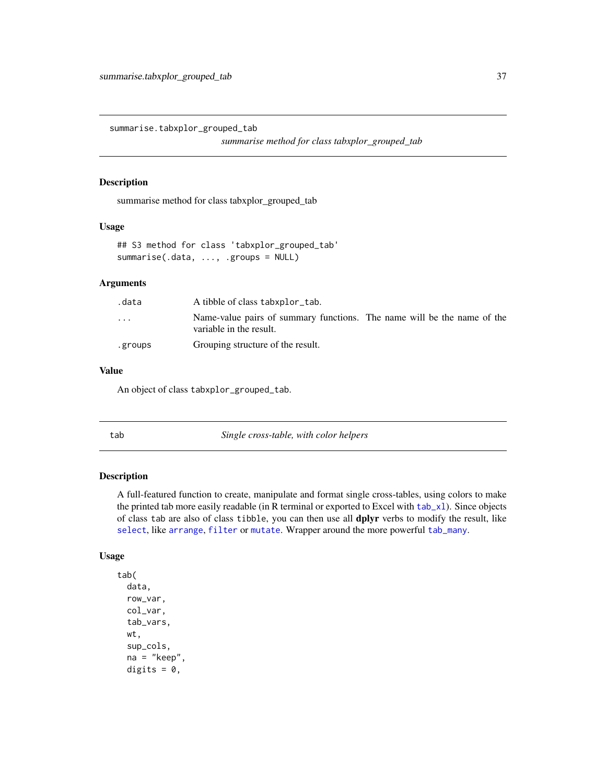summarise.tabxplor\_grouped\_tab

*summarise method for class tabxplor\_grouped\_tab*

### Description

summarise method for class tabxplor\_grouped\_tab

### Usage

```
## S3 method for class 'tabxplor_grouped_tab'
summarise(.data, ..., .groups = NULL)
```
### Arguments

| .data                   | A tibble of class tabxplor_tab.                                                                    |
|-------------------------|----------------------------------------------------------------------------------------------------|
| $\cdot$ $\cdot$ $\cdot$ | Name-value pairs of summary functions. The name will be the name of the<br>variable in the result. |
| .groups                 | Grouping structure of the result.                                                                  |

### Value

An object of class tabxplor\_grouped\_tab.

<span id="page-36-0"></span>

tab *Single cross-table, with color helpers*

### Description

A full-featured function to create, manipulate and format single cross-tables, using colors to make the printed tab more easily readable (in R terminal or exported to Excel with  $tab_\text{x}1$ ). Since objects of class tab are also of class tibble, you can then use all dplyr verbs to modify the result, like [select](#page-0-0), like [arrange](#page-0-0), [filter](#page-0-0) or [mutate](#page-0-0). Wrapper around the more powerful [tab\\_many](#page-45-0).

### Usage

tab( data, row\_var, col\_var, tab\_vars, wt, sup\_cols, na = "keep", digits =  $0$ ,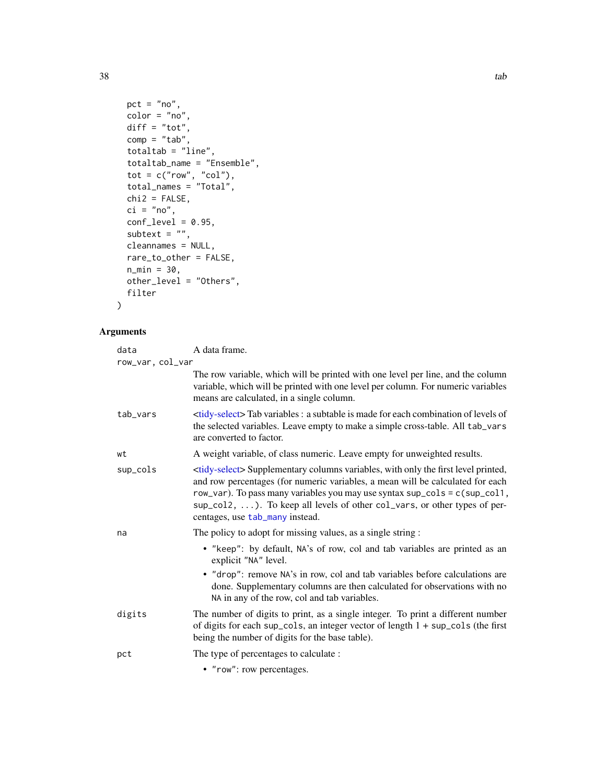```
pct = "no",color = "no",diff = "tot",comp = "tab",totaltab = "line",
 totaltab_name = "Ensemble",
 tot = c("row", "col"),total_names = "Total",
 chi2 = FALSE,ci = "no",conf\_level = 0.95,
 subtext = ",
 cleannames = NULL,
 rare_to_other = FALSE,
 n_min = 30,
 other_level = "Others",
 filter
\mathcal{L}
```

| data             | A data frame.                                                                                                                                                                                                                                                                                                                                                                       |
|------------------|-------------------------------------------------------------------------------------------------------------------------------------------------------------------------------------------------------------------------------------------------------------------------------------------------------------------------------------------------------------------------------------|
| row_var, col_var |                                                                                                                                                                                                                                                                                                                                                                                     |
|                  | The row variable, which will be printed with one level per line, and the column<br>variable, which will be printed with one level per column. For numeric variables<br>means are calculated, in a single column.                                                                                                                                                                    |
| tab_vars         | <tidy-select>Tab variables : a subtable is made for each combination of levels of<br/>the selected variables. Leave empty to make a simple cross-table. All tab_vars<br/>are converted to factor.</tidy-select>                                                                                                                                                                     |
| wt               | A weight variable, of class numeric. Leave empty for unweighted results.                                                                                                                                                                                                                                                                                                            |
| sup_cols         | <tidy-select> Supplementary columns variables, with only the first level printed,<br/>and row percentages (for numeric variables, a mean will be calculated for each<br/>row_var). To pass many variables you may use syntax sup_cols = c(sup_col1,<br/>sup_col2, ). To keep all levels of other col_vars, or other types of per-<br/>centages, use tab_many instead.</tidy-select> |
| na               | The policy to adopt for missing values, as a single string :                                                                                                                                                                                                                                                                                                                        |
|                  | • "keep": by default, NA's of row, col and tab variables are printed as an<br>explicit "NA" level.                                                                                                                                                                                                                                                                                  |
|                  | • "drop": remove NA's in row, col and tab variables before calculations are<br>done. Supplementary columns are then calculated for observations with no<br>NA in any of the row, col and tab variables.                                                                                                                                                                             |
| digits           | The number of digits to print, as a single integer. To print a different number<br>of digits for each sup_cols, an integer vector of length $1 + \sup_{s \in S}$ (the first<br>being the number of digits for the base table).                                                                                                                                                      |
| pct              | The type of percentages to calculate :                                                                                                                                                                                                                                                                                                                                              |
|                  | • "row": row percentages.                                                                                                                                                                                                                                                                                                                                                           |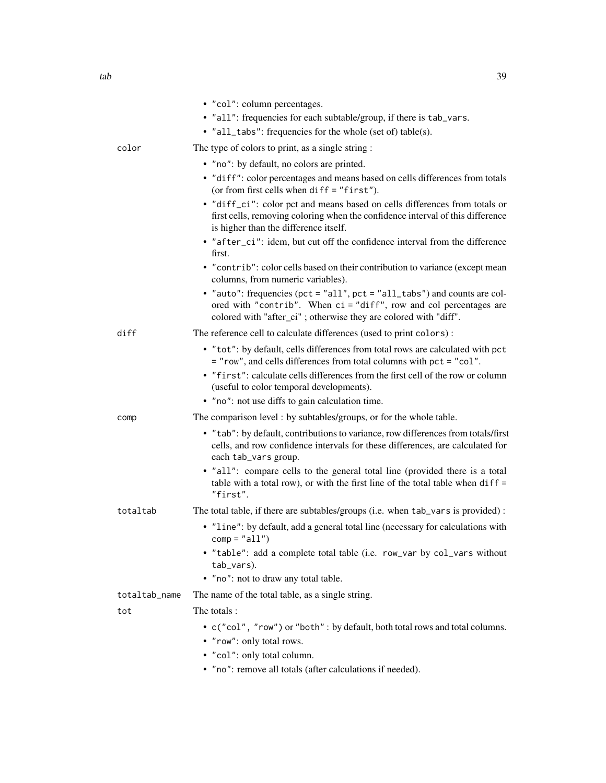|       | • "col": column percentages.<br>• "all": frequencies for each subtable/group, if there is tab_vars.                                                                                                                 |
|-------|---------------------------------------------------------------------------------------------------------------------------------------------------------------------------------------------------------------------|
|       | • "all_tabs": frequencies for the whole (set of) table(s).                                                                                                                                                          |
| color | The type of colors to print, as a single string:                                                                                                                                                                    |
|       | • "no": by default, no colors are printed.                                                                                                                                                                          |
|       | • "diff": color percentages and means based on cells differences from totals<br>(or from first cells when diff = "first").                                                                                          |
|       | • "diff_ci": color pct and means based on cells differences from totals or<br>first cells, removing coloring when the confidence interval of this difference<br>is higher than the difference itself.               |
|       | • "after_ci": idem, but cut off the confidence interval from the difference<br>first.                                                                                                                               |
|       | • "contrib": color cells based on their contribution to variance (except mean<br>columns, from numeric variables).                                                                                                  |
|       | • "auto": frequencies (pct = "all", pct = "all_tabs") and counts are col-<br>ored with "contrib". When ci = "diff", row and col percentages are<br>colored with "after_ci"; otherwise they are colored with "diff". |
| diff  | The reference cell to calculate differences (used to print colors):                                                                                                                                                 |
|       | • "tot": by default, cells differences from total rows are calculated with pct<br>= "row", and cells differences from total columns with pct = "col".                                                               |
|       | • "first": calculate cells differences from the first cell of the row or column<br>(useful to color temporal developments).                                                                                         |
|       | • "no": not use diffs to gain calculation time.                                                                                                                                                                     |
| comp  | The comparison level: by subtables/groups, or for the whole table.                                                                                                                                                  |
|       | • "tab": by default, contributions to variance, row differences from totals/first<br>cells, and row confidence intervals for these differences, are calculated for<br>each tab_vars group.                          |

• "all": compare cells to the general total line (provided there is a total table with a total row), or with the first line of the total table when diff = "first".

# totaltab The total table, if there are subtables/groups (i.e. when tab\_vars is provided) :

- "line": by default, add a general total line (necessary for calculations with  $comp = "all")$
- "table": add a complete total table (i.e. row\_var by col\_vars without tab\_vars).
- "no": not to draw any total table.

totaltab\_name The name of the total table, as a single string.

tot The totals :

- c("col", "row") or "both" : by default, both total rows and total columns.
- "row": only total rows.
- "col": only total column.
- "no": remove all totals (after calculations if needed).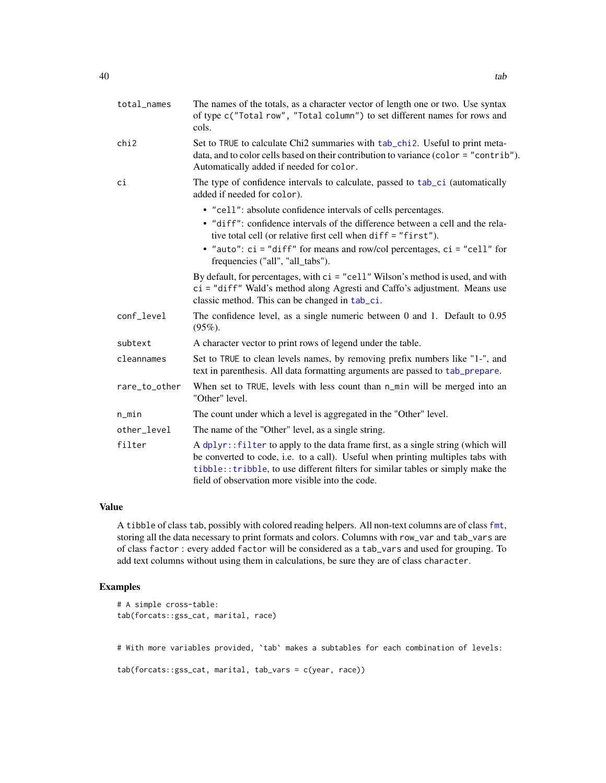| total_names   | The names of the totals, as a character vector of length one or two. Use syntax<br>of type c("Total row", "Total column") to set different names for rows and<br>cols.                                                                                                                                       |
|---------------|--------------------------------------------------------------------------------------------------------------------------------------------------------------------------------------------------------------------------------------------------------------------------------------------------------------|
| chi2          | Set to TRUE to calculate Chi2 summaries with tab_chi2. Useful to print meta-<br>data, and to color cells based on their contribution to variance (color = "contrib").<br>Automatically added if needed for color.                                                                                            |
| сi            | The type of confidence intervals to calculate, passed to tab_ci (automatically<br>added if needed for color).                                                                                                                                                                                                |
|               | • "cell": absolute confidence intervals of cells percentages.<br>• "diff": confidence intervals of the difference between a cell and the rela-<br>tive total cell (or relative first cell when diff = "first").                                                                                              |
|               | • "auto": $ci = "diff"$ for means and row/col percentages, $ci = "cell"$ for<br>frequencies ("all", "all_tabs").                                                                                                                                                                                             |
|               | By default, for percentages, with $ci = "cell"$ Wilson's method is used, and with<br>ci = "diff" Wald's method along Agresti and Caffo's adjustment. Means use<br>classic method. This can be changed in tab_ci.                                                                                             |
| conf_level    | The confidence level, as a single numeric between $0$ and $1$ . Default to $0.95$<br>$(95\%).$                                                                                                                                                                                                               |
| subtext       | A character vector to print rows of legend under the table.                                                                                                                                                                                                                                                  |
| cleannames    | Set to TRUE to clean levels names, by removing prefix numbers like "1-", and<br>text in parenthesis. All data formatting arguments are passed to tab_prepare.                                                                                                                                                |
| rare_to_other | When set to TRUE, levels with less count than n_min will be merged into an<br>"Other" level.                                                                                                                                                                                                                 |
| $n$ _min      | The count under which a level is aggregated in the "Other" level.                                                                                                                                                                                                                                            |
| other_level   | The name of the "Other" level, as a single string.                                                                                                                                                                                                                                                           |
| filter        | A dplyr:: filter to apply to the data frame first, as a single string (which will<br>be converted to code, i.e. to a call). Useful when printing multiples tabs with<br>tibble:: tribble, to use different filters for similar tables or simply make the<br>field of observation more visible into the code. |

A tibble of class tab, possibly with colored reading helpers. All non-text columns are of class [fmt](#page-5-0), storing all the data necessary to print formats and colors. Columns with row\_var and tab\_vars are of class factor : every added factor will be considered as a tab\_vars and used for grouping. To add text columns without using them in calculations, be sure they are of class character.

# Examples

```
# A simple cross-table:
tab(forcats::gss_cat, marital, race)
# With more variables provided, `tab` makes a subtables for each combination of levels:
tab(forcats::gss_cat, marital, tab_vars = c(year, race))
```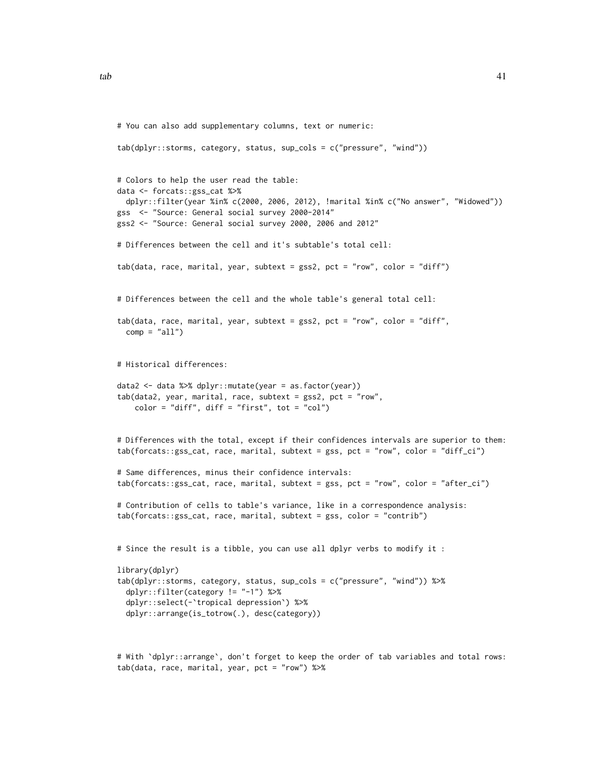```
# You can also add supplementary columns, text or numeric:
tab(dplyr::storms, category, status, sup_cols = c("pressure", "wind"))
# Colors to help the user read the table:
data <- forcats::gss_cat %>%
  dplyr::filter(year %in% c(2000, 2006, 2012), !marital %in% c("No answer", "Widowed"))
gss <- "Source: General social survey 2000-2014"
gss2 <- "Source: General social survey 2000, 2006 and 2012"
# Differences between the cell and it's subtable's total cell:
tab(data, race, marital, year, subtext = gss2, pct = "row", color = "diff")
# Differences between the cell and the whole table's general total cell:
tab(data, race, marital, year, subtext = gss2, pct = "row", color = "diff",
  comp = "all")# Historical differences:
data2 <- data %>% dplyr::mutate(year = as.factor(year))
tab(data2, year, marital, race, subtext = gss2, pct = "row",
    color = "diff", diff = "first", tot = "col")
# Differences with the total, except if their confidences intervals are superior to them:
tab(forcats::gss_cat, race, marital, subtext = gss, pct = "row", color = "diff_ci")
# Same differences, minus their confidence intervals:
tab(forcats::gss_cat, race, marital, subtext = gss, pct = "row", color = "after_ci")
# Contribution of cells to table's variance, like in a correspondence analysis:
tab(forcats::gss_cat, race, marital, subtext = gss, color = "contrib")
# Since the result is a tibble, you can use all dplyr verbs to modify it :
library(dplyr)
tab(dplyr::storms, category, status, sup_cols = c("pressure", "wind")) %>%
  dplyr::filter(category != "-1") %>%
  dplyr::select(-`tropical depression`) %>%
  dplyr::arrange(is_totrow(.), desc(category))
# With `dplyr::arrange`, don't forget to keep the order of tab variables and total rows:
tab(data, race, marital, year, pct = "row") %>%
```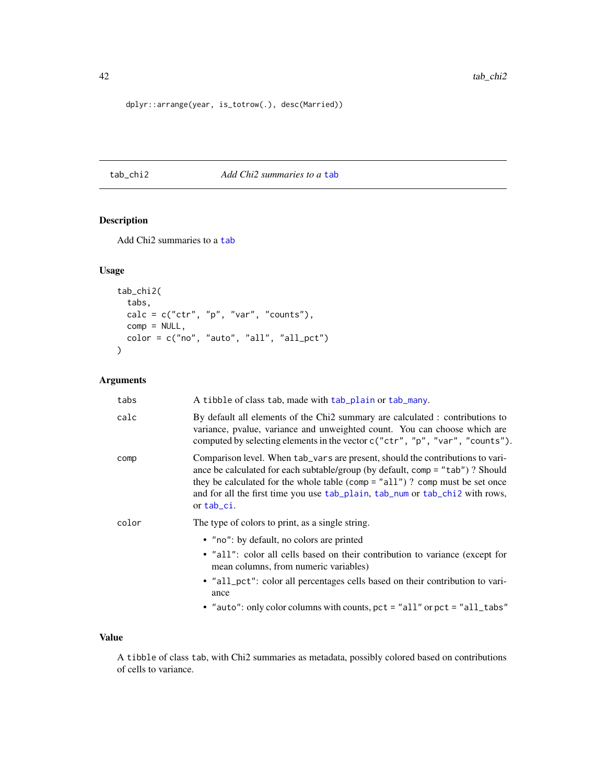dplyr::arrange(year, is\_totrow(.), desc(Married))

### <span id="page-41-0"></span>tab\_chi2 *Add Chi2 summaries to a* [tab](#page-36-0)

# Description

Add Chi2 summaries to a [tab](#page-36-0)

# Usage

```
tab_chi2(
  tabs,
  calc = c("ctr", "p", "var", "counts"),comp = NULL,color = c("no", "auto", "all", "all_pct")
\mathcal{L}
```
# Arguments

| tabs  | A tibble of class tab, made with tab_plain or tab_many.                                                                                                                                                                                                                                                                                        |
|-------|------------------------------------------------------------------------------------------------------------------------------------------------------------------------------------------------------------------------------------------------------------------------------------------------------------------------------------------------|
| calc  | By default all elements of the Chi2 summary are calculated : contributions to<br>variance, pvalue, variance and unweighted count. You can choose which are<br>computed by selecting elements in the vector c("ctr", "p", "var", "counts").                                                                                                     |
| comp  | Comparison level. When tab_vars are present, should the contributions to vari-<br>ance be calculated for each subtable/group (by default, comp = "tab") ? Should<br>they be calculated for the whole table (comp = "all")? comp must be set once<br>and for all the first time you use tab_plain, tab_num or tab_chi2 with rows,<br>or tab_ci. |
| color | The type of colors to print, as a single string.                                                                                                                                                                                                                                                                                               |
|       | • "no": by default, no colors are printed                                                                                                                                                                                                                                                                                                      |
|       | • "all": color all cells based on their contribution to variance (except for<br>mean columns, from numeric variables)                                                                                                                                                                                                                          |
|       | • "all_pct": color all percentages cells based on their contribution to vari-<br>ance                                                                                                                                                                                                                                                          |
|       | • "auto": only color columns with counts, pct = "all" or pct = "all_tabs"                                                                                                                                                                                                                                                                      |

# Value

A tibble of class tab, with Chi2 summaries as metadata, possibly colored based on contributions of cells to variance.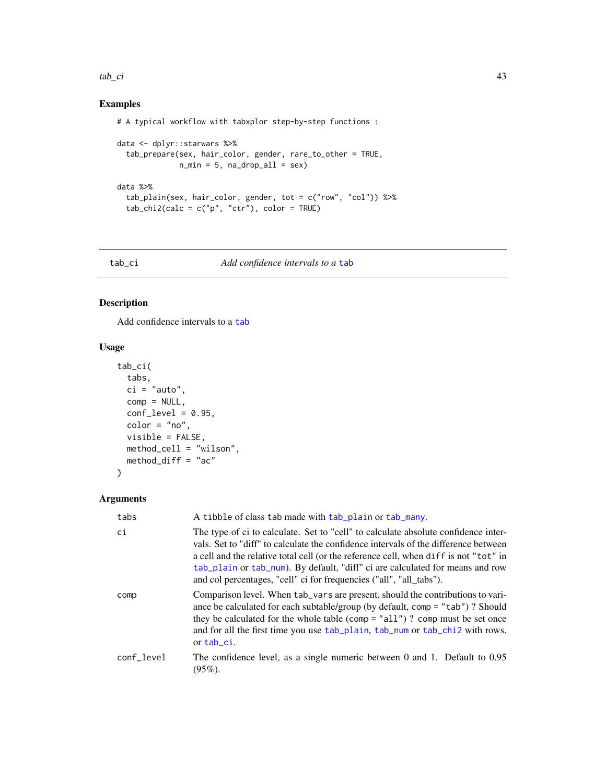### $tab\_ci$  43

# Examples

```
# A typical workflow with tabxplor step-by-step functions :
```

```
data <- dplyr::starwars %>%
  tab_prepare(sex, hair_color, gender, rare_to_other = TRUE,
              n_{min} = 5, na_{drop\_all} = sexdata %>%
  tab_plain(sex, hair_color, gender, tot = c("row", "col")) %>%
  tab\_chi2(calc = c("p", "ctr"), color = TRUE)
```
### <span id="page-42-0"></span>tab\_ci *Add confidence intervals to a* [tab](#page-36-0)

# Description

Add confidence intervals to a [tab](#page-36-0)

### Usage

```
tab_ci(
  tabs,
  ci = "auto",comp = NULL,conf\_level = 0.95,
  color = "no",visible = FALSE,
  method_cell = "wilson",
  method_diff = "ac"
\mathcal{L}
```

| tabs       | A tibble of class tab made with tab_plain or tab_many.                                                                                                                                                                                                                                                                                                                                                                    |
|------------|---------------------------------------------------------------------------------------------------------------------------------------------------------------------------------------------------------------------------------------------------------------------------------------------------------------------------------------------------------------------------------------------------------------------------|
| ci         | The type of ci to calculate. Set to "cell" to calculate absolute confidence inter-<br>vals. Set to "diff" to calculate the confidence intervals of the difference between<br>a cell and the relative total cell (or the reference cell, when diff is not "tot" in<br>tab_plain or tab_num). By default, "diff" ci are calculated for means and row<br>and col percentages, "cell" ci for frequencies ("all", "all_tabs"). |
| comp       | Comparison level. When tab_vars are present, should the contributions to vari-<br>ance be calculated for each subtable/group (by default, comp = "tab")? Should<br>they be calculated for the whole table (comp = "all")? comp must be set once<br>and for all the first time you use tab_plain, tab_num or tab_chi2 with rows,<br>or tab_ci.                                                                             |
| conf_level | The confidence level, as a single numeric between 0 and 1. Default to 0.95<br>$(95\%)$ .                                                                                                                                                                                                                                                                                                                                  |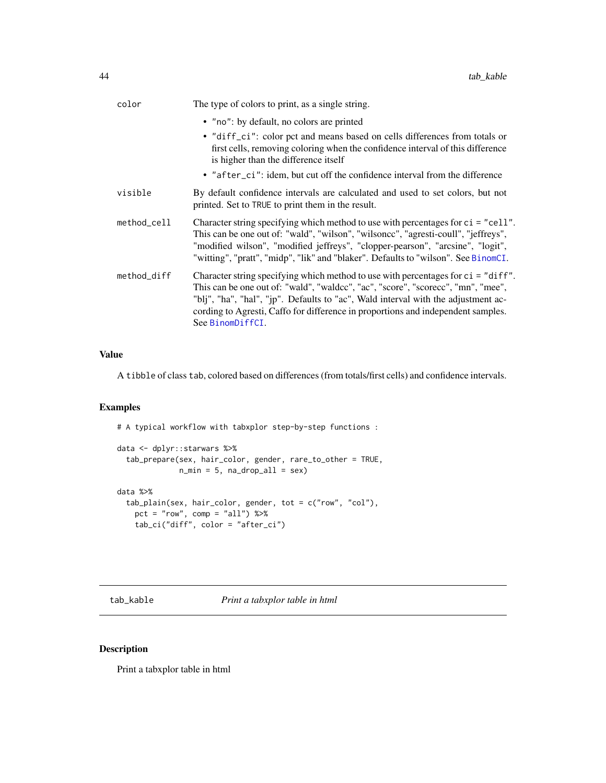| color       | The type of colors to print, as a single string.                                                                                                                                                                                                                                                                                                                      |
|-------------|-----------------------------------------------------------------------------------------------------------------------------------------------------------------------------------------------------------------------------------------------------------------------------------------------------------------------------------------------------------------------|
|             | • "no": by default, no colors are printed                                                                                                                                                                                                                                                                                                                             |
|             | • "diff_ci": color pct and means based on cells differences from totals or<br>first cells, removing coloring when the confidence interval of this difference<br>is higher than the difference itself                                                                                                                                                                  |
|             | • "after_ci": idem, but cut off the confidence interval from the difference                                                                                                                                                                                                                                                                                           |
| visible     | By default confidence intervals are calculated and used to set colors, but not<br>printed. Set to TRUE to print them in the result.                                                                                                                                                                                                                                   |
| method_cell | Character string specifying which method to use with percentages for $ci = "cell".$<br>This can be one out of: "wald", "wilson", "wilsoncc", "agresti-coull", "jeffreys",<br>"modified wilson", "modified jeffreys", "clopper-pearson", "arcsine", "logit",<br>"witting", "pratt", "midp", "lik" and "blaker". Defaults to "wilson". See BinomCI.                     |
| method_diff | Character string specifying which method to use with percentages for $ci = "diff"$ .<br>This can be one out of: "wald", "waldcc", "ac", "score", "scorecc", "mn", "mee",<br>"blj", "ha", "hal", "jp". Defaults to "ac", Wald interval with the adjustment ac-<br>cording to Agresti, Caffo for difference in proportions and independent samples.<br>See BinomDiffCI. |

A tibble of class tab, colored based on differences (from totals/first cells) and confidence intervals.

# Examples

# A typical workflow with tabxplor step-by-step functions :

```
data <- dplyr::starwars %>%
  tab_prepare(sex, hair_color, gender, rare_to_other = TRUE,
              n_{min} = 5, na_{drop\_all} = sexdata %>%
  tab_plain(sex, hair_color, gender, tot = c("row", "col"),
   pct = "row", comp = "all") %>%
   tab_ci("diff", color = "after_ci")
```
tab\_kable *Print a tabxplor table in html*

# Description

Print a tabxplor table in html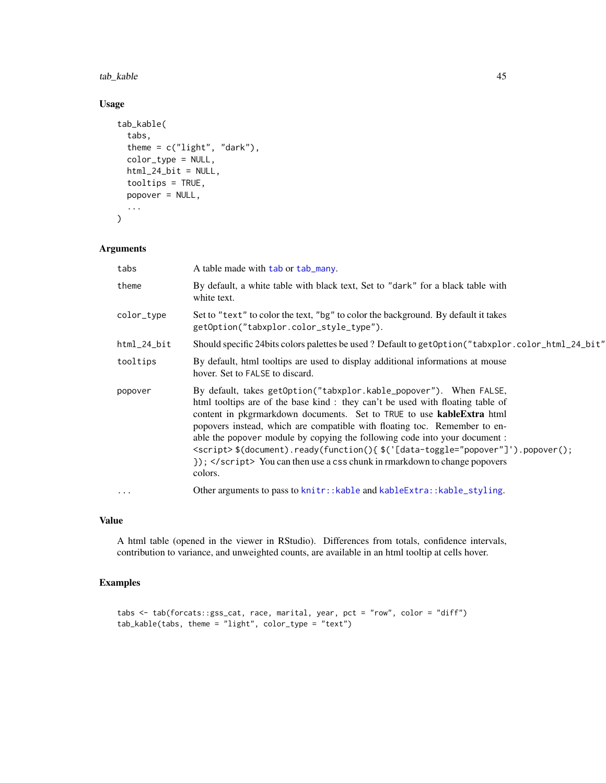tab\_kable 45

# Usage

```
tab_kable(
  tabs,
  theme = c("light", "dark"),color_type = NULL,
  html_24_bit = NULL,tooltips = TRUE,
 popover = NULL,
  ...
\mathcal{L}
```
# Arguments

| tabs           | A table made with tab or tab_many.                                                                                                                                                                                                                                                                                                                                                                                                                                                                                                                                        |
|----------------|---------------------------------------------------------------------------------------------------------------------------------------------------------------------------------------------------------------------------------------------------------------------------------------------------------------------------------------------------------------------------------------------------------------------------------------------------------------------------------------------------------------------------------------------------------------------------|
| theme          | By default, a white table with black text, Set to "dark" for a black table with<br>white text.                                                                                                                                                                                                                                                                                                                                                                                                                                                                            |
| color_type     | Set to "text" to color the text, "bg" to color the background. By default it takes<br>getOption("tabxplor.color_style_type").                                                                                                                                                                                                                                                                                                                                                                                                                                             |
| $html_24$ _bit | "Should specific 24bits colors palettes be used? Default to get Option ("tabxplor.color_html_24_bit"                                                                                                                                                                                                                                                                                                                                                                                                                                                                      |
| tooltips       | By default, html tooltips are used to display additional informations at mouse<br>hover. Set to FALSE to discard.                                                                                                                                                                                                                                                                                                                                                                                                                                                         |
| popover        | By default, takes getOption("tabxplor.kable_popover"). When FALSE,<br>html tooltips are of the base kind: they can't be used with floating table of<br>content in pkgrmarkdown documents. Set to TRUE to use <b>kableExtra</b> html<br>popovers instead, which are compatible with floating toc. Remember to en-<br>able the popover module by copying the following code into your document :<br><script>\$(document).ready(function(){\$('[data-toggle="popover"]').popover();<br>}); </script> You can then use a css chunk in rmarkdown to change popovers<br>colors. |
| $\ddots$       | Other arguments to pass to knitr:: kable and kableExtra:: kable_styling.                                                                                                                                                                                                                                                                                                                                                                                                                                                                                                  |

# Value

A html table (opened in the viewer in RStudio). Differences from totals, confidence intervals, contribution to variance, and unweighted counts, are available in an html tooltip at cells hover.

# Examples

```
tabs <- tab(forcats::gss_cat, race, marital, year, pct = "row", color = "diff")
tab_kable(tabs, theme = "light", color_type = "text")
```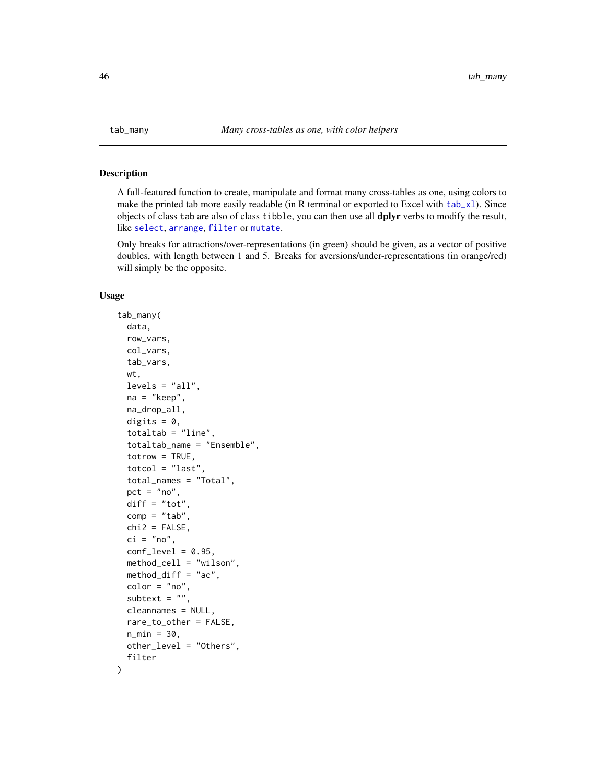<span id="page-45-0"></span>

### <span id="page-45-1"></span>Description

A full-featured function to create, manipulate and format many cross-tables as one, using colors to make the printed tab more easily readable (in R terminal or exported to Excel with [tab\\_xl](#page-61-0)). Since objects of class tab are also of class tibble, you can then use all **dplyr** verbs to modify the result, like [select](#page-0-0), [arrange](#page-0-0), [filter](#page-0-0) or [mutate](#page-0-0).

Only breaks for attractions/over-representations (in green) should be given, as a vector of positive doubles, with length between 1 and 5. Breaks for aversions/under-representations (in orange/red) will simply be the opposite.

### Usage

)

```
tab_many(
  data,
  row_vars,
  col_vars,
  tab_vars,
  wt,
  levels = "all",na = "keep",
 na_drop_all,
  digits = 0,
  totaltab = "line",totaltab_name = "Ensemble",
  totrow = TRUE,total = "last",total_names = "Total",
  pct = "no",diff = "tot",comp = "tab",chi2 = FALSE,ci = "no",conf\_level = 0.95,
  method_cell = "wilson",
 method_diff = "ac",
  color = "no",
  subtext = ",
  cleannames = NULL,
  rare_to_other = FALSE,
  n_{min} = 30,
  other_level = "Others",
  filter
```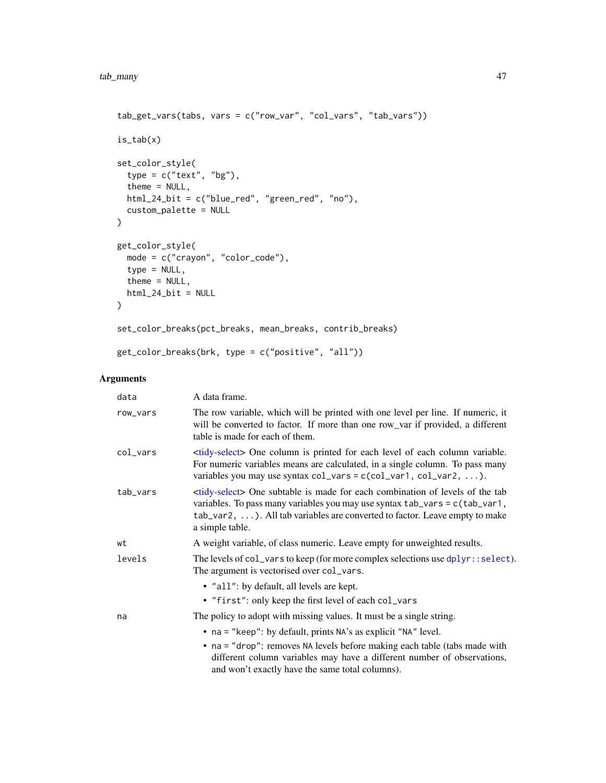```
tab_get_vars(tabs, vars = c("row_var", "col_vars", "tab_vars"))
is_tab(x)
set_color_style(
  type = c("text", "bg"),theme = NULL,
  html_24_bit = c("blue_red", "green_red", "no"),
  custom_palette = NULL
\mathcal{L}get_color_style(
  mode = c("crayon", "color_code"),
  type = NULL,
  theme = NULL,
  html_24_bit = NULL
\mathcal{L}set_color_breaks(pct_breaks, mean_breaks, contrib_breaks)
get_color_breaks(brk, type = c("positive", "all"))
```

| data     | A data frame.                                                                                                                                                                                                                                                                                 |
|----------|-----------------------------------------------------------------------------------------------------------------------------------------------------------------------------------------------------------------------------------------------------------------------------------------------|
| row_vars | The row variable, which will be printed with one level per line. If numeric, it<br>will be converted to factor. If more than one row_var if provided, a different<br>table is made for each of them.                                                                                          |
| col_vars | <tidy-select> One column is printed for each level of each column variable.<br/>For numeric variables means are calculated, in a single column. To pass many<br/>variables you may use syntax <math>col\_vars = c(col\_var1, col\_var2, ).</math></tidy-select>                               |
| tab_vars | <tidy-select> One subtable is made for each combination of levels of the tab<br/>variables. To pass many variables you may use syntax tab_vars = c(tab_var1,<br/><math>tab_{var2}</math>, ). All tab variables are converted to factor. Leave empty to make<br/>a simple table.</tidy-select> |
| wt       | A weight variable, of class numeric. Leave empty for unweighted results.                                                                                                                                                                                                                      |
| levels   | The levels of $col_vars$ to keep (for more complex selections use $dplyr$ : select).<br>The argument is vectorised over col_vars.                                                                                                                                                             |
|          | • "all": by default, all levels are kept.<br>• "first": only keep the first level of each col_vars                                                                                                                                                                                            |
| na       | The policy to adopt with missing values. It must be a single string.                                                                                                                                                                                                                          |
|          | • na = "keep": by default, prints NA's as explicit "NA" level.<br>• na = "drop": removes NA levels before making each table (tabs made with<br>different column variables may have a different number of observations,<br>and won't exactly have the same total columns).                     |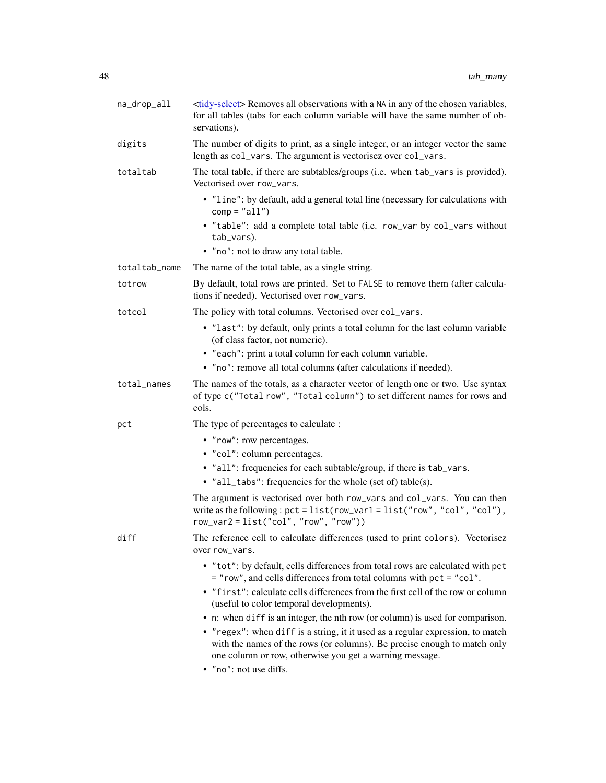| na_drop_all   | <tidy-select> Removes all observations with a NA in any of the chosen variables,<br/>for all tables (tabs for each column variable will have the same number of ob-<br/>servations).</tidy-select>                    |
|---------------|-----------------------------------------------------------------------------------------------------------------------------------------------------------------------------------------------------------------------|
| digits        | The number of digits to print, as a single integer, or an integer vector the same<br>length as col_vars. The argument is vectorisez over col_vars.                                                                    |
| totaltab      | The total table, if there are subtables/groups (i.e. when tab_vars is provided).<br>Vectorised over row_vars.                                                                                                         |
|               | • "line": by default, add a general total line (necessary for calculations with<br>$comp = "all")$                                                                                                                    |
|               | • "table": add a complete total table (i.e. row_var by col_vars without<br>tab_vars).                                                                                                                                 |
|               | • "no": not to draw any total table.                                                                                                                                                                                  |
| totaltab_name | The name of the total table, as a single string.                                                                                                                                                                      |
| totrow        | By default, total rows are printed. Set to FALSE to remove them (after calcula-<br>tions if needed). Vectorised over row_vars.                                                                                        |
| totcol        | The policy with total columns. Vectorised over col_vars.                                                                                                                                                              |
|               | • "last": by default, only prints a total column for the last column variable<br>(of class factor, not numeric).                                                                                                      |
|               | • "each": print a total column for each column variable.                                                                                                                                                              |
|               | • "no": remove all total columns (after calculations if needed).                                                                                                                                                      |
| total_names   | The names of the totals, as a character vector of length one or two. Use syntax<br>of type c("Total row", "Total column") to set different names for rows and<br>cols.                                                |
| pct           | The type of percentages to calculate :                                                                                                                                                                                |
|               | • "row": row percentages.                                                                                                                                                                                             |
|               | • "col": column percentages.                                                                                                                                                                                          |
|               | • "all": frequencies for each subtable/group, if there is tab_vars.                                                                                                                                                   |
|               | • "all_tabs": frequencies for the whole (set of) table(s).                                                                                                                                                            |
|               | The argument is vectorised over both row_vars and col_vars. You can then<br>write as the following: $pct = list(row\_var1 = list("row", "col", "col"),$<br>$row\_var2 = list("col", "row", "row")$                    |
| diff          | The reference cell to calculate differences (used to print colors). Vectorisez<br>over row_vars.                                                                                                                      |
|               | • "tot": by default, cells differences from total rows are calculated with pct<br>= "row", and cells differences from total columns with pct = "col".                                                                 |
|               | • "first": calculate cells differences from the first cell of the row or column<br>(useful to color temporal developments).                                                                                           |
|               | • n: when diff is an integer, the nth row (or column) is used for comparison.                                                                                                                                         |
|               | • "regex": when diff is a string, it it used as a regular expression, to match<br>with the names of the rows (or columns). Be precise enough to match only<br>one column or row, otherwise you get a warning message. |
|               | • "no": not use diffs.                                                                                                                                                                                                |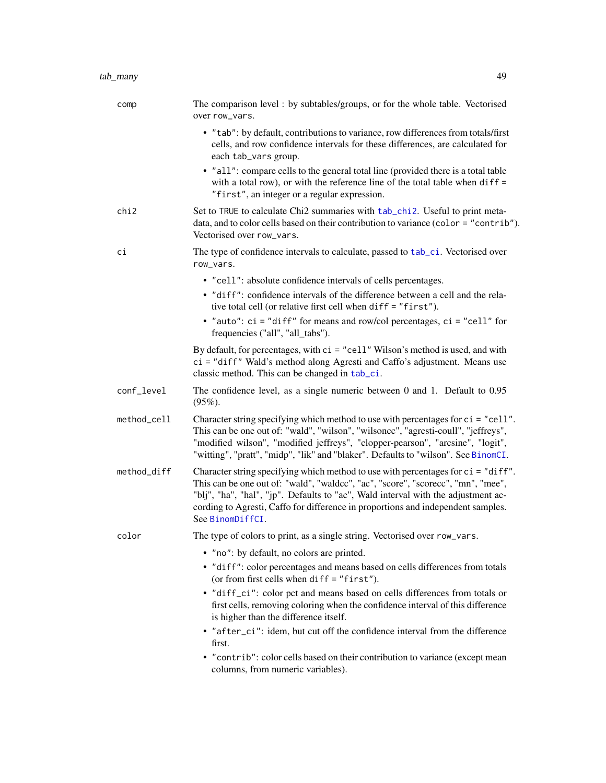| comp        | The comparison level : by subtables/groups, or for the whole table. Vectorised<br>over row_vars.                                                                                                                                                                                                                                                                   |
|-------------|--------------------------------------------------------------------------------------------------------------------------------------------------------------------------------------------------------------------------------------------------------------------------------------------------------------------------------------------------------------------|
|             | • "tab": by default, contributions to variance, row differences from totals/first<br>cells, and row confidence intervals for these differences, are calculated for<br>each tab_vars group.                                                                                                                                                                         |
|             | • "all": compare cells to the general total line (provided there is a total table<br>with a total row), or with the reference line of the total table when $diff =$<br>"first", an integer or a regular expression.                                                                                                                                                |
| chi2        | Set to TRUE to calculate Chi2 summaries with tab_chi2. Useful to print meta-<br>data, and to color cells based on their contribution to variance (color = "contrib").<br>Vectorised over row_vars.                                                                                                                                                                 |
| сi          | The type of confidence intervals to calculate, passed to tab_ci. Vectorised over<br>row_vars.                                                                                                                                                                                                                                                                      |
|             | • "cell": absolute confidence intervals of cells percentages.                                                                                                                                                                                                                                                                                                      |
|             | • "diff": confidence intervals of the difference between a cell and the rela-<br>tive total cell (or relative first cell when diff = "first").                                                                                                                                                                                                                     |
|             | • "auto": $ci$ = "diff" for means and row/col percentages, $ci$ = "cell" for<br>frequencies ("all", "all_tabs").                                                                                                                                                                                                                                                   |
|             | By default, for percentages, with $ci = "cell" Wilson's method is used, and with$<br>ci = "diff" Wald's method along Agresti and Caffo's adjustment. Means use<br>classic method. This can be changed in tab_ci.                                                                                                                                                   |
| conf_level  | The confidence level, as a single numeric between $0$ and $1$ . Default to $0.95$<br>$(95\%).$                                                                                                                                                                                                                                                                     |
| method_cell | Character string specifying which method to use with percentages for ci = "cell".<br>This can be one out of: "wald", "wilson", "wilsoncc", "agresti-coull", "jeffreys",<br>"modified wilson", "modified jeffreys", "clopper-pearson", "arcsine", "logit",<br>"witting", "pratt", "midp", "lik" and "blaker". Defaults to "wilson". See BinomCI.                    |
| method_diff | Character string specifying which method to use with percentages for ci = "diff".<br>This can be one out of: "wald", "waldcc", "ac", "score", "scorecc", "mn", "mee",<br>"blj", "ha", "hal", "jp". Defaults to "ac", Wald interval with the adjustment ac-<br>cording to Agresti, Caffo for difference in proportions and independent samples.<br>See BinomDiffCI. |
| color       | The type of colors to print, as a single string. Vectorised over row_vars.                                                                                                                                                                                                                                                                                         |
|             | • "no": by default, no colors are printed.                                                                                                                                                                                                                                                                                                                         |
|             | • "diff": color percentages and means based on cells differences from totals<br>(or from first cells when diff = "first").                                                                                                                                                                                                                                         |
|             | · "diff_ci": color pct and means based on cells differences from totals or<br>first cells, removing coloring when the confidence interval of this difference<br>is higher than the difference itself.                                                                                                                                                              |
|             | • "after_ci": idem, but cut off the confidence interval from the difference<br>first.                                                                                                                                                                                                                                                                              |
|             | • "contrib": color cells based on their contribution to variance (except mean<br>columns, from numeric variables).                                                                                                                                                                                                                                                 |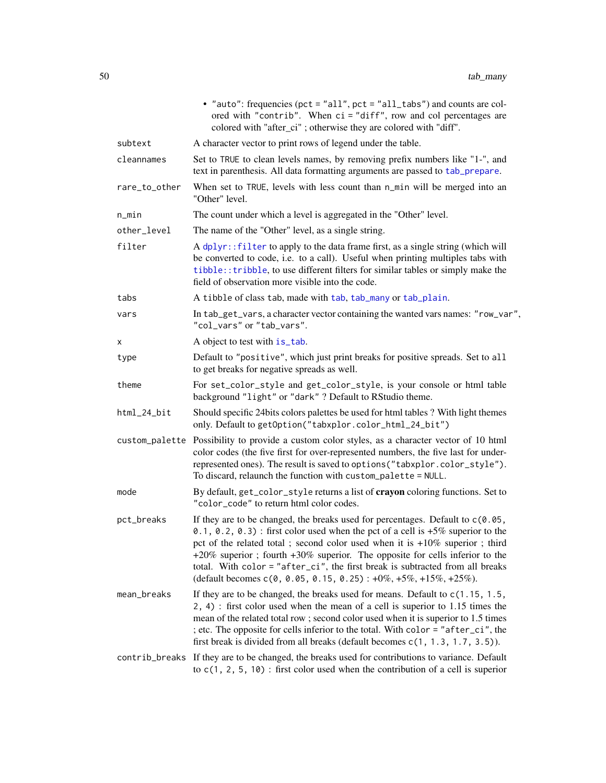|               | • "auto": frequencies (pct = "all", pct = "all_tabs") and counts are col-<br>ored with "contrib". When ci = "diff", row and col percentages are<br>colored with "after_ci"; otherwise they are colored with "diff".                                                                                                                                                                                                                                                                             |
|---------------|-------------------------------------------------------------------------------------------------------------------------------------------------------------------------------------------------------------------------------------------------------------------------------------------------------------------------------------------------------------------------------------------------------------------------------------------------------------------------------------------------|
| subtext       | A character vector to print rows of legend under the table.                                                                                                                                                                                                                                                                                                                                                                                                                                     |
| cleannames    | Set to TRUE to clean levels names, by removing prefix numbers like "1-", and<br>text in parenthesis. All data formatting arguments are passed to tab_prepare.                                                                                                                                                                                                                                                                                                                                   |
| rare_to_other | When set to TRUE, levels with less count than n_min will be merged into an<br>"Other" level.                                                                                                                                                                                                                                                                                                                                                                                                    |
| n_min         | The count under which a level is aggregated in the "Other" level.                                                                                                                                                                                                                                                                                                                                                                                                                               |
| other_level   | The name of the "Other" level, as a single string.                                                                                                                                                                                                                                                                                                                                                                                                                                              |
| filter        | A dplyr:: filter to apply to the data frame first, as a single string (which will<br>be converted to code, i.e. to a call). Useful when printing multiples tabs with<br>tibble:: tribble, to use different filters for similar tables or simply make the<br>field of observation more visible into the code.                                                                                                                                                                                    |
| tabs          | A tibble of class tab, made with tab, tab_many or tab_plain.                                                                                                                                                                                                                                                                                                                                                                                                                                    |
| vars          | In tab_get_vars, a character vector containing the wanted vars names: "row_var",<br>"col_vars" or "tab_vars".                                                                                                                                                                                                                                                                                                                                                                                   |
| х             | A object to test with is_tab.                                                                                                                                                                                                                                                                                                                                                                                                                                                                   |
| type          | Default to "positive", which just print breaks for positive spreads. Set to all<br>to get breaks for negative spreads as well.                                                                                                                                                                                                                                                                                                                                                                  |
| theme         | For set_color_style and get_color_style, is your console or html table<br>background "light" or "dark" ? Default to RStudio theme.                                                                                                                                                                                                                                                                                                                                                              |
| html_24_bit   | Should specific 24 bits colors palettes be used for html tables? With light themes<br>only. Default to getOption("tabxplor.color_html_24_bit")                                                                                                                                                                                                                                                                                                                                                  |
|               | custom_palette Possibility to provide a custom color styles, as a character vector of 10 html<br>color codes (the five first for over-represented numbers, the five last for under-<br>represented ones). The result is saved to options ("tabxplor.color_style").<br>To discard, relaunch the function with custom_palette = NULL.                                                                                                                                                             |
| mode          | By default, get_color_style returns a list of crayon coloring functions. Set to<br>"color_code" to return html color codes.                                                                                                                                                                                                                                                                                                                                                                     |
| pct_breaks    | If they are to be changed, the breaks used for percentages. Default to $c(0.05, 0.05)$<br>0.1, 0.2, 0.3): first color used when the pct of a cell is $+5\%$ superior to the<br>pct of the related total ; second color used when it is +10% superior ; third<br>+20% superior; fourth +30% superior. The opposite for cells inferior to the<br>total. With color = "after_ci", the first break is subtracted from all breaks<br>(default becomes c(0, 0.05, 0.15, 0.25): +0%, +5%, +15%, +25%). |
| mean_breaks   | If they are to be changed, the breaks used for means. Default to $c(1.15, 1.5, 1.5)$<br>2, 4) : first color used when the mean of a cell is superior to 1.15 times the<br>mean of the related total row; second color used when it is superior to 1.5 times<br>; etc. The opposite for cells inferior to the total. With color = "after_ci", the<br>first break is divided from all breaks (default becomes c(1, 1.3, 1.7, 3.5)).                                                               |
|               | contrib_breaks If they are to be changed, the breaks used for contributions to variance. Default<br>to $c(1, 2, 5, 10)$ : first color used when the contribution of a cell is superior                                                                                                                                                                                                                                                                                                          |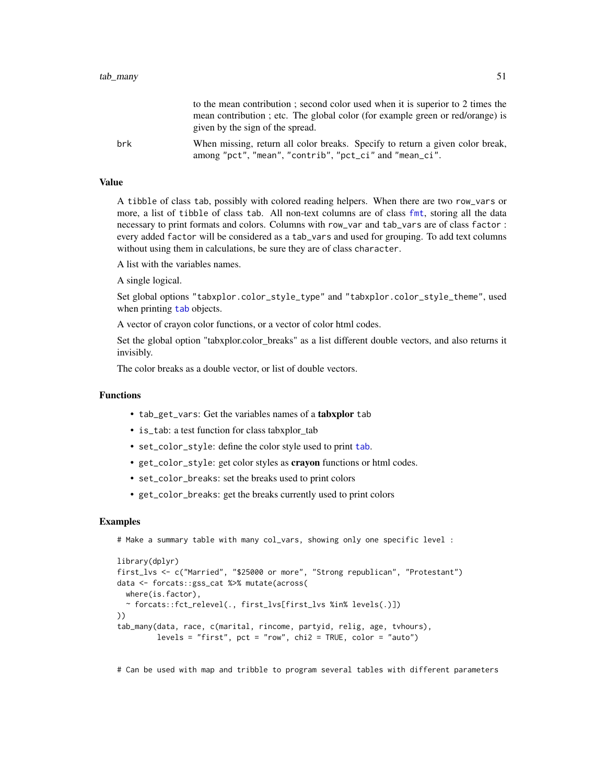|     | to the mean contribution; second color used when it is superior to 2 times the<br>mean contribution; etc. The global color (for example green or red/orange) is<br>given by the sign of the spread. |
|-----|-----------------------------------------------------------------------------------------------------------------------------------------------------------------------------------------------------|
| brk | When missing, return all color breaks. Specify to return a given color break,<br>among "pct", "mean", "contrib", "pct_ci" and "mean_ci".                                                            |

A tibble of class tab, possibly with colored reading helpers. When there are two row\_vars or more, a list of tibble of class tab. All non-text columns are of class [fmt](#page-5-0), storing all the data necessary to print formats and colors. Columns with row\_var and tab\_vars are of class factor : every added factor will be considered as a tab\_vars and used for grouping. To add text columns without using them in calculations, be sure they are of class character.

A list with the variables names.

A single logical.

Set global options "tabxplor.color\_style\_type" and "tabxplor.color\_style\_theme", used when printing [tab](#page-36-0) objects.

A vector of crayon color functions, or a vector of color html codes.

Set the global option "tabxplor.color\_breaks" as a list different double vectors, and also returns it invisibly.

The color breaks as a double vector, or list of double vectors.

### Functions

- tab\_get\_vars: Get the variables names of a tabxplor tab
- is\_tab: a test function for class tabxplor\_tab
- set\_color\_style: define the color style used to print [tab](#page-36-0).
- get\_color\_style: get color styles as crayon functions or html codes.
- set\_color\_breaks: set the breaks used to print colors
- get\_color\_breaks: get the breaks currently used to print colors

### Examples

```
# Make a summary table with many col_vars, showing only one specific level :
```

```
library(dplyr)
first_lvs <- c("Married", "$25000 or more", "Strong republican", "Protestant")
data <- forcats::gss_cat %>% mutate(across(
  where(is.factor),
  ~ forcats::fct_relevel(., first_lvs[first_lvs %in% levels(.)])
))
tab_many(data, race, c(marital, rincome, partyid, relig, age, tvhours),
         levels = "first", pot = "row", chi2 = TRUE, color = "auto")
```
# Can be used with map and tribble to program several tables with different parameters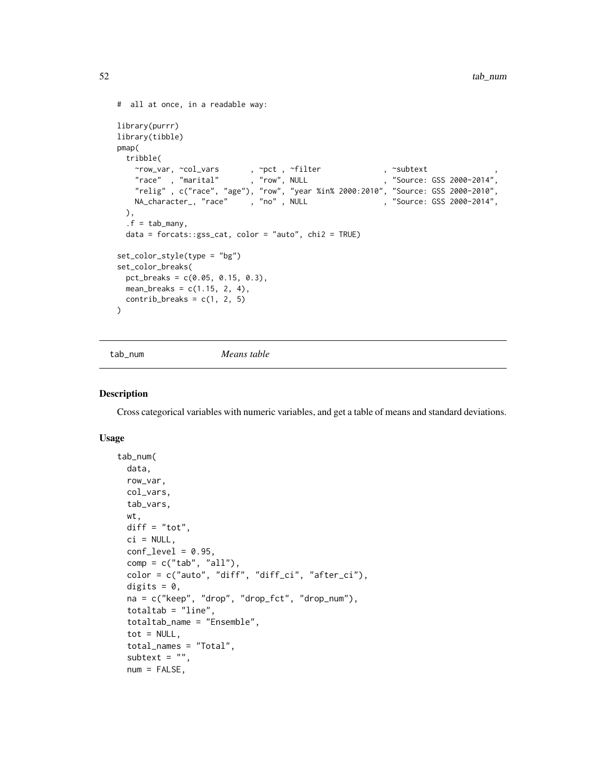```
# all at once, in a readable way:
library(purrr)
library(tibble)
pmap(
 tribble(
    \simrow_var, \simcol_vars , \simpct , \simfilter , \simsubtext , ,
    "race" , "marital" , "row", NULL , "source: GSS 2000-2014",
    "relig" , c("race", "age"), "row", "year %in% 2000:2010", "Source: GSS 2000-2010",
   NA_character_, "race", "no", NULL , "Source: GSS 2000-2014",
 ),
 .f = tab_many,
 data = forcats::gss_cat, color = "auto", chi2 = TRUE)
set_color_style(type = "bg")
set_color_breaks(
 pct_breaks = c(0.05, 0.15, 0.3),
 mean_breaks = c(1.15, 2, 4),control\text{-}breaks = c(1, 2, 5))
```
<span id="page-51-0"></span>tab\_num *Means table*

### **Description**

Cross categorical variables with numeric variables, and get a table of means and standard deviations.

### Usage

```
tab_num(
  data,
 row_var,
 col_vars,
  tab_vars,
 wt,
 diff = "tot",
 ci = NULL,conf\_level = 0.95,
  comp = c("tab", "all"),color = c("auto", "diff", "diff_ci", "after_ci"),
  digits = 0,
  na = c("keep", "drop", "drop_fct", "drop_num"),
  totaltab = "line",totaltab_name = "Ensemble",
  tot = NULL,total_names = "Total",
  subtext = ",
  num = FALSE,
```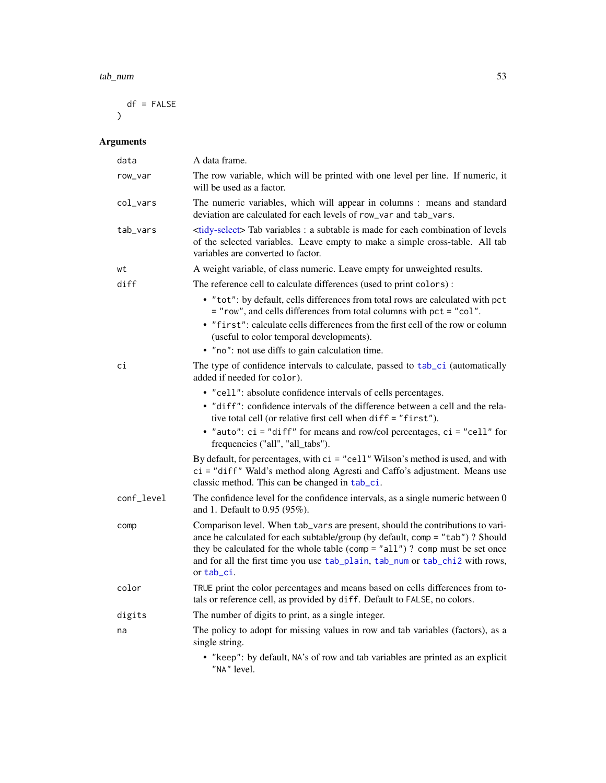### tab\_num 53

 $df = FALSE$  $\mathcal{L}$ 

| data       | A data frame.                                                                                                                                                                                                                                                                                                                                  |
|------------|------------------------------------------------------------------------------------------------------------------------------------------------------------------------------------------------------------------------------------------------------------------------------------------------------------------------------------------------|
| row_var    | The row variable, which will be printed with one level per line. If numeric, it<br>will be used as a factor.                                                                                                                                                                                                                                   |
| col_vars   | The numeric variables, which will appear in columns : means and standard<br>deviation are calculated for each levels of row_var and tab_vars.                                                                                                                                                                                                  |
| tab_vars   | <tidy-select> Tab variables : a subtable is made for each combination of levels<br/>of the selected variables. Leave empty to make a simple cross-table. All tab<br/>variables are converted to factor.</tidy-select>                                                                                                                          |
| wt         | A weight variable, of class numeric. Leave empty for unweighted results.                                                                                                                                                                                                                                                                       |
| diff       | The reference cell to calculate differences (used to print colors):                                                                                                                                                                                                                                                                            |
|            | • "tot": by default, cells differences from total rows are calculated with pct<br>= "row", and cells differences from total columns with pct = "col".<br>• "first": calculate cells differences from the first cell of the row or column<br>(useful to color temporal developments).<br>• "no": not use diffs to gain calculation time.        |
| сi         | The type of confidence intervals to calculate, passed to tab_ci (automatically<br>added if needed for color).                                                                                                                                                                                                                                  |
|            | • "cell": absolute confidence intervals of cells percentages.                                                                                                                                                                                                                                                                                  |
|            | • "diff": confidence intervals of the difference between a cell and the rela-<br>tive total cell (or relative first cell when diff = "first").                                                                                                                                                                                                 |
|            | • "auto": $ci = "diff"$ for means and row/col percentages, $ci = "cell"$ for<br>frequencies ("all", "all_tabs").                                                                                                                                                                                                                               |
|            | By default, for percentages, with $ci = "cell" Wilson's method is used, and with$<br>ci = "diff" Wald's method along Agresti and Caffo's adjustment. Means use<br>classic method. This can be changed in tab_ci.                                                                                                                               |
| conf_level | The confidence level for the confidence intervals, as a single numeric between 0<br>and 1. Default to 0.95 (95%).                                                                                                                                                                                                                              |
| comp       | Comparison level. When tab_vars are present, should the contributions to vari-<br>ance be calculated for each subtable/group (by default, comp = "tab") ? Should<br>they be calculated for the whole table (comp = "all")? comp must be set once<br>and for all the first time you use tab_plain, tab_num or tab_chi2 with rows,<br>or tab_ci. |
| color      | TRUE print the color percentages and means based on cells differences from to-<br>tals or reference cell, as provided by diff. Default to FALSE, no colors.                                                                                                                                                                                    |
| digits     | The number of digits to print, as a single integer.                                                                                                                                                                                                                                                                                            |
| na         | The policy to adopt for missing values in row and tab variables (factors), as a<br>single string.                                                                                                                                                                                                                                              |
|            | • "keep": by default, NA's of row and tab variables are printed as an explicit<br>"NA" level.                                                                                                                                                                                                                                                  |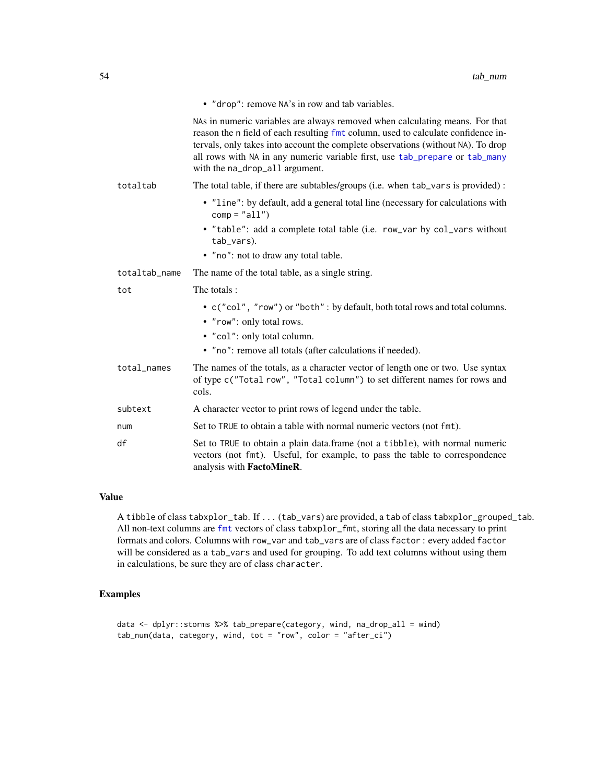|               | • "drop": remove NA's in row and tab variables.                                                                                                                                                                                                                                                                                                                        |
|---------------|------------------------------------------------------------------------------------------------------------------------------------------------------------------------------------------------------------------------------------------------------------------------------------------------------------------------------------------------------------------------|
|               | NAs in numeric variables are always removed when calculating means. For that<br>reason the n field of each resulting fmt column, used to calculate confidence in-<br>tervals, only takes into account the complete observations (without NA). To drop<br>all rows with NA in any numeric variable first, use tab_prepare or tab_many<br>with the na_drop_all argument. |
| totaltab      | The total table, if there are subtables/groups (i.e. when tab_vars is provided):                                                                                                                                                                                                                                                                                       |
|               | • "line": by default, add a general total line (necessary for calculations with<br>$comp = "all")$                                                                                                                                                                                                                                                                     |
|               | • "table": add a complete total table (i.e. row_var by col_vars without<br>tab_vars).                                                                                                                                                                                                                                                                                  |
|               | • "no": not to draw any total table.                                                                                                                                                                                                                                                                                                                                   |
| totaltab_name | The name of the total table, as a single string.                                                                                                                                                                                                                                                                                                                       |
| tot           | The totals:                                                                                                                                                                                                                                                                                                                                                            |
|               | • c("col", "row") or "both": by default, both total rows and total columns.<br>• "row": only total rows.                                                                                                                                                                                                                                                               |
|               | • "col": only total column.                                                                                                                                                                                                                                                                                                                                            |
|               | • "no": remove all totals (after calculations if needed).                                                                                                                                                                                                                                                                                                              |
| total_names   | The names of the totals, as a character vector of length one or two. Use syntax<br>of type c("Total row", "Total column") to set different names for rows and<br>cols.                                                                                                                                                                                                 |
| subtext       | A character vector to print rows of legend under the table.                                                                                                                                                                                                                                                                                                            |
| num           | Set to TRUE to obtain a table with normal numeric vectors (not fmt).                                                                                                                                                                                                                                                                                                   |
| df            | Set to TRUE to obtain a plain data.frame (not a tibble), with normal numeric<br>vectors (not fmt). Useful, for example, to pass the table to correspondence<br>analysis with <b>FactoMineR</b> .                                                                                                                                                                       |

A tibble of class tabxplor\_tab. If ... (tab\_vars) are provided, a tab of class tabxplor\_grouped\_tab. All non-text columns are [fmt](#page-5-0) vectors of class tabxplor\_fmt, storing all the data necessary to print formats and colors. Columns with row\_var and tab\_vars are of class factor : every added factor will be considered as a tab\_vars and used for grouping. To add text columns without using them in calculations, be sure they are of class character.

# Examples

```
data <- dplyr::storms %>% tab_prepare(category, wind, na_drop_all = wind)
tab_num(data, category, wind, tot = "row", color = "after_ci")
```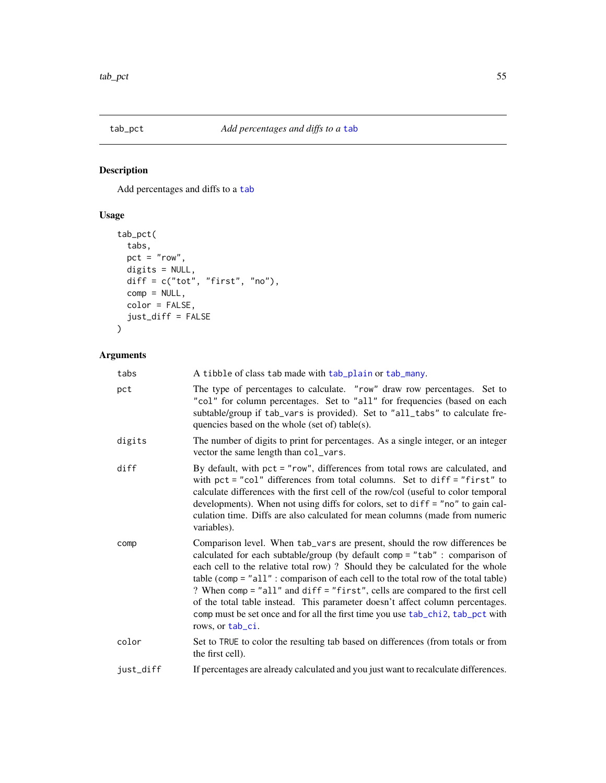<span id="page-54-0"></span>

# Description

Add percentages and diffs to a [tab](#page-36-0)

# Usage

```
tab_pct(
  tabs,
  pct = "row",digits = NULL,
  diff = c("tot", "first", "no"),
  comp = NULL,
  color = FALSE,
  just_diff = FALSE
\overline{\phantom{a}}
```

| tabs      | A tibble of class tab made with tab_plain or tab_many.                                                                                                                                                                                                                                                                                                                                                                                                                                                                                                                                                     |
|-----------|------------------------------------------------------------------------------------------------------------------------------------------------------------------------------------------------------------------------------------------------------------------------------------------------------------------------------------------------------------------------------------------------------------------------------------------------------------------------------------------------------------------------------------------------------------------------------------------------------------|
| pct       | The type of percentages to calculate. "row" draw row percentages. Set to<br>"col" for column percentages. Set to "all" for frequencies (based on each<br>subtable/group if tab_vars is provided). Set to "all_tabs" to calculate fre-<br>quencies based on the whole (set of) table(s).                                                                                                                                                                                                                                                                                                                    |
| digits    | The number of digits to print for percentages. As a single integer, or an integer<br>vector the same length than col_vars.                                                                                                                                                                                                                                                                                                                                                                                                                                                                                 |
| diff      | By default, with pct = "row", differences from total rows are calculated, and<br>with $pct = "col"$ differences from total columns. Set to diff = "first" to<br>calculate differences with the first cell of the row/col (useful to color temporal<br>developments). When not using diffs for colors, set to $diff = "no"$ to gain cal-<br>culation time. Diffs are also calculated for mean columns (made from numeric<br>variables).                                                                                                                                                                     |
| comp      | Comparison level. When tab_vars are present, should the row differences be<br>calculated for each subtable/group (by default comp = "tab" : comparison of<br>each cell to the relative total row)? Should they be calculated for the whole<br>table (comp = $"all"$ : comparison of each cell to the total row of the total table)<br>? When comp = "all" and diff = "first", cells are compared to the first cell<br>of the total table instead. This parameter doesn't affect column percentages.<br>comp must be set once and for all the first time you use tab_chi2, tab_pct with<br>rows, or tab_ci. |
| color     | Set to TRUE to color the resulting tab based on differences (from totals or from<br>the first cell).                                                                                                                                                                                                                                                                                                                                                                                                                                                                                                       |
| just_diff | If percentages are already calculated and you just want to recalculate differences.                                                                                                                                                                                                                                                                                                                                                                                                                                                                                                                        |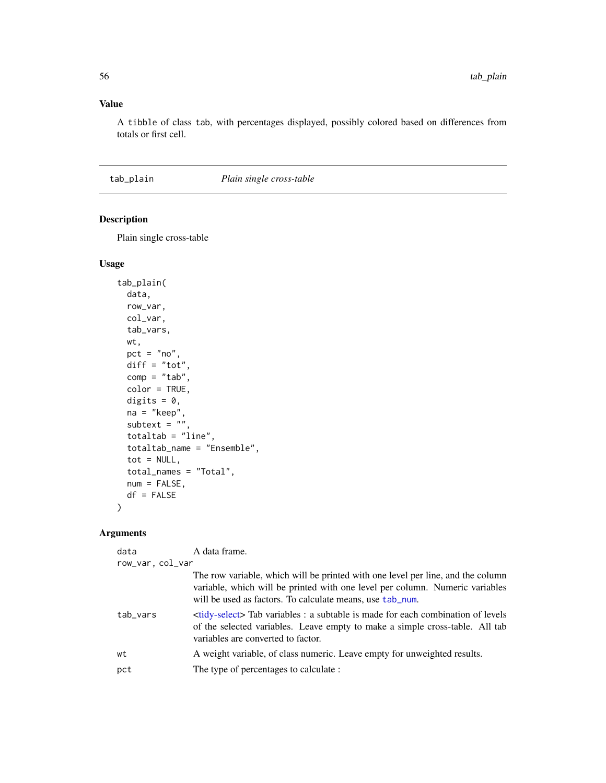A tibble of class tab, with percentages displayed, possibly colored based on differences from totals or first cell.

# <span id="page-55-0"></span>tab\_plain *Plain single cross-table*

# Description

Plain single cross-table

### Usage

```
tab_plain(
 data,
 row_var,
 col_var,
 tab_vars,
 wt,
 pct = "no",diff = "tot",
 comp = "tab",color = TRUE,
 digits = 0,
 na = "keep",
  subtext = ",
  totaltab = "line",
  totaltab_name = "Ensemble",
  tot = NULL,total_names = "Total",
 num = FALSE,df = FALSE)
```

| data             | A data frame.                                                                                                                                                                                                                |  |
|------------------|------------------------------------------------------------------------------------------------------------------------------------------------------------------------------------------------------------------------------|--|
| row_var, col_var |                                                                                                                                                                                                                              |  |
|                  | The row variable, which will be printed with one level per line, and the column<br>variable, which will be printed with one level per column. Numeric variables<br>will be used as factors. To calculate means, use tab_num. |  |
| tab_vars         | stidy-select Tab variables : a subtable is made for each combination of levels<br>of the selected variables. Leave empty to make a simple cross-table. All tab<br>variables are converted to factor.                         |  |
| wt               | A weight variable, of class numeric. Leave empty for unweighted results.                                                                                                                                                     |  |
| pct              | The type of percentages to calculate :                                                                                                                                                                                       |  |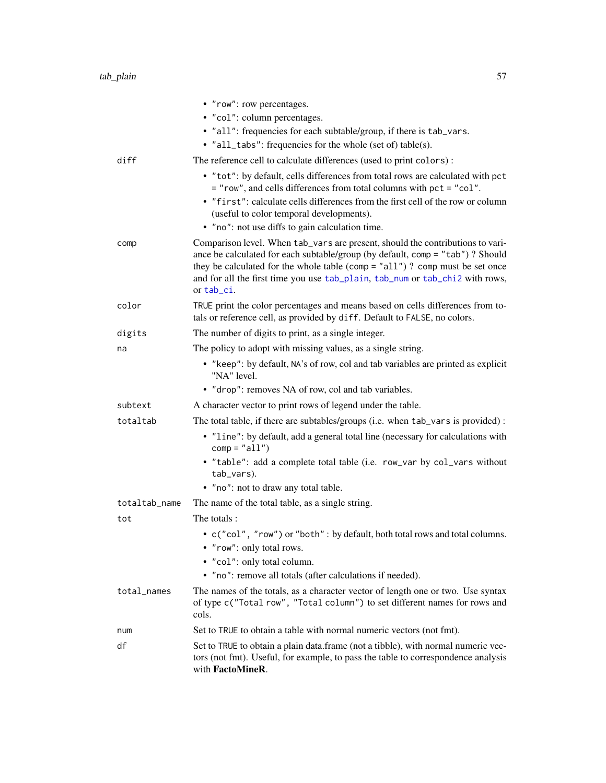|               | • "row": row percentages.                                                                                                                                                                                                                                                                                                                         |
|---------------|---------------------------------------------------------------------------------------------------------------------------------------------------------------------------------------------------------------------------------------------------------------------------------------------------------------------------------------------------|
|               | • "col": column percentages.                                                                                                                                                                                                                                                                                                                      |
|               | • "all": frequencies for each subtable/group, if there is tab_vars.                                                                                                                                                                                                                                                                               |
|               | • "all_tabs": frequencies for the whole (set of) table(s).                                                                                                                                                                                                                                                                                        |
| diff          | The reference cell to calculate differences (used to print colors):                                                                                                                                                                                                                                                                               |
|               | • "tot": by default, cells differences from total rows are calculated with pct<br>= "row", and cells differences from total columns with pct = "col".<br>• "first": calculate cells differences from the first cell of the row or column                                                                                                          |
|               | (useful to color temporal developments).                                                                                                                                                                                                                                                                                                          |
|               | • "no": not use diffs to gain calculation time.                                                                                                                                                                                                                                                                                                   |
| comp          | Comparison level. When tab_vars are present, should the contributions to vari-<br>ance be calculated for each subtable/group (by default, comp = "tab") ? Should<br>they be calculated for the whole table (comp = $"all")$ ? comp must be set once<br>and for all the first time you use tab_plain, tab_num or tab_chi2 with rows,<br>or tab_ci. |
| color         | TRUE print the color percentages and means based on cells differences from to-<br>tals or reference cell, as provided by diff. Default to FALSE, no colors.                                                                                                                                                                                       |
| digits        | The number of digits to print, as a single integer.                                                                                                                                                                                                                                                                                               |
| na            | The policy to adopt with missing values, as a single string.                                                                                                                                                                                                                                                                                      |
|               | • "keep": by default, NA's of row, col and tab variables are printed as explicit<br>"NA" level.                                                                                                                                                                                                                                                   |
|               | • "drop": removes NA of row, col and tab variables.                                                                                                                                                                                                                                                                                               |
| subtext       | A character vector to print rows of legend under the table.                                                                                                                                                                                                                                                                                       |
| totaltab      | The total table, if there are subtables/groups (i.e. when tab_vars is provided) :                                                                                                                                                                                                                                                                 |
|               | • "line": by default, add a general total line (necessary for calculations with<br>$comp = "all")$                                                                                                                                                                                                                                                |
|               | • "table": add a complete total table (i.e. row_var by col_vars without<br>tab_vars).                                                                                                                                                                                                                                                             |
|               | • "no": not to draw any total table.                                                                                                                                                                                                                                                                                                              |
| totaltab_name | The name of the total table, as a single string.                                                                                                                                                                                                                                                                                                  |
| tot           | The totals:                                                                                                                                                                                                                                                                                                                                       |
|               | $\bullet\,$ c("col", "row") or "both" : by default, both total rows and total columns.<br>• "row": only total rows.<br>• "col": only total column.                                                                                                                                                                                                |
|               | • "no": remove all totals (after calculations if needed).                                                                                                                                                                                                                                                                                         |
| total_names   | The names of the totals, as a character vector of length one or two. Use syntax<br>of type c("Total row", "Total column") to set different names for rows and<br>cols.                                                                                                                                                                            |
| num           | Set to TRUE to obtain a table with normal numeric vectors (not fmt).                                                                                                                                                                                                                                                                              |
| df            | Set to TRUE to obtain a plain data.frame (not a tibble), with normal numeric vec-<br>tors (not fmt). Useful, for example, to pass the table to correspondence analysis<br>with FactoMineR.                                                                                                                                                        |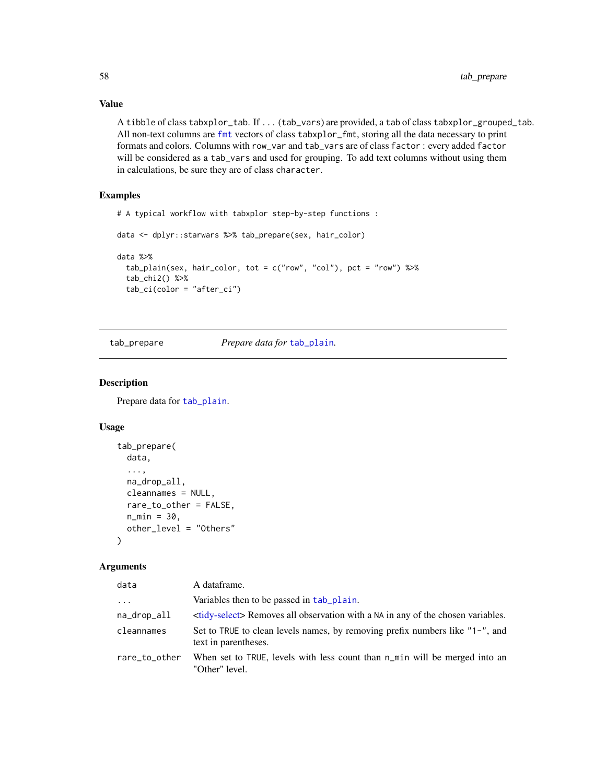A tibble of class tabxplor\_tab. If ... (tab\_vars) are provided, a tab of class tabxplor\_grouped\_tab. All non-text columns are [fmt](#page-5-0) vectors of class tabxplor\_fmt, storing all the data necessary to print formats and colors. Columns with row\_var and tab\_vars are of class factor : every added factor will be considered as a tab\_vars and used for grouping. To add text columns without using them in calculations, be sure they are of class character.

# Examples

```
# A typical workflow with tabxplor step-by-step functions :
```

```
data <- dplyr::starwars %>% tab_prepare(sex, hair_color)
```

```
data %>%
 tab_plain(sex, hair_color, tot = c("row", "col"), pct = "row") %>%
 tab_chi2() %>%
 tab_ci(color = "after_ci")
```
<span id="page-57-0"></span>tab\_prepare *Prepare data for* [tab\\_plain](#page-55-0)*.*

### Description

Prepare data for [tab\\_plain](#page-55-0).

### Usage

```
tab_prepare(
  data,
  ...,
  na_drop_all,
  cleannames = NULL,
  rare_to_other = FALSE,
  n_min = 30,
  other_level = "Others"
\lambda
```

| data          | A dataframe.                                                                                         |
|---------------|------------------------------------------------------------------------------------------------------|
| $\cdots$      | Variables then to be passed in tab plain.                                                            |
| na_drop_all   | <tidy-select> Removes all observation with a NA in any of the chosen variables.</tidy-select>        |
| cleannames    | Set to TRUE to clean levels names, by removing prefix numbers like "1-", and<br>text in parentheses. |
| rare_to_other | When set to TRUE, levels with less count than n_min will be merged into an<br>"Other" level.         |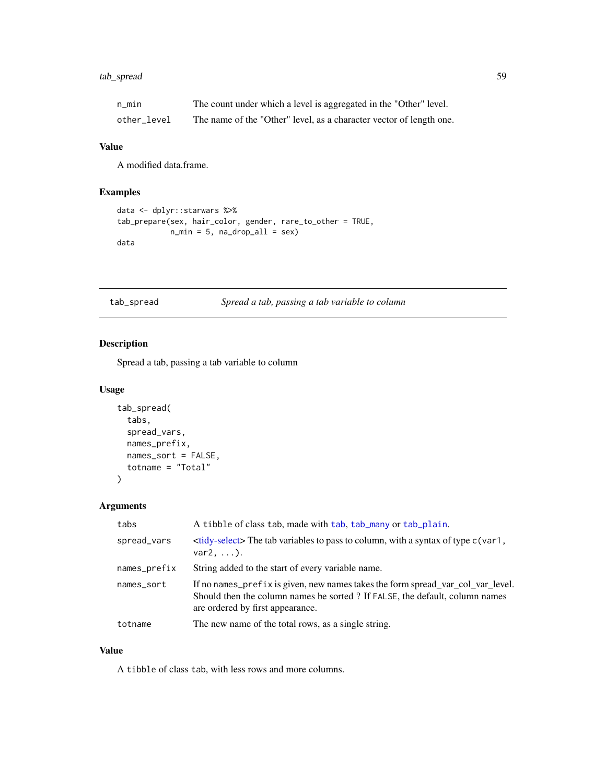# tab\_spread 59

| n min       | The count under which a level is aggregated in the "Other" level.   |
|-------------|---------------------------------------------------------------------|
| other level | The name of the "Other" level, as a character vector of length one. |

# Value

A modified data.frame.

# Examples

```
data <- dplyr::starwars %>%
tab_prepare(sex, hair_color, gender, rare_to_other = TRUE,
            n_{min} = 5, na_{drop\_all} = sexdata
```
tab\_spread *Spread a tab, passing a tab variable to column*

# Description

Spread a tab, passing a tab variable to column

### Usage

```
tab_spread(
  tabs,
  spread_vars,
  names_prefix,
  names_sort = FALSE,
  totname = "Total"
\mathcal{L}
```
# Arguments

| tabs         | A tibble of class tab, made with tab, tab_many or tab_plain.                                                                                                                                        |
|--------------|-----------------------------------------------------------------------------------------------------------------------------------------------------------------------------------------------------|
| spread_vars  | $\lt$ tidy-select> The tab variables to pass to column, with a syntax of type $c(\text{var1}, \text{var2})$<br>$var2, \ldots$ ).                                                                    |
| names_prefix | String added to the start of every variable name.                                                                                                                                                   |
| names_sort   | If no names_prefix is given, new names takes the form spread_var_col_var_level.<br>Should then the column names be sorted ? If FALSE, the default, column names<br>are ordered by first appearance. |
| totname      | The new name of the total rows, as a single string.                                                                                                                                                 |

### Value

A tibble of class tab, with less rows and more columns.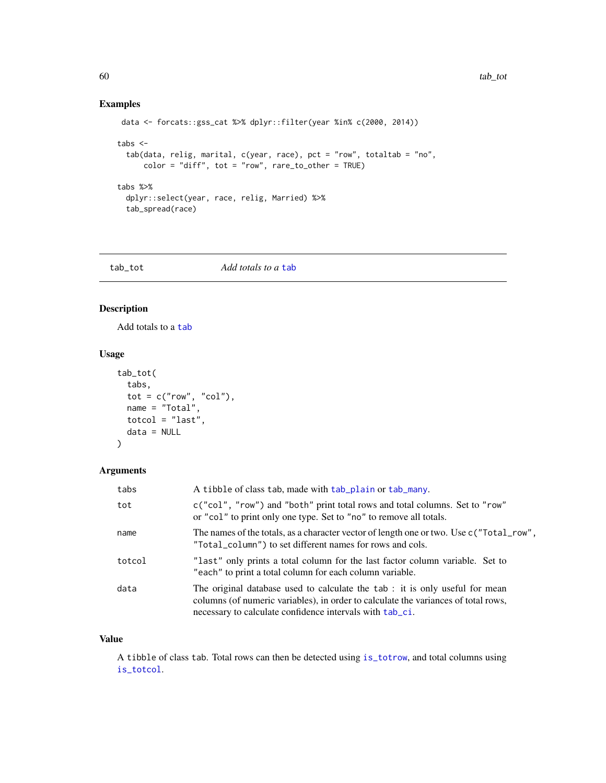# Examples

```
data <- forcats::gss_cat %>% dplyr::filter(year %in% c(2000, 2014))
tabs <-
  tab(data, relig, marital, c(year, race), pct = "row", totaltab = "no",
      color = "diff", tot = "row", rare_to_other = TRUE)
tabs %>%
  dplyr::select(year, race, relig, Married) %>%
  tab_spread(race)
```
tab\_tot *Add totals to a* [tab](#page-36-0)

# Description

Add totals to a [tab](#page-36-0)

# Usage

```
tab_tot(
  tabs,
  \text{tot} = \text{c("row", "col"),}name = "Total",
  totcol = "last",
  data = NULL
)
```
# Arguments

| tabs   | A tibble of class tab, made with tab_plain or tab_many.                                                                                                                                                                       |
|--------|-------------------------------------------------------------------------------------------------------------------------------------------------------------------------------------------------------------------------------|
| tot    | c("col", "row") and "both" print total rows and total columns. Set to "row"<br>or "col" to print only one type. Set to "no" to remove all totals.                                                                             |
| name   | The names of the totals, as a character vector of length one or two. Use c ("Total_row",<br>"Total_column") to set different names for rows and cols.                                                                         |
| totcol | "last" only prints a total column for the last factor column variable. Set to<br>"each" to print a total column for each column variable.                                                                                     |
| data   | The original database used to calculate the tab: it is only useful for mean<br>columns (of numeric variables), in order to calculate the variances of total rows,<br>necessary to calculate confidence intervals with tab_ci. |

### Value

A tibble of class tab. Total rows can then be detected using [is\\_totrow](#page-5-1), and total columns using [is\\_totcol](#page-5-1).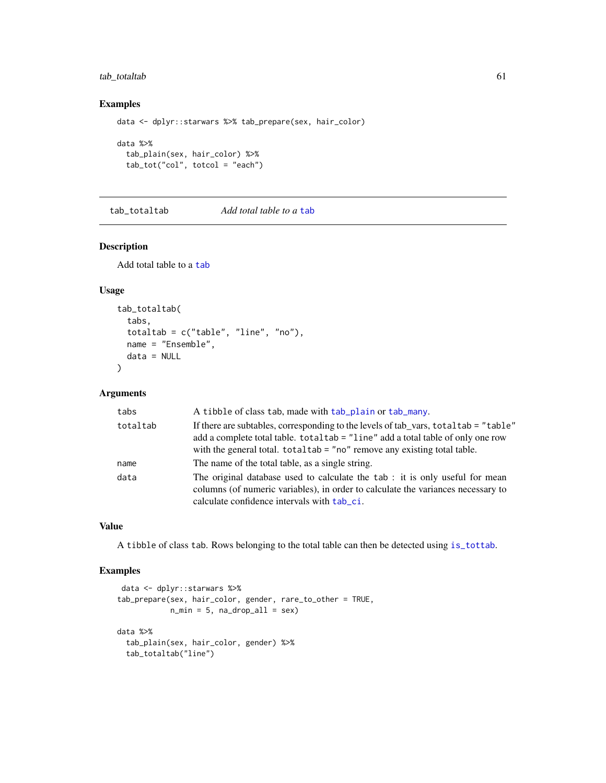# tab\_totaltab 61

### Examples

data <- dplyr::starwars %>% tab\_prepare(sex, hair\_color)

```
data %>%
  tab_plain(sex, hair_color) %>%
  tab_tot("col", totcol = "each")
```
tab\_totaltab *Add total table to a* [tab](#page-36-0)

### Description

Add total table to a [tab](#page-36-0)

# Usage

```
tab_totaltab(
  tabs,
  totaltab = c("table", "line", "no"),
 name = "Ensemble",
 data = NULL
)
```
### Arguments

| tabs     | A tibble of class tab, made with tab_plain or tab_many.                                                                                                                                                                                                |
|----------|--------------------------------------------------------------------------------------------------------------------------------------------------------------------------------------------------------------------------------------------------------|
| totaltab | If there are subtables, corresponding to the levels of tab vars, total tab = "table"<br>add a complete total table. total tab = "line" add a total table of only one row<br>with the general total. $totaltab = "no"$ remove any existing total table. |
| name     | The name of the total table, as a single string.                                                                                                                                                                                                       |
| data     | The original database used to calculate the tab : it is only useful for mean<br>columns (of numeric variables), in order to calculate the variances necessary to<br>calculate confidence intervals with tab ci.                                        |

# Value

A tibble of class tab. Rows belonging to the total table can then be detected using [is\\_tottab](#page-5-1).

# Examples

```
data <- dplyr::starwars %>%
tab_prepare(sex, hair_color, gender, rare_to_other = TRUE,
            n_{min} = 5, na_{drop\_all} = sexdata %>%
 tab_plain(sex, hair_color, gender) %>%
 tab_totaltab("line")
```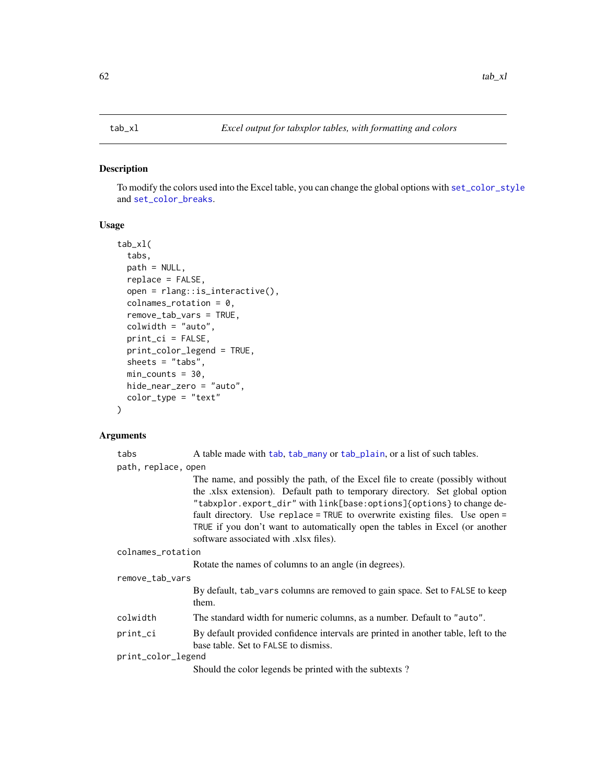### <span id="page-61-0"></span>Description

To modify the colors used into the Excel table, you can change the global options with [set\\_color\\_style](#page-45-1) and [set\\_color\\_breaks](#page-45-1).

### Usage

```
tab_xl(
  tabs,
  path = NULL,
  replace = FALSE,
  open = rlang::is_interactive(),
  collnames\_rotation = 0,remove_tab_vars = TRUE,
  colwidth = "auto",
  print_ci = FALSE,
  print_color_legend = TRUE,
  sheets = "tabs",
  min\_counts = 30,hide_near_zero = "auto",
  color_type = "text"
)
```
### Arguments

tabs A table made with [tab](#page-36-0), [tab\\_many](#page-45-0) or [tab\\_plain](#page-55-0), or a list of such tables. path, replace, open

The name, and possibly the path, of the Excel file to create (possibly without the .xlsx extension). Default path to temporary directory. Set global option "tabxplor.export\_dir" with link[base:options]{options} to change default directory. Use replace = TRUE to overwrite existing files. Use open = TRUE if you don't want to automatically open the tables in Excel (or another software associated with .xlsx files).

colnames\_rotation

Rotate the names of columns to an angle (in degrees).

### remove\_tab\_vars

By default, tab\_vars columns are removed to gain space. Set to FALSE to keep them.

- colwidth The standard width for numeric columns, as a number. Default to "auto".
- print\_ci By default provided confidence intervals are printed in another table, left to the base table. Set to FALSE to dismiss.

print\_color\_legend

Should the color legends be printed with the subtexts ?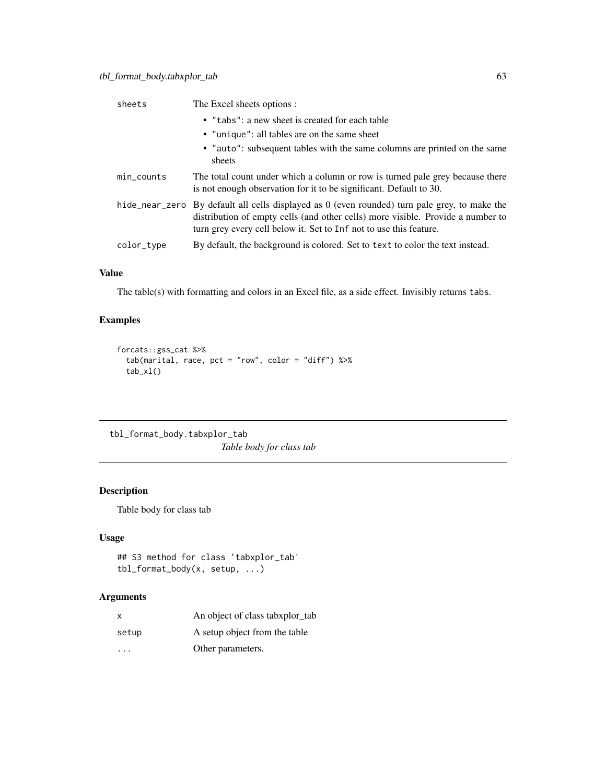| sheets        | The Excel sheets options :                                                                                                                                                                                                                               |
|---------------|----------------------------------------------------------------------------------------------------------------------------------------------------------------------------------------------------------------------------------------------------------|
|               | • "tabs": a new sheet is created for each table                                                                                                                                                                                                          |
|               | • "unique": all tables are on the same sheet                                                                                                                                                                                                             |
|               | • "auto": subsequent tables with the same columns are printed on the same<br>sheets                                                                                                                                                                      |
| $min\_counts$ | The total count under which a column or row is turned pale grey because there<br>is not enough observation for it to be significant. Default to 30.                                                                                                      |
|               | hide_near_zero By default all cells displayed as $0$ (even rounded) turn pale grey, to make the<br>distribution of empty cells (and other cells) more visible. Provide a number to<br>turn grey every cell below it. Set to Inf not to use this feature. |
| color_type    | By default, the background is colored. Set to text to color the text instead.                                                                                                                                                                            |
|               |                                                                                                                                                                                                                                                          |

The table(s) with formatting and colors in an Excel file, as a side effect. Invisibly returns tabs.

# Examples

```
forcats::gss_cat %>%
 tab(marital, race, pct = "row", color = "diff") %>%
 tab_x1()
```
tbl\_format\_body.tabxplor\_tab *Table body for class tab*

# Description

Table body for class tab

# Usage

```
## S3 method for class 'tabxplor_tab'
tbl_format_body(x, setup, ...)
```

| $\mathsf{x}$ | An object of class tabxplor_tab |
|--------------|---------------------------------|
| setup        | A setup object from the table   |
| .            | Other parameters.               |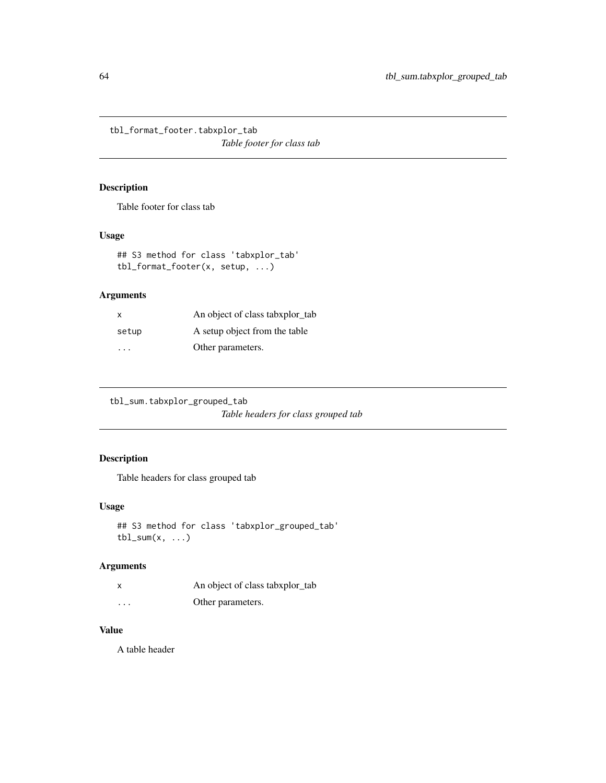tbl\_format\_footer.tabxplor\_tab *Table footer for class tab*

# Description

Table footer for class tab

# Usage

## S3 method for class 'tabxplor\_tab' tbl\_format\_footer(x, setup, ...)

# Arguments

| X     | An object of class tabxplor_tab |
|-------|---------------------------------|
| setup | A setup object from the table   |
| .     | Other parameters.               |

tbl\_sum.tabxplor\_grouped\_tab *Table headers for class grouped tab*

# Description

Table headers for class grouped tab

### Usage

```
## S3 method for class 'tabxplor_grouped_tab'
tbl\_sum(x, \ldots)
```
# Arguments

|          | An object of class tabxplor_tab |
|----------|---------------------------------|
| $\cdots$ | Other parameters.               |

# Value

A table header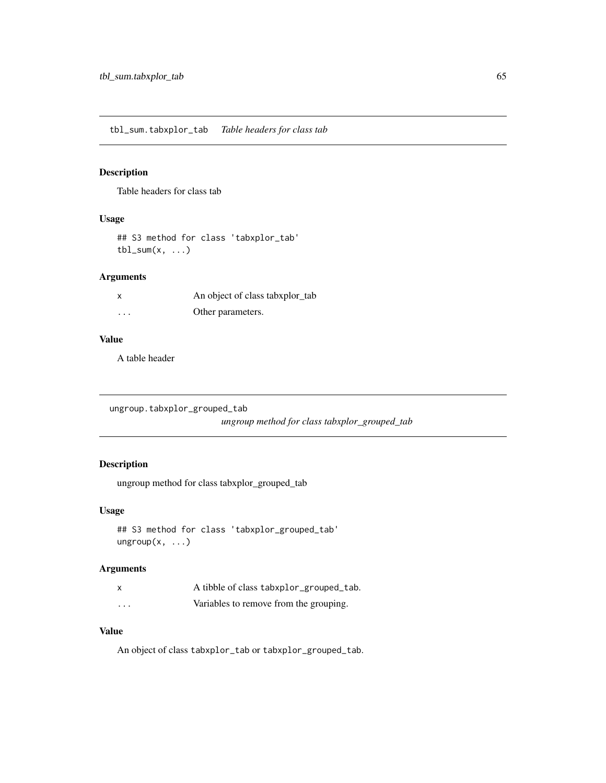tbl\_sum.tabxplor\_tab *Table headers for class tab*

# Description

Table headers for class tab

# Usage

## S3 method for class 'tabxplor\_tab'  $tbl\_sum(x, \ldots)$ 

# Arguments

|          | An object of class tabxplor_tab |
|----------|---------------------------------|
| $\cdots$ | Other parameters.               |

### Value

A table header

ungroup.tabxplor\_grouped\_tab

*ungroup method for class tabxplor\_grouped\_tab*

# Description

ungroup method for class tabxplor\_grouped\_tab

### Usage

```
## S3 method for class 'tabxplor_grouped_tab'
ungroup(x, ...)
```
### Arguments

|                         | A tibble of class tabxplor_grouped_tab. |
|-------------------------|-----------------------------------------|
| $\cdot$ $\cdot$ $\cdot$ | Variables to remove from the grouping.  |

# Value

An object of class tabxplor\_tab or tabxplor\_grouped\_tab.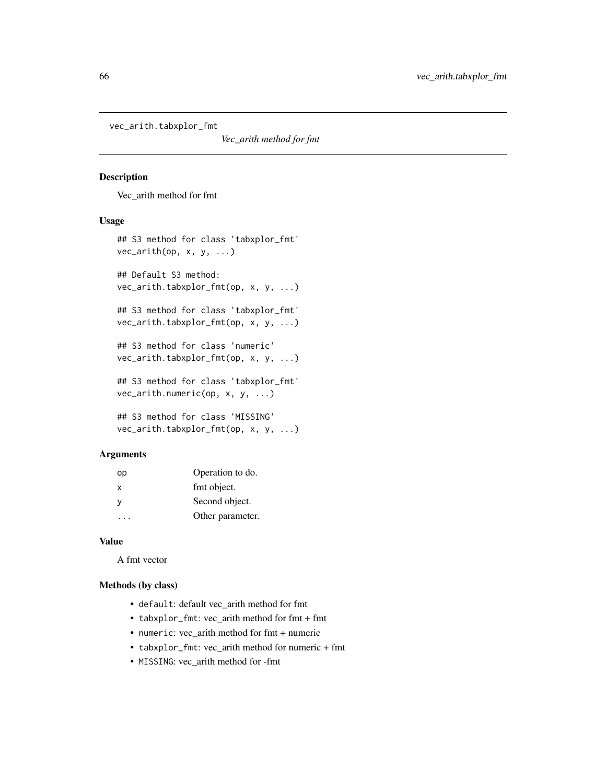vec\_arith.tabxplor\_fmt

*Vec\_arith method for fmt*

### Description

Vec\_arith method for fmt

### Usage

```
## S3 method for class 'tabxplor_fmt'
vec_arith(op, x, y, ...)
## Default S3 method:
vec_arith.tabxplor_fmt(op, x, y, ...)
## S3 method for class 'tabxplor_fmt'
vec_arith.tabxplor_fmt(op, x, y, ...)
## S3 method for class 'numeric'
vec_arith.tabxplor_fmt(op, x, y, ...)
## S3 method for class 'tabxplor_fmt'
vec_arith.numeric(op, x, y, ...)
## S3 method for class 'MISSING'
vec_arith.tabxplor_fmt(op, x, y, ...)
```
### Arguments

| оp       | Operation to do. |
|----------|------------------|
| X        | fmt object.      |
| <b>V</b> | Second object.   |
|          | Other parameter. |

# Value

A fmt vector

# Methods (by class)

- default: default vec\_arith method for fmt
- tabxplor\_fmt: vec\_arith method for fmt + fmt
- numeric: vec\_arith method for fmt + numeric
- tabxplor\_fmt: vec\_arith method for numeric + fmt
- MISSING: vec\_arith method for -fmt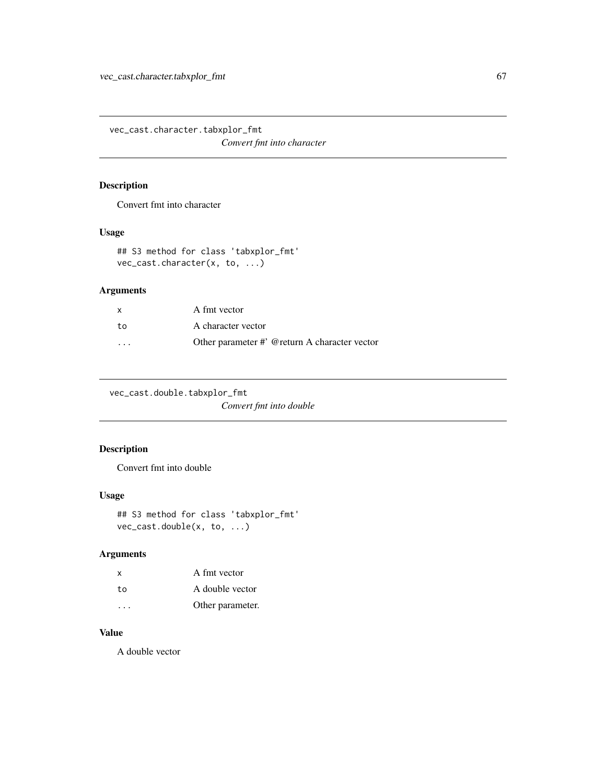vec\_cast.character.tabxplor\_fmt *Convert fmt into character*

# Description

Convert fmt into character

### Usage

```
## S3 method for class 'tabxplor_fmt'
vec_cast.character(x, to, ...)
```
# Arguments

| X  | A fmt vector                                  |
|----|-----------------------------------------------|
| to | A character vector                            |
| .  | Other parameter #' @return A character vector |

vec\_cast.double.tabxplor\_fmt

*Convert fmt into double*

# Description

Convert fmt into double

### Usage

```
## S3 method for class 'tabxplor_fmt'
vec_cast.double(x, to, ...)
```
# Arguments

| x  | A fmt vector     |
|----|------------------|
| to | A double vector  |
| .  | Other parameter. |

# Value

A double vector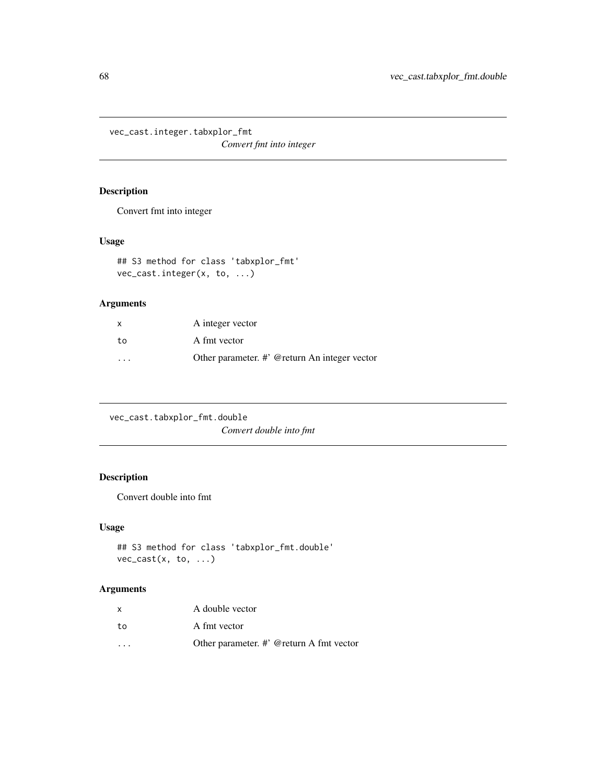vec\_cast.integer.tabxplor\_fmt

*Convert fmt into integer*

# Description

Convert fmt into integer

# Usage

```
## S3 method for class 'tabxplor_fmt'
vec_cast.integer(x, to, ...)
```
# Arguments

| $\mathsf{x}$ | A integer vector                              |
|--------------|-----------------------------------------------|
| to           | A fmt vector                                  |
| .            | Other parameter. #' @return An integer vector |

| vec_cast.tabxplor_fmt.double |
|------------------------------|
| Convert double into fmt      |

# Description

Convert double into fmt

# Usage

```
## S3 method for class 'tabxplor_fmt.double'
vec_cast(x, to, ...)
```

| x                       | A double vector                          |
|-------------------------|------------------------------------------|
| to                      | A fmt vector                             |
| $\cdot$ $\cdot$ $\cdot$ | Other parameter. #' @return A fmt vector |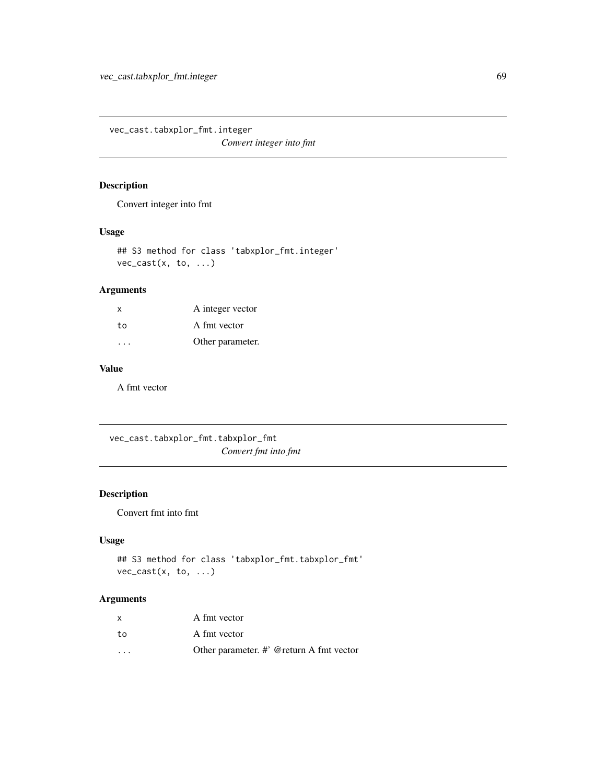vec\_cast.tabxplor\_fmt.integer

*Convert integer into fmt*

# Description

Convert integer into fmt

### Usage

## S3 method for class 'tabxplor\_fmt.integer'  $vec\_cast(x, to, ...)$ 

# Arguments

| $\mathsf{x}$ | A integer vector |
|--------------|------------------|
| to           | A fmt vector     |
|              | Other parameter. |

### Value

A fmt vector

vec\_cast.tabxplor\_fmt.tabxplor\_fmt *Convert fmt into fmt*

# Description

Convert fmt into fmt

# Usage

## S3 method for class 'tabxplor\_fmt.tabxplor\_fmt' vec\_cast(x, to, ...)

| x                       | A fmt vector                                |
|-------------------------|---------------------------------------------|
| to                      | A fmt vector                                |
| $\cdot$ $\cdot$ $\cdot$ | Other parameter. $\#$ @ return A fmt vector |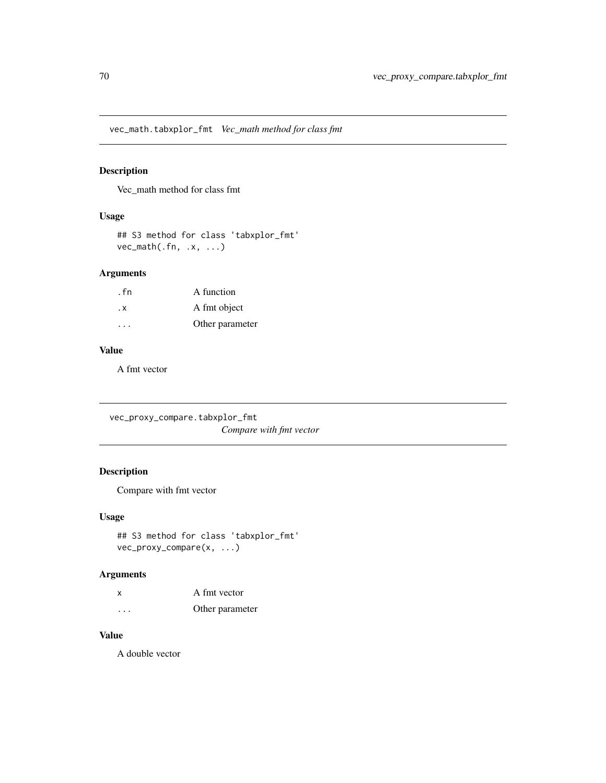vec\_math.tabxplor\_fmt *Vec\_math method for class fmt*

# Description

Vec\_math method for class fmt

# Usage

```
## S3 method for class 'tabxplor_fmt'
vec_math(.fn, .x, ...)
```
### Arguments

| . fn                 | A function      |
|----------------------|-----------------|
| . х                  | A fmt object    |
| $\sim$ $\sim$ $\sim$ | Other parameter |

### Value

A fmt vector

vec\_proxy\_compare.tabxplor\_fmt *Compare with fmt vector*

# Description

Compare with fmt vector

### Usage

```
## S3 method for class 'tabxplor_fmt'
vec_proxy_compare(x, ...)
```
# Arguments

| X | A fmt vector    |
|---|-----------------|
| . | Other parameter |

### Value

A double vector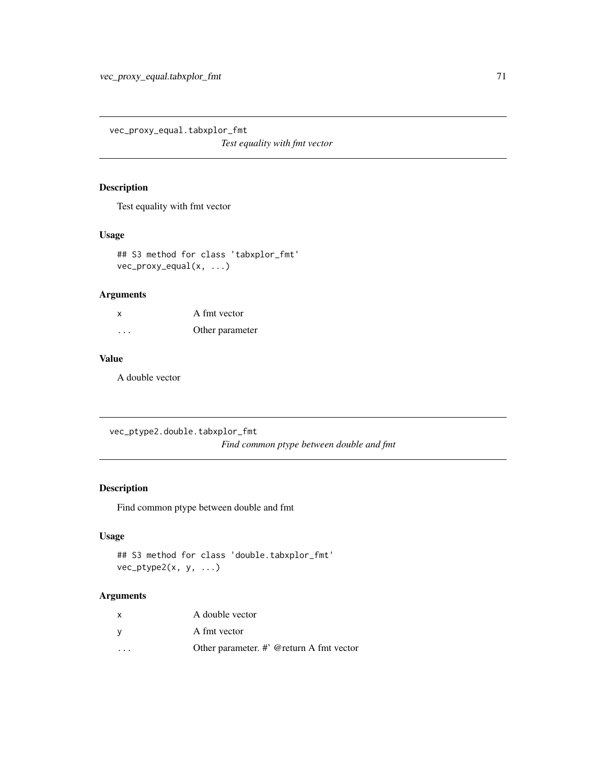vec\_proxy\_equal.tabxplor\_fmt

*Test equality with fmt vector*

### Description

Test equality with fmt vector

### Usage

```
## S3 method for class 'tabxplor_fmt'
vec_proxy_equal(x, ...)
```
# Arguments

| X       | A fmt vector    |
|---------|-----------------|
| $\cdot$ | Other parameter |

# Value

A double vector

vec\_ptype2.double.tabxplor\_fmt *Find common ptype between double and fmt*

# Description

Find common ptype between double and fmt

# Usage

```
## S3 method for class 'double.tabxplor_fmt'
vec_ptype2(x, y, ...)
```

| X                       | A double vector                          |
|-------------------------|------------------------------------------|
|                         | A fmt vector                             |
| $\cdot$ $\cdot$ $\cdot$ | Other parameter. #' @return A fmt vector |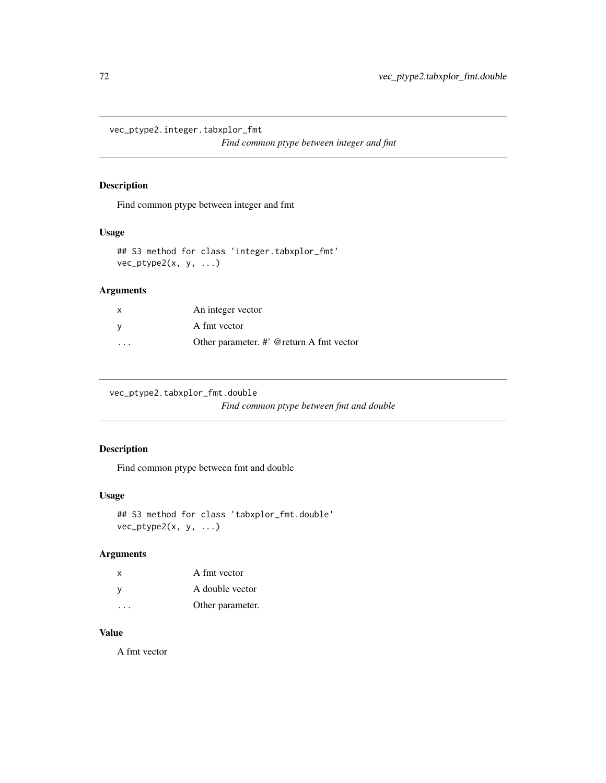vec\_ptype2.integer.tabxplor\_fmt

*Find common ptype between integer and fmt*

### Description

Find common ptype between integer and fmt

### Usage

```
## S3 method for class 'integer.tabxplor_fmt'
vec_ptype2(x, y, ...)
```
# Arguments

| X                       | An integer vector                           |
|-------------------------|---------------------------------------------|
| V                       | A fmt vector                                |
| $\cdot$ $\cdot$ $\cdot$ | Other parameter. $\#$ @ return A fmt vector |

vec\_ptype2.tabxplor\_fmt.double

*Find common ptype between fmt and double*

# Description

Find common ptype between fmt and double

### Usage

```
## S3 method for class 'tabxplor_fmt.double'
vec_ptype2(x, y, ...)
```
# Arguments

| x | A fmt vector     |
|---|------------------|
| V | A double vector  |
|   | Other parameter. |

# Value

A fmt vector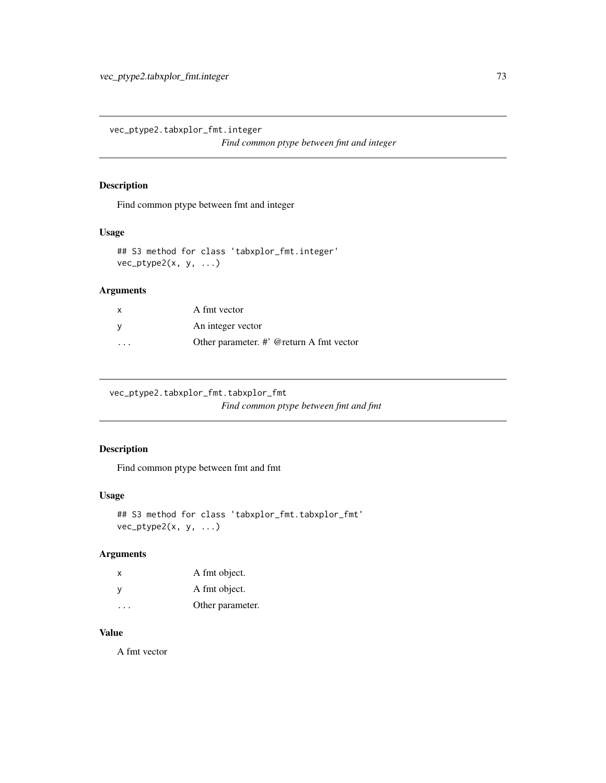<span id="page-72-0"></span>vec\_ptype2.tabxplor\_fmt.integer

*Find common ptype between fmt and integer*

#### Description

Find common ptype between fmt and integer

#### Usage

```
## S3 method for class 'tabxplor_fmt.integer'
vec_ptype2(x, y, ...)
```
## Arguments

| $\times$                | A fmt vector                                |
|-------------------------|---------------------------------------------|
| v                       | An integer vector                           |
| $\cdot$ $\cdot$ $\cdot$ | Other parameter. $\#$ @ return A fmt vector |

vec\_ptype2.tabxplor\_fmt.tabxplor\_fmt

*Find common ptype between fmt and fmt*

## Description

Find common ptype between fmt and fmt

#### Usage

```
## S3 method for class 'tabxplor_fmt.tabxplor_fmt'
vec_ptype2(x, y, ...)
```
## Arguments

| x | A fmt object.    |
|---|------------------|
| у | A fmt object.    |
| . | Other parameter. |

## Value

A fmt vector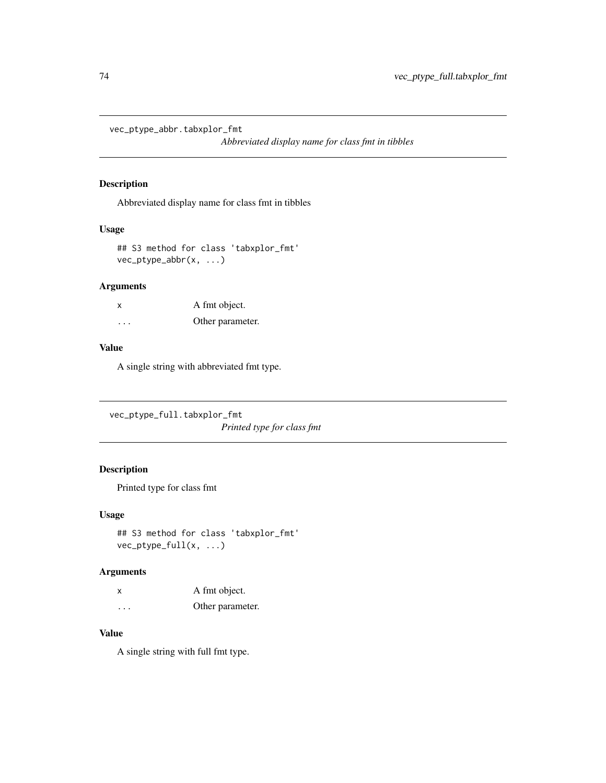<span id="page-73-0"></span>vec\_ptype\_abbr.tabxplor\_fmt

*Abbreviated display name for class fmt in tibbles*

## Description

Abbreviated display name for class fmt in tibbles

#### Usage

```
## S3 method for class 'tabxplor_fmt'
vec_ptype_abbr(x, ...)
```
#### Arguments

| х       | A fmt object.    |
|---------|------------------|
| $\cdot$ | Other parameter. |

#### Value

A single string with abbreviated fmt type.

vec\_ptype\_full.tabxplor\_fmt *Printed type for class fmt*

# Description

Printed type for class fmt

#### Usage

```
## S3 method for class 'tabxplor_fmt'
vec_ptype_full(x, ...)
```
#### Arguments

| x        | A fmt object.    |
|----------|------------------|
| $\cdots$ | Other parameter. |

# Value

A single string with full fmt type.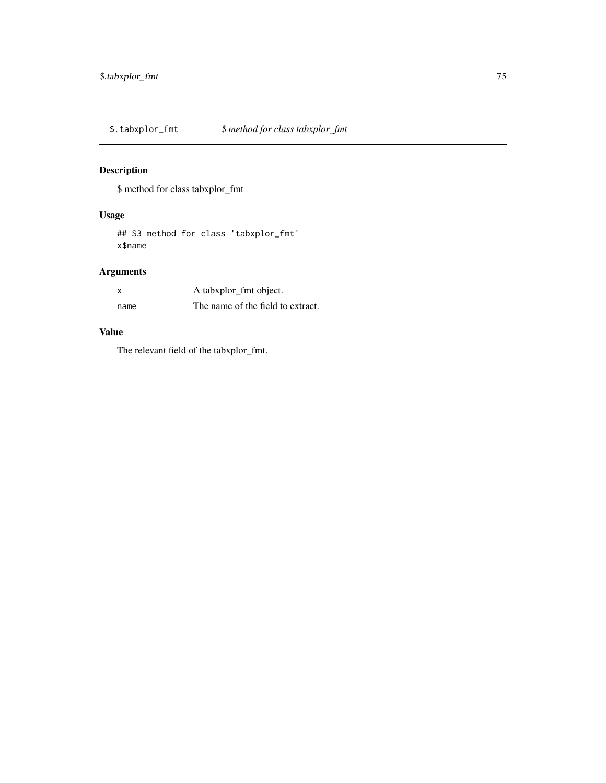<span id="page-74-0"></span>\$.tabxplor\_fmt *\$ method for class tabxplor\_fmt*

# Description

\$ method for class tabxplor\_fmt

# Usage

## S3 method for class 'tabxplor\_fmt' x\$name

# Arguments

| X    | A tabxplor_fmt object.            |
|------|-----------------------------------|
| name | The name of the field to extract. |

## Value

The relevant field of the tabxplor\_fmt.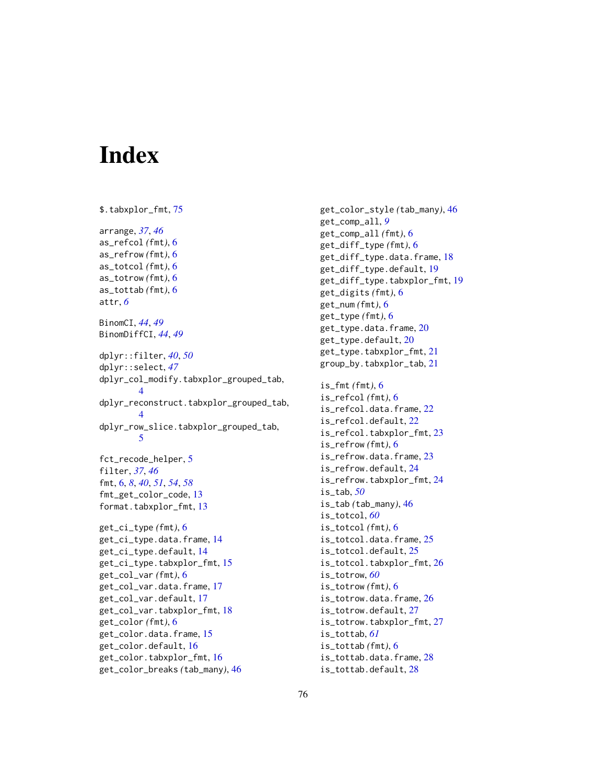# **Index**

\$.tabxplor\_fmt, [75](#page-74-0) arrange, *[37](#page-36-0)*, *[46](#page-45-0)* as\_refcol *(*fmt*)*, [6](#page-5-0) as\_refrow *(*fmt*)*, [6](#page-5-0) as\_totcol *(*fmt*)*, [6](#page-5-0) as\_totrow *(*fmt*)*, [6](#page-5-0) as\_tottab *(*fmt*)*, [6](#page-5-0) attr, *[6](#page-5-0)* BinomCI, *[44](#page-43-0)*, *[49](#page-48-0)* BinomDiffCI, *[44](#page-43-0)*, *[49](#page-48-0)* dplyr::filter, *[40](#page-39-0)*, *[50](#page-49-0)* dplyr::select, *[47](#page-46-0)* dplyr\_col\_modify.tabxplor\_grouped\_tab, [4](#page-3-0) dplyr\_reconstruct.tabxplor\_grouped\_tab, [4](#page-3-0) dplyr\_row\_slice.tabxplor\_grouped\_tab, [5](#page-4-0) fct\_recode\_helper, [5](#page-4-0) filter, *[37](#page-36-0)*, *[46](#page-45-0)* fmt, [6,](#page-5-0) *[8](#page-7-0)*, *[40](#page-39-0)*, *[51](#page-50-0)*, *[54](#page-53-0)*, *[58](#page-57-0)* fmt\_get\_color\_code, [13](#page-12-0) format.tabxplor\_fmt, [13](#page-12-0) get\_ci\_type *(*fmt*)*, [6](#page-5-0) get\_ci\_type.data.frame, [14](#page-13-0) get\_ci\_type.default, [14](#page-13-0) get\_ci\_type.tabxplor\_fmt, [15](#page-14-0) get\_col\_var *(*fmt*)*, [6](#page-5-0) get\_col\_var.data.frame, [17](#page-16-0) get\_col\_var.default, [17](#page-16-0) get\_col\_var.tabxplor\_fmt, [18](#page-17-0) get\_color *(*fmt*)*, [6](#page-5-0) get\_color.data.frame, [15](#page-14-0) get\_color.default, [16](#page-15-0) get\_color.tabxplor\_fmt, [16](#page-15-0) get\_color\_breaks *(*tab\_many*)*, [46](#page-45-0)

get\_color\_style *(*tab\_many*)*, [46](#page-45-0) get\_comp\_all, *[9](#page-8-0)* get\_comp\_all *(*fmt*)*, [6](#page-5-0) get\_diff\_type *(*fmt*)*, [6](#page-5-0) get\_diff\_type.data.frame, [18](#page-17-0) get\_diff\_type.default, [19](#page-18-0) get\_diff\_type.tabxplor\_fmt, [19](#page-18-0) get\_digits *(*fmt*)*, [6](#page-5-0) get\_num *(*fmt*)*, [6](#page-5-0) get\_type *(*fmt*)*, [6](#page-5-0) get\_type.data.frame, [20](#page-19-0) get\_type.default, [20](#page-19-0) get\_type.tabxplor\_fmt, [21](#page-20-0) group\_by.tabxplor\_tab, [21](#page-20-0) is\_fmt *(*fmt*)*, [6](#page-5-0) is\_refcol *(*fmt*)*, [6](#page-5-0) is\_refcol.data.frame, [22](#page-21-0) is\_refcol.default, [22](#page-21-0) is\_refcol.tabxplor\_fmt, [23](#page-22-0) is\_refrow *(*fmt*)*, [6](#page-5-0) is\_refrow.data.frame, [23](#page-22-0) is\_refrow.default, [24](#page-23-0) is\_refrow.tabxplor\_fmt, [24](#page-23-0) is\_tab, *[50](#page-49-0)* is\_tab *(*tab\_many*)*, [46](#page-45-0) is\_totcol, *[60](#page-59-0)* is\_totcol *(*fmt*)*, [6](#page-5-0) is\_totcol.data.frame, [25](#page-24-0) is\_totcol.default, [25](#page-24-0) is\_totcol.tabxplor\_fmt, [26](#page-25-0) is\_totrow, *[60](#page-59-0)* is\_totrow *(*fmt*)*, [6](#page-5-0) is\_totrow.data.frame, [26](#page-25-0) is\_totrow.default, [27](#page-26-0) is\_totrow.tabxplor\_fmt, [27](#page-26-0) is\_tottab, *[61](#page-60-0)* is\_tottab *(*fmt*)*, [6](#page-5-0) is\_tottab.data.frame, [28](#page-27-0) is\_tottab.default, [28](#page-27-0)